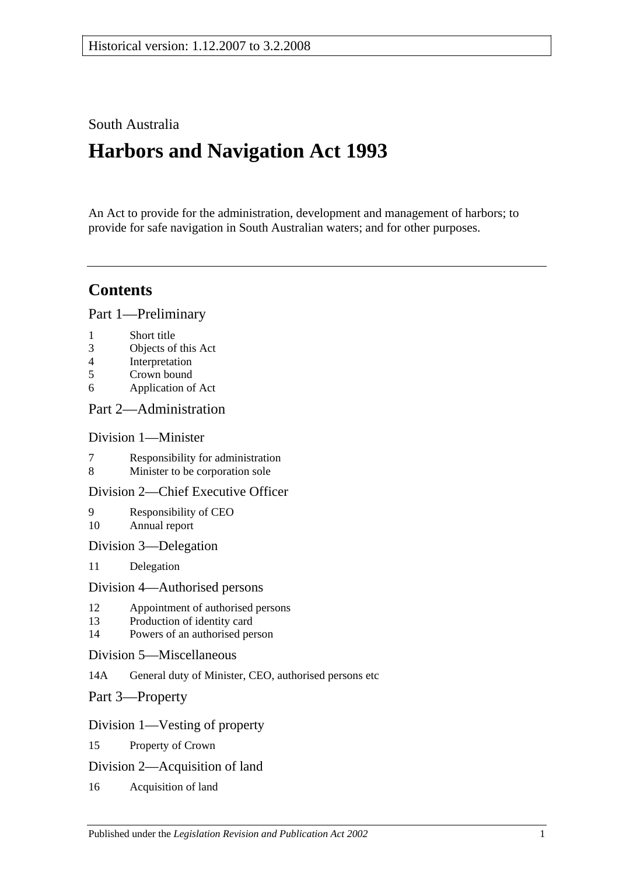# South Australia

# **Harbors and Navigation Act 1993**

An Act to provide for the administration, development and management of harbors; to provide for safe navigation in South Australian waters; and for other purposes.

# **Contents**

[Part 1—Preliminary](#page-6-0)

- 1 [Short title](#page-6-1)
- 3 [Objects of this Act](#page-6-2)
- 4 [Interpretation](#page-6-3)
- 5 [Crown bound](#page-9-0)
- 6 [Application of Act](#page-9-1)

# [Part 2—Administration](#page-10-0)

# [Division 1—Minister](#page-10-1)

- 7 [Responsibility for administration](#page-10-2)<br>8 Minister to be corporation sole
- [Minister to be corporation sole](#page-10-3)

# [Division 2—Chief Executive Officer](#page-10-4)

- 9 [Responsibility of CEO](#page-10-5) 10 [Annual report](#page-10-6)
- [Division 3—Delegation](#page-10-7)
- 11 [Delegation](#page-10-8)

# [Division 4—Authorised persons](#page-10-9)

- 12 [Appointment of authorised persons](#page-10-10)
- 13 [Production of identity card](#page-11-0)
- 14 [Powers of an authorised person](#page-11-1)
- [Division 5—Miscellaneous](#page-13-0)
- 14A [General duty of Minister, CEO, authorised persons etc](#page-13-1)
- [Part 3—Property](#page-14-0)

# [Division 1—Vesting of property](#page-14-1)

- 15 [Property of Crown](#page-14-2)
- [Division 2—Acquisition of land](#page-14-3)
- 16 [Acquisition of land](#page-14-4)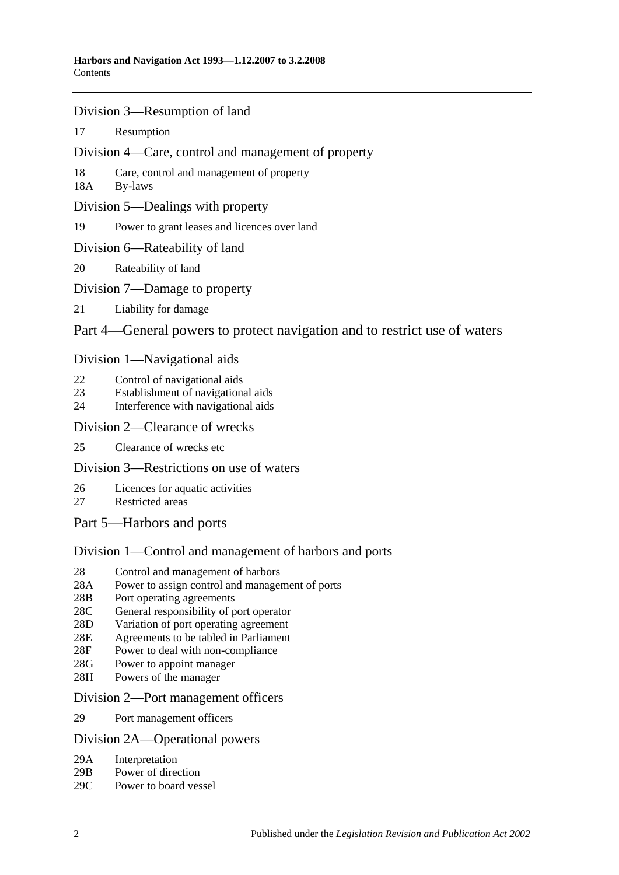- [Division 3—Resumption of land](#page-14-5)
- 17 [Resumption](#page-14-6)
- [Division 4—Care, control and management of property](#page-15-0)
- 18 [Care, control and management of property](#page-15-1)
- 18A [By-laws](#page-15-2)
- [Division 5—Dealings with property](#page-16-0)
- 19 [Power to grant leases and licences over land](#page-16-1)
- [Division 6—Rateability of land](#page-16-2)
- 20 [Rateability of land](#page-16-3)
- [Division 7—Damage to property](#page-16-4)
- 21 [Liability for damage](#page-16-5)

# [Part 4—General powers to protect navigation and to restrict use of waters](#page-18-0)

#### [Division 1—Navigational aids](#page-18-1)

- 22 [Control of navigational aids](#page-18-2)
- 23 [Establishment of navigational aids](#page-18-3)
- 24 [Interference with navigational aids](#page-18-4)

#### [Division 2—Clearance of wrecks](#page-19-0)

25 [Clearance of wrecks etc](#page-19-1)

# [Division 3—Restrictions on use of waters](#page-19-2)

- 26 [Licences for aquatic activities](#page-19-3)
- 27 [Restricted areas](#page-20-0)
- [Part 5—Harbors and ports](#page-22-0)

# [Division 1—Control and management of harbors and ports](#page-22-1)

- 28 [Control and management of harbors](#page-22-2)
- 28A [Power to assign control and management of ports](#page-22-3)
- 28B [Port operating agreements](#page-22-4)
- 28C [General responsibility of port operator](#page-23-0)
- 28D [Variation of port operating agreement](#page-23-1)
- 28E [Agreements to be tabled in Parliament](#page-23-2)
- 28F [Power to deal with non-compliance](#page-23-3)
- 28G [Power to appoint manager](#page-24-0)
- 28H [Powers of the manager](#page-24-1)

#### [Division 2—Port management officers](#page-25-0)

29 [Port management officers](#page-25-1)

#### [Division 2A—Operational powers](#page-25-2)

- 29A [Interpretation](#page-25-3)
- 29B [Power of direction](#page-25-4)
- 29C [Power to board vessel](#page-26-0)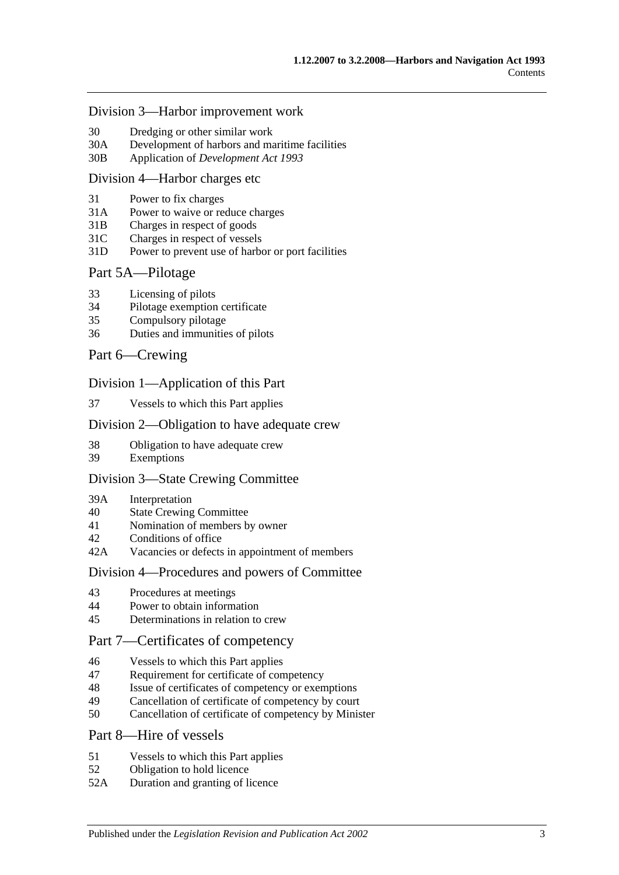#### [Division 3—Harbor improvement work](#page-26-1)

- 30 [Dredging or other similar work](#page-26-2)
- 30A [Development of harbors and maritime facilities](#page-26-3)
- 30B Application of *[Development Act](#page-27-0) 1993*

#### [Division 4—Harbor charges etc](#page-27-1)

- 31 [Power to fix charges](#page-27-2)
- 31A Power to waive [or reduce charges](#page-27-3)
- 31B [Charges in respect of goods](#page-27-4)
- 31C [Charges in respect of vessels](#page-28-0)
- 31D [Power to prevent use of harbor or port facilities](#page-28-1)

#### [Part 5A—Pilotage](#page-30-0)

- 33 [Licensing of pilots](#page-30-1)
- 34 [Pilotage exemption certificate](#page-30-2)
- 35 [Compulsory pilotage](#page-31-0)
- 36 [Duties and immunities of pilots](#page-31-1)

#### [Part 6—Crewing](#page-32-0)

#### [Division 1—Application of this Part](#page-32-1)

37 [Vessels to which this Part applies](#page-32-2)

#### [Division 2—Obligation to have adequate crew](#page-32-3)

- 38 [Obligation to have adequate crew](#page-32-4)
- 39 [Exemptions](#page-32-5)

#### [Division 3—State Crewing Committee](#page-32-6)

- 39A [Interpretation](#page-32-7)
- 40 [State Crewing Committee](#page-33-0)
- 41 [Nomination of members by owner](#page-33-1)
- 42 [Conditions of office](#page-34-0)
- 42A [Vacancies or defects in appointment of members](#page-34-1)

#### [Division 4—Procedures and powers of Committee](#page-34-2)

- 43 [Procedures at meetings](#page-34-3)
- 44 [Power to obtain information](#page-35-0)
- 45 [Determinations in relation to crew](#page-35-1)

# [Part 7—Certificates of competency](#page-36-0)

- 46 [Vessels to which this Part applies](#page-36-1)
- 47 [Requirement for certificate of competency](#page-36-2)
- 48 [Issue of certificates of competency or exemptions](#page-37-0)
- 49 [Cancellation of certificate of competency by court](#page-38-0)
- 50 [Cancellation of certificate of competency by Minister](#page-38-1)

#### [Part 8—Hire of vessels](#page-40-0)

- 51 [Vessels to which this Part applies](#page-40-1)
- 52 [Obligation to hold licence](#page-40-2)
- 52A [Duration and granting of licence](#page-40-3)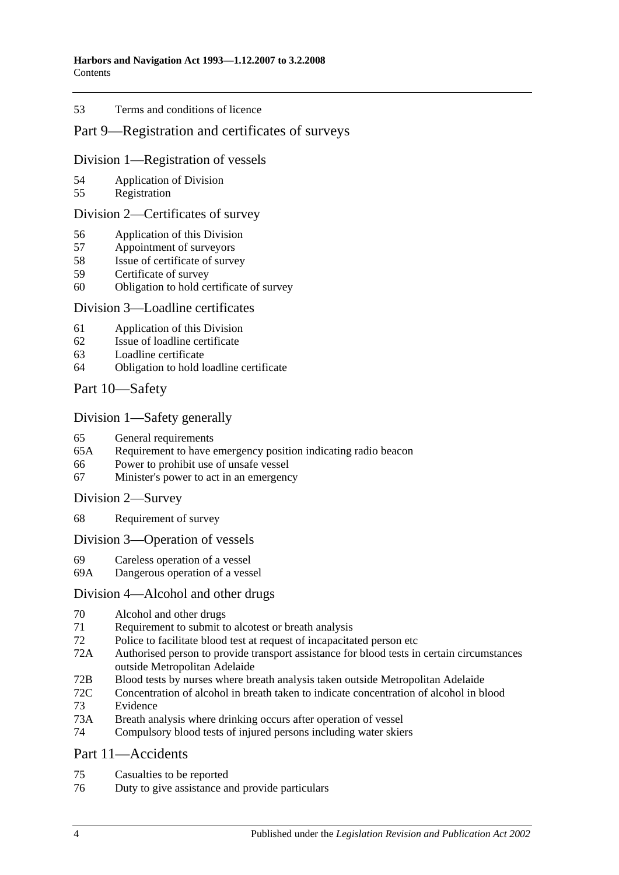#### 53 [Terms and conditions of licence](#page-40-4)

# [Part 9—Registration and certificates of surveys](#page-42-0)

#### [Division 1—Registration of vessels](#page-42-1)

- 54 [Application of Division](#page-42-2)
- 55 [Registration](#page-42-3)

### [Division 2—Certificates of survey](#page-42-4)

- 56 [Application of this Division](#page-42-5)
- 57 [Appointment of surveyors](#page-42-6)
- 58 [Issue of certificate of survey](#page-43-0)
- 59 [Certificate of survey](#page-43-1)
- 60 [Obligation to hold certificate of survey](#page-43-2)

#### [Division 3—Loadline certificates](#page-44-0)

- 61 [Application of this Division](#page-44-1)
- 62 [Issue of loadline certificate](#page-44-2)
- 63 [Loadline certificate](#page-44-3)
- 64 [Obligation to hold loadline certificate](#page-44-4)

# [Part 10—Safety](#page-46-0)

#### [Division 1—Safety generally](#page-46-1)

- 65 [General requirements](#page-46-2)<br>65A Requirement to have
- [Requirement to have emergency position indicating radio beacon](#page-46-3)
- 66 [Power to prohibit use of unsafe vessel](#page-46-4)
- 67 [Minister's power to act in an emergency](#page-47-0)

[Division 2—Survey](#page-47-1)

68 [Requirement of survey](#page-47-2)

#### [Division 3—Operation of vessels](#page-48-0)

- 69 [Careless operation of a vessel](#page-48-1)
- 69A [Dangerous operation of a vessel](#page-48-2)

#### [Division 4—Alcohol and other drugs](#page-48-3)

- 70 [Alcohol and other drugs](#page-48-4)
- 71 [Requirement to submit to alcotest or breath analysis](#page-50-0)
- 72 [Police to facilitate blood test at request of incapacitated person etc](#page-51-0)
- 72A [Authorised person to provide transport assistance for blood tests in certain circumstances](#page-52-0)  [outside Metropolitan Adelaide](#page-52-0)
- 72B [Blood tests by nurses where breath analysis taken outside Metropolitan Adelaide](#page-52-1)
- 72C [Concentration of alcohol in breath taken to indicate concentration of alcohol in blood](#page-53-0) 73 [Evidence](#page-53-1)
- 
- 73A [Breath analysis where drinking occurs after operation of vessel](#page-55-0)
- 74 [Compulsory blood tests of injured persons including water skiers](#page-56-0)

#### [Part 11—Accidents](#page-60-0)

- 75 [Casualties to be reported](#page-60-1)
- 76 [Duty to give assistance and provide particulars](#page-60-2)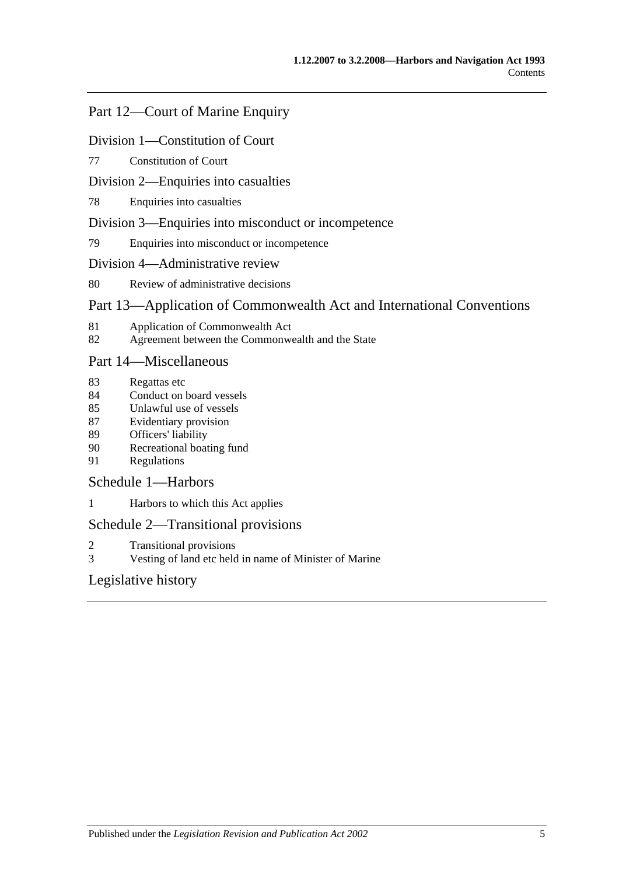# [Part 12—Court of Marine Enquiry](#page-62-0)

### [Division 1—Constitution of Court](#page-62-1)

77 [Constitution of Court](#page-62-2)

### [Division 2—Enquiries into casualties](#page-62-3)

78 [Enquiries into casualties](#page-62-4)

#### [Division 3—Enquiries into misconduct or incompetence](#page-62-5)

79 [Enquiries into misconduct or incompetence](#page-62-6)

#### [Division 4—Administrative review](#page-63-0)

80 [Review of administrative decisions](#page-63-1)

# [Part 13—Application of Commonwealth Act and International Conventions](#page-64-0)

- 81 [Application of Commonwealth Act](#page-64-1)
- 82 [Agreement between the Commonwealth and the State](#page-64-2)

# [Part 14—Miscellaneous](#page-66-0)

- 83 [Regattas etc](#page-66-1)
- 84 [Conduct on board vessels](#page-66-2)
- 85 [Unlawful use of vessels](#page-66-3)
- 87 [Evidentiary provision](#page-66-4)
- 89 [Officers' liability](#page-67-0)
- 90 [Recreational boating fund](#page-68-0)
- 91 [Regulations](#page-68-1)

# [Schedule 1—Harbors](#page-72-0)

1 [Harbors to which this Act applies](#page-72-1)

# [Schedule 2—Transitional provisions](#page-73-0)

- 2 [Transitional provisions](#page-73-1)
- 3 [Vesting of land etc held in name of Minister of Marine](#page-73-2)

# [Legislative history](#page-76-0)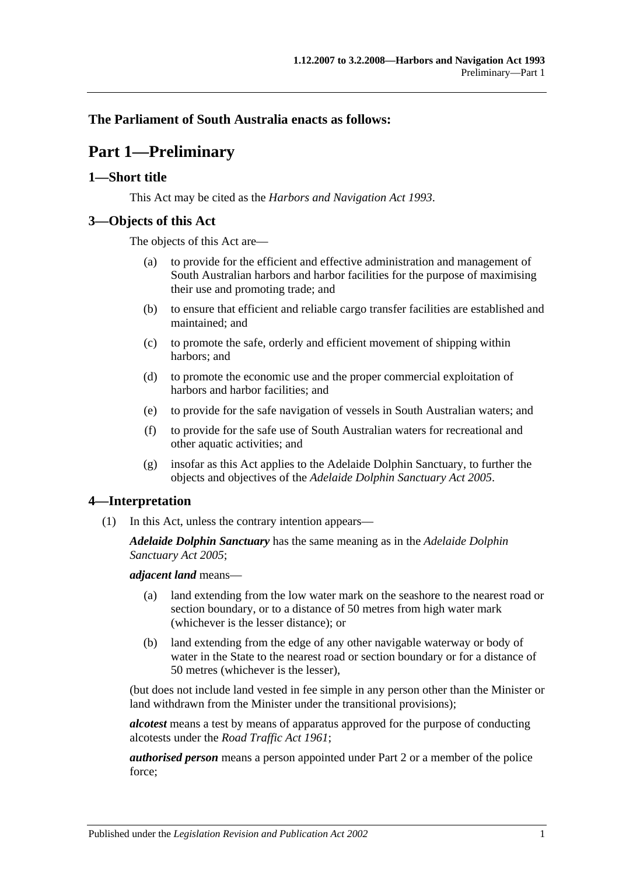# <span id="page-6-0"></span>**The Parliament of South Australia enacts as follows:**

# **Part 1—Preliminary**

# <span id="page-6-1"></span>**1—Short title**

This Act may be cited as the *Harbors and Navigation Act 1993*.

# <span id="page-6-2"></span>**3—Objects of this Act**

The objects of this Act are—

- (a) to provide for the efficient and effective administration and management of South Australian harbors and harbor facilities for the purpose of maximising their use and promoting trade; and
- (b) to ensure that efficient and reliable cargo transfer facilities are established and maintained; and
- (c) to promote the safe, orderly and efficient movement of shipping within harbors; and
- (d) to promote the economic use and the proper commercial exploitation of harbors and harbor facilities; and
- (e) to provide for the safe navigation of vessels in South Australian waters; and
- (f) to provide for the safe use of South Australian waters for recreational and other aquatic activities; and
- (g) insofar as this Act applies to the Adelaide Dolphin Sanctuary, to further the objects and objectives of the *[Adelaide Dolphin Sanctuary Act](http://www.legislation.sa.gov.au/index.aspx?action=legref&type=act&legtitle=Adelaide%20Dolphin%20Sanctuary%20Act%202005) 2005*.

# <span id="page-6-3"></span>**4—Interpretation**

(1) In this Act, unless the contrary intention appears—

*Adelaide Dolphin Sanctuary* has the same meaning as in the *[Adelaide Dolphin](http://www.legislation.sa.gov.au/index.aspx?action=legref&type=act&legtitle=Adelaide%20Dolphin%20Sanctuary%20Act%202005)  [Sanctuary Act](http://www.legislation.sa.gov.au/index.aspx?action=legref&type=act&legtitle=Adelaide%20Dolphin%20Sanctuary%20Act%202005) 2005*;

*adjacent land* means—

- (a) land extending from the low water mark on the seashore to the nearest road or section boundary, or to a distance of 50 metres from high water mark (whichever is the lesser distance); or
- (b) land extending from the edge of any other navigable waterway or body of water in the State to the nearest road or section boundary or for a distance of 50 metres (whichever is the lesser),

(but does not include land vested in fee simple in any person other than the Minister or land withdrawn from the Minister under the transitional provisions);

*alcotest* means a test by means of apparatus approved for the purpose of conducting alcotests under the *[Road Traffic Act](http://www.legislation.sa.gov.au/index.aspx?action=legref&type=act&legtitle=Road%20Traffic%20Act%201961) 1961*;

*authorised person* means a person appointed under [Part 2](#page-10-0) or a member of the police force;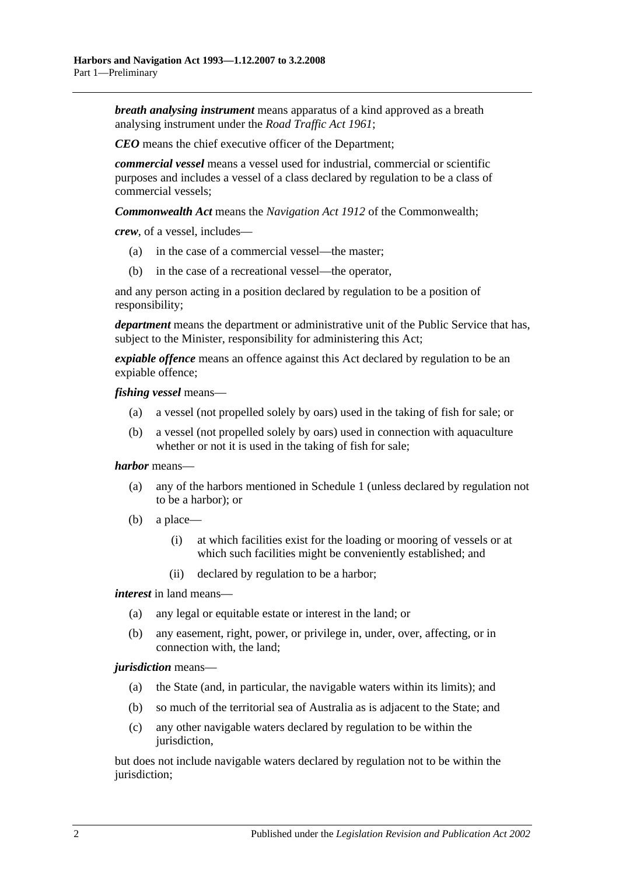*breath analysing instrument* means apparatus of a kind approved as a breath analysing instrument under the *[Road Traffic Act](http://www.legislation.sa.gov.au/index.aspx?action=legref&type=act&legtitle=Road%20Traffic%20Act%201961) 1961*;

*CEO* means the chief executive officer of the Department;

*commercial vessel* means a vessel used for industrial, commercial or scientific purposes and includes a vessel of a class declared by regulation to be a class of commercial vessels;

*Commonwealth Act* means the *Navigation Act 1912* of the Commonwealth;

*crew*, of a vessel, includes—

- (a) in the case of a commercial vessel—the master;
- (b) in the case of a recreational vessel—the operator,

and any person acting in a position declared by regulation to be a position of responsibility;

*department* means the department or administrative unit of the Public Service that has, subject to the Minister, responsibility for administering this Act;

*expiable offence* means an offence against this Act declared by regulation to be an expiable offence;

*fishing vessel* means—

- (a) a vessel (not propelled solely by oars) used in the taking of fish for sale; or
- (b) a vessel (not propelled solely by oars) used in connection with aquaculture whether or not it is used in the taking of fish for sale;

#### *harbor* means—

- (a) any of the harbors mentioned in [Schedule 1](#page-72-0) (unless declared by regulation not to be a harbor); or
- (b) a place—
	- (i) at which facilities exist for the loading or mooring of vessels or at which such facilities might be conveniently established; and
	- (ii) declared by regulation to be a harbor;

*interest* in land means—

- (a) any legal or equitable estate or interest in the land; or
- (b) any easement, right, power, or privilege in, under, over, affecting, or in connection with, the land;

#### *jurisdiction* means—

- (a) the State (and, in particular, the navigable waters within its limits); and
- (b) so much of the territorial sea of Australia as is adjacent to the State; and
- (c) any other navigable waters declared by regulation to be within the jurisdiction,

but does not include navigable waters declared by regulation not to be within the jurisdiction;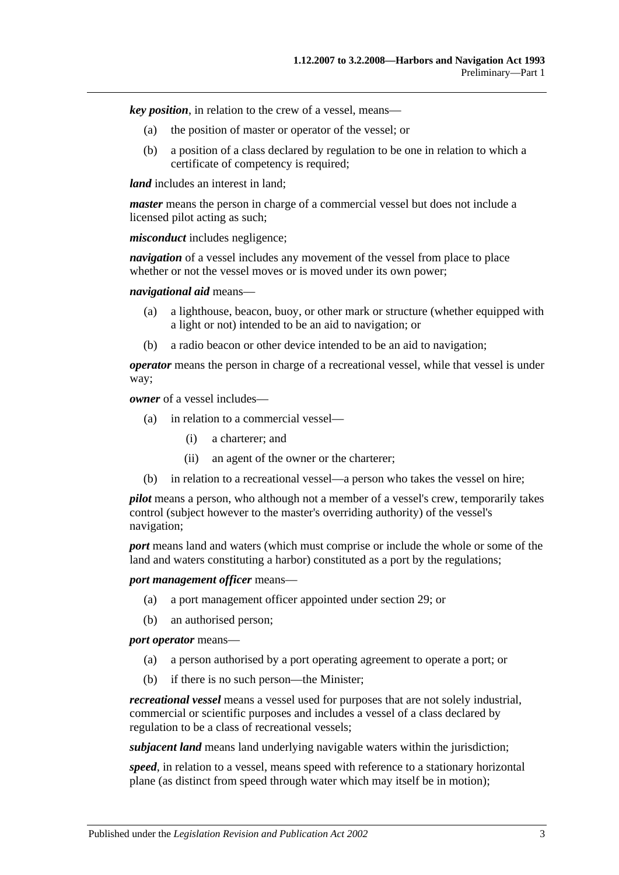*key position*, in relation to the crew of a vessel, means—

- (a) the position of master or operator of the vessel; or
- (b) a position of a class declared by regulation to be one in relation to which a certificate of competency is required;

*land* includes an interest in land:

*master* means the person in charge of a commercial vessel but does not include a licensed pilot acting as such;

*misconduct* includes negligence;

*navigation* of a vessel includes any movement of the vessel from place to place whether or not the vessel moves or is moved under its own power:

*navigational aid* means—

- (a) a lighthouse, beacon, buoy, or other mark or structure (whether equipped with a light or not) intended to be an aid to navigation; or
- (b) a radio beacon or other device intended to be an aid to navigation;

*operator* means the person in charge of a recreational vessel, while that vessel is under way;

*owner* of a vessel includes—

- (a) in relation to a commercial vessel—
	- (i) a charterer; and
	- (ii) an agent of the owner or the charterer;
- (b) in relation to a recreational vessel—a person who takes the vessel on hire;

*pilot* means a person, who although not a member of a vessel's crew, temporarily takes control (subject however to the master's overriding authority) of the vessel's navigation;

*port* means land and waters (which must comprise or include the whole or some of the land and waters constituting a harbor) constituted as a port by the regulations;

*port management officer* means—

- (a) a port management officer appointed under [section](#page-25-1) 29; or
- (b) an authorised person;

*port operator* means—

- (a) a person authorised by a port operating agreement to operate a port; or
- (b) if there is no such person—the Minister;

*recreational vessel* means a vessel used for purposes that are not solely industrial, commercial or scientific purposes and includes a vessel of a class declared by regulation to be a class of recreational vessels;

*subjacent land* means land underlying navigable waters within the jurisdiction;

*speed*, in relation to a vessel, means speed with reference to a stationary horizontal plane (as distinct from speed through water which may itself be in motion);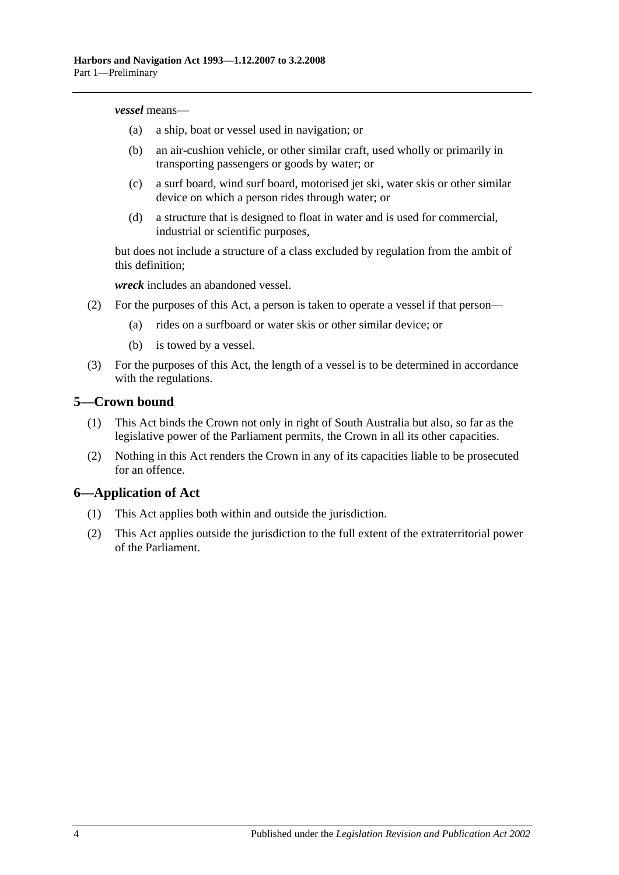#### *vessel* means—

- (a) a ship, boat or vessel used in navigation; or
- (b) an air-cushion vehicle, or other similar craft, used wholly or primarily in transporting passengers or goods by water; or
- (c) a surf board, wind surf board, motorised jet ski, water skis or other similar device on which a person rides through water; or
- (d) a structure that is designed to float in water and is used for commercial, industrial or scientific purposes,

but does not include a structure of a class excluded by regulation from the ambit of this definition;

*wreck* includes an abandoned vessel.

- (2) For the purposes of this Act, a person is taken to operate a vessel if that person—
	- (a) rides on a surfboard or water skis or other similar device; or
	- (b) is towed by a vessel.
- (3) For the purposes of this Act, the length of a vessel is to be determined in accordance with the regulations.

#### <span id="page-9-0"></span>**5—Crown bound**

- (1) This Act binds the Crown not only in right of South Australia but also, so far as the legislative power of the Parliament permits, the Crown in all its other capacities.
- (2) Nothing in this Act renders the Crown in any of its capacities liable to be prosecuted for an offence.

# <span id="page-9-1"></span>**6—Application of Act**

- (1) This Act applies both within and outside the jurisdiction.
- (2) This Act applies outside the jurisdiction to the full extent of the extraterritorial power of the Parliament.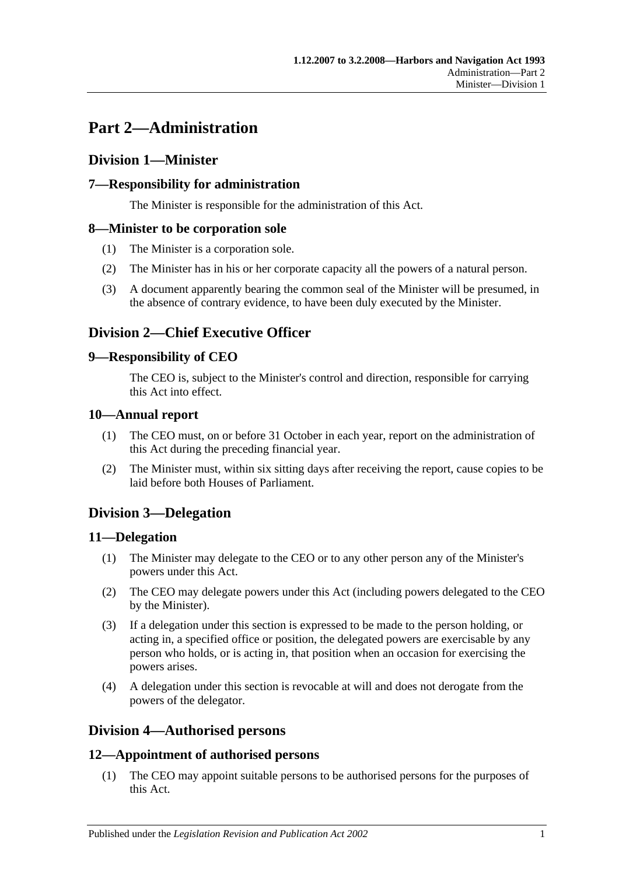# <span id="page-10-0"></span>**Part 2—Administration**

# <span id="page-10-1"></span>**Division 1—Minister**

# <span id="page-10-2"></span>**7—Responsibility for administration**

The Minister is responsible for the administration of this Act.

# <span id="page-10-3"></span>**8—Minister to be corporation sole**

- (1) The Minister is a corporation sole.
- (2) The Minister has in his or her corporate capacity all the powers of a natural person.
- (3) A document apparently bearing the common seal of the Minister will be presumed, in the absence of contrary evidence, to have been duly executed by the Minister.

# <span id="page-10-4"></span>**Division 2—Chief Executive Officer**

# <span id="page-10-5"></span>**9—Responsibility of CEO**

The CEO is, subject to the Minister's control and direction, responsible for carrying this Act into effect.

# <span id="page-10-6"></span>**10—Annual report**

- (1) The CEO must, on or before 31 October in each year, report on the administration of this Act during the preceding financial year.
- (2) The Minister must, within six sitting days after receiving the report, cause copies to be laid before both Houses of Parliament.

# <span id="page-10-7"></span>**Division 3—Delegation**

# <span id="page-10-8"></span>**11—Delegation**

- (1) The Minister may delegate to the CEO or to any other person any of the Minister's powers under this Act.
- (2) The CEO may delegate powers under this Act (including powers delegated to the CEO by the Minister).
- (3) If a delegation under this section is expressed to be made to the person holding, or acting in, a specified office or position, the delegated powers are exercisable by any person who holds, or is acting in, that position when an occasion for exercising the powers arises.
- (4) A delegation under this section is revocable at will and does not derogate from the powers of the delegator.

# <span id="page-10-9"></span>**Division 4—Authorised persons**

# <span id="page-10-10"></span>**12—Appointment of authorised persons**

(1) The CEO may appoint suitable persons to be authorised persons for the purposes of this Act.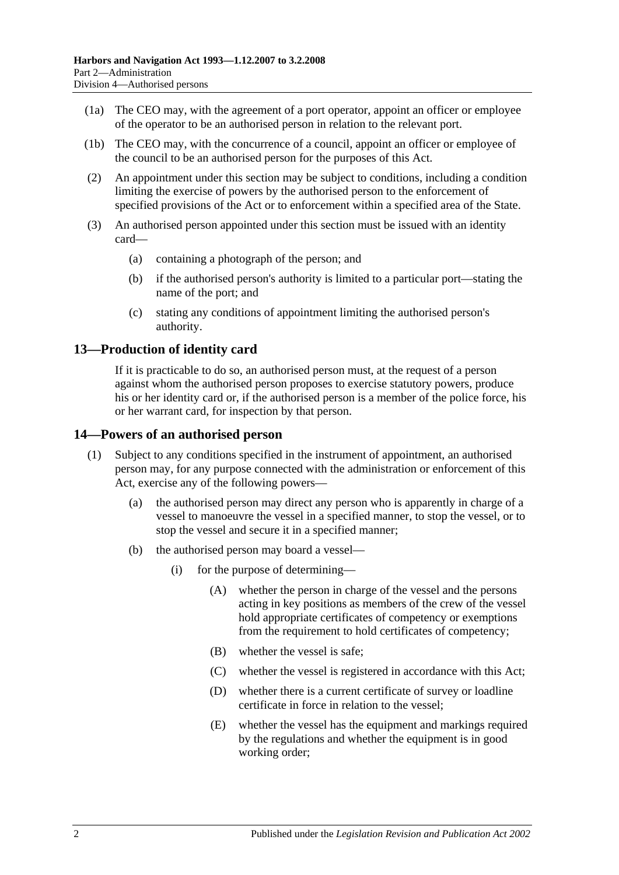- (1a) The CEO may, with the agreement of a port operator, appoint an officer or employee of the operator to be an authorised person in relation to the relevant port.
- (1b) The CEO may, with the concurrence of a council, appoint an officer or employee of the council to be an authorised person for the purposes of this Act.
- (2) An appointment under this section may be subject to conditions, including a condition limiting the exercise of powers by the authorised person to the enforcement of specified provisions of the Act or to enforcement within a specified area of the State.
- (3) An authorised person appointed under this section must be issued with an identity card—
	- (a) containing a photograph of the person; and
	- (b) if the authorised person's authority is limited to a particular port—stating the name of the port; and
	- (c) stating any conditions of appointment limiting the authorised person's authority.

# <span id="page-11-0"></span>**13—Production of identity card**

If it is practicable to do so, an authorised person must, at the request of a person against whom the authorised person proposes to exercise statutory powers, produce his or her identity card or, if the authorised person is a member of the police force, his or her warrant card, for inspection by that person.

#### <span id="page-11-1"></span>**14—Powers of an authorised person**

- (1) Subject to any conditions specified in the instrument of appointment, an authorised person may, for any purpose connected with the administration or enforcement of this Act, exercise any of the following powers—
	- (a) the authorised person may direct any person who is apparently in charge of a vessel to manoeuvre the vessel in a specified manner, to stop the vessel, or to stop the vessel and secure it in a specified manner;
	- (b) the authorised person may board a vessel—
		- (i) for the purpose of determining—
			- (A) whether the person in charge of the vessel and the persons acting in key positions as members of the crew of the vessel hold appropriate certificates of competency or exemptions from the requirement to hold certificates of competency;
			- (B) whether the vessel is safe;
			- (C) whether the vessel is registered in accordance with this Act;
			- (D) whether there is a current certificate of survey or loadline certificate in force in relation to the vessel;
			- (E) whether the vessel has the equipment and markings required by the regulations and whether the equipment is in good working order;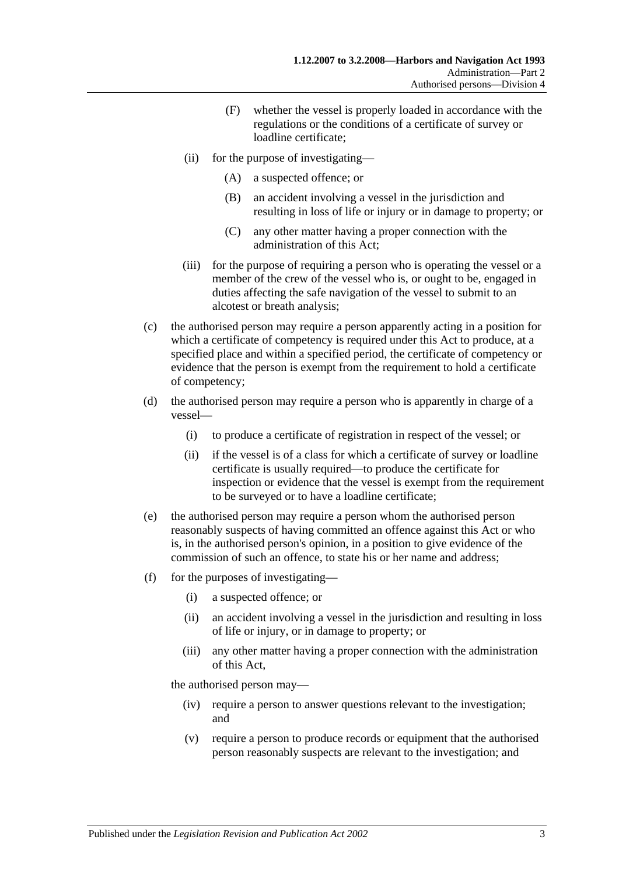- (F) whether the vessel is properly loaded in accordance with the regulations or the conditions of a certificate of survey or loadline certificate;
- (ii) for the purpose of investigating—
	- (A) a suspected offence; or
	- (B) an accident involving a vessel in the jurisdiction and resulting in loss of life or injury or in damage to property; or
	- (C) any other matter having a proper connection with the administration of this Act;
- (iii) for the purpose of requiring a person who is operating the vessel or a member of the crew of the vessel who is, or ought to be, engaged in duties affecting the safe navigation of the vessel to submit to an alcotest or breath analysis;
- (c) the authorised person may require a person apparently acting in a position for which a certificate of competency is required under this Act to produce, at a specified place and within a specified period, the certificate of competency or evidence that the person is exempt from the requirement to hold a certificate of competency;
- (d) the authorised person may require a person who is apparently in charge of a vessel—
	- (i) to produce a certificate of registration in respect of the vessel; or
	- (ii) if the vessel is of a class for which a certificate of survey or loadline certificate is usually required—to produce the certificate for inspection or evidence that the vessel is exempt from the requirement to be surveyed or to have a loadline certificate;
- (e) the authorised person may require a person whom the authorised person reasonably suspects of having committed an offence against this Act or who is, in the authorised person's opinion, in a position to give evidence of the commission of such an offence, to state his or her name and address;
- (f) for the purposes of investigating—
	- (i) a suspected offence; or
	- (ii) an accident involving a vessel in the jurisdiction and resulting in loss of life or injury, or in damage to property; or
	- (iii) any other matter having a proper connection with the administration of this Act,

the authorised person may—

- (iv) require a person to answer questions relevant to the investigation; and
- (v) require a person to produce records or equipment that the authorised person reasonably suspects are relevant to the investigation; and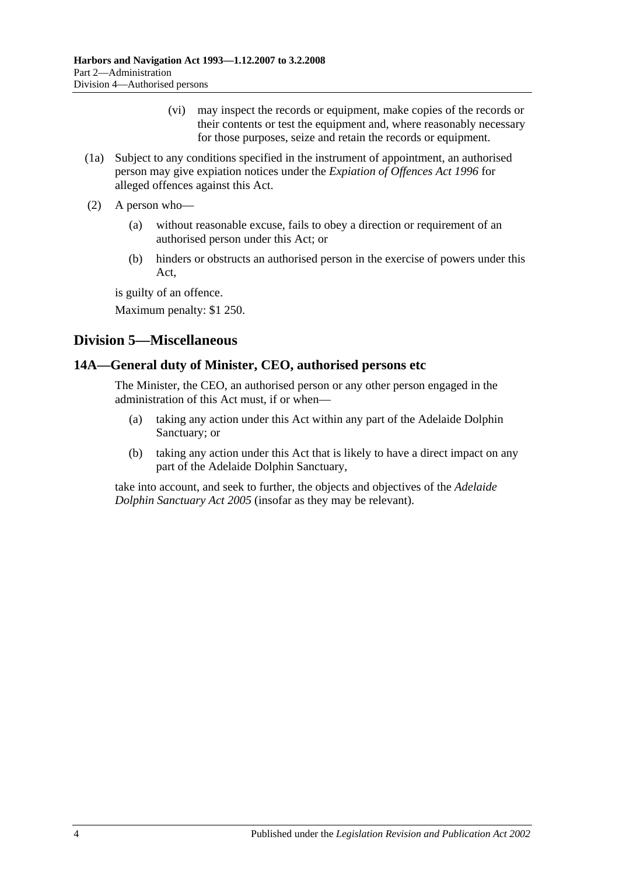- (vi) may inspect the records or equipment, make copies of the records or their contents or test the equipment and, where reasonably necessary for those purposes, seize and retain the records or equipment.
- (1a) Subject to any conditions specified in the instrument of appointment, an authorised person may give expiation notices under the *[Expiation of Offences Act](http://www.legislation.sa.gov.au/index.aspx?action=legref&type=act&legtitle=Expiation%20of%20Offences%20Act%201996) 1996* for alleged offences against this Act.
- (2) A person who—
	- (a) without reasonable excuse, fails to obey a direction or requirement of an authorised person under this Act; or
	- (b) hinders or obstructs an authorised person in the exercise of powers under this Act,

is guilty of an offence.

Maximum penalty: \$1 250.

# <span id="page-13-0"></span>**Division 5—Miscellaneous**

# <span id="page-13-1"></span>**14A—General duty of Minister, CEO, authorised persons etc**

The Minister, the CEO, an authorised person or any other person engaged in the administration of this Act must, if or when—

- (a) taking any action under this Act within any part of the Adelaide Dolphin Sanctuary; or
- (b) taking any action under this Act that is likely to have a direct impact on any part of the Adelaide Dolphin Sanctuary,

take into account, and seek to further, the objects and objectives of the *[Adelaide](http://www.legislation.sa.gov.au/index.aspx?action=legref&type=act&legtitle=Adelaide%20Dolphin%20Sanctuary%20Act%202005)  [Dolphin Sanctuary Act](http://www.legislation.sa.gov.au/index.aspx?action=legref&type=act&legtitle=Adelaide%20Dolphin%20Sanctuary%20Act%202005) 2005* (insofar as they may be relevant).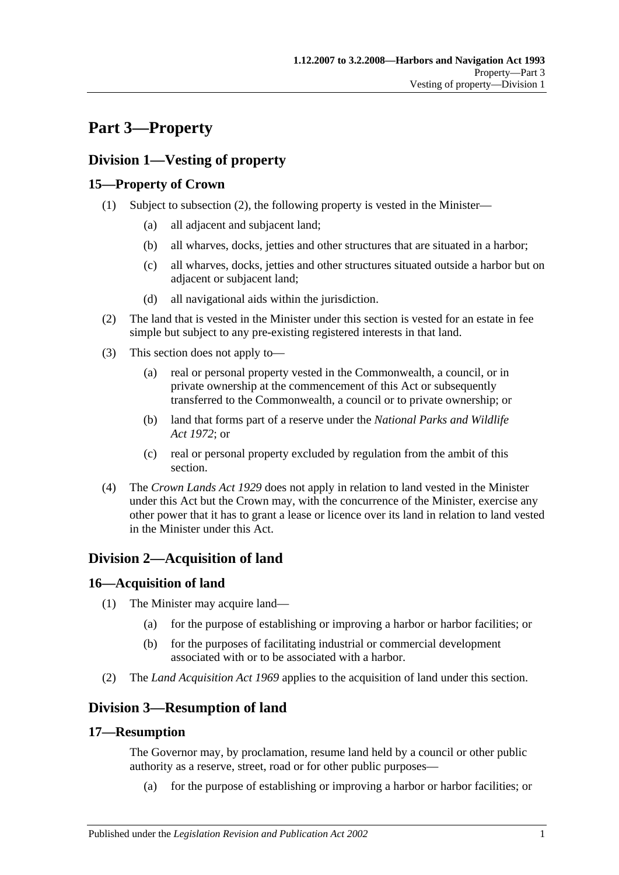# <span id="page-14-0"></span>**Part 3—Property**

# <span id="page-14-1"></span>**Division 1—Vesting of property**

# <span id="page-14-2"></span>**15—Property of Crown**

- (1) Subject to [subsection](#page-14-7) (2), the following property is vested in the Minister—
	- (a) all adjacent and subjacent land;
	- (b) all wharves, docks, jetties and other structures that are situated in a harbor;
	- (c) all wharves, docks, jetties and other structures situated outside a harbor but on adjacent or subjacent land;
	- (d) all navigational aids within the jurisdiction.
- <span id="page-14-7"></span>(2) The land that is vested in the Minister under this section is vested for an estate in fee simple but subject to any pre-existing registered interests in that land.
- (3) This section does not apply to—
	- (a) real or personal property vested in the Commonwealth, a council, or in private ownership at the commencement of this Act or subsequently transferred to the Commonwealth, a council or to private ownership; or
	- (b) land that forms part of a reserve under the *[National Parks and Wildlife](http://www.legislation.sa.gov.au/index.aspx?action=legref&type=act&legtitle=National%20Parks%20and%20Wildlife%20Act%201972)  Act [1972](http://www.legislation.sa.gov.au/index.aspx?action=legref&type=act&legtitle=National%20Parks%20and%20Wildlife%20Act%201972)*; or
	- (c) real or personal property excluded by regulation from the ambit of this section.
- (4) The *[Crown Lands Act](http://www.legislation.sa.gov.au/index.aspx?action=legref&type=act&legtitle=Crown%20Lands%20Act%201929) 1929* does not apply in relation to land vested in the Minister under this Act but the Crown may, with the concurrence of the Minister, exercise any other power that it has to grant a lease or licence over its land in relation to land vested in the Minister under this Act.

# <span id="page-14-3"></span>**Division 2—Acquisition of land**

# <span id="page-14-4"></span>**16—Acquisition of land**

- (1) The Minister may acquire land—
	- (a) for the purpose of establishing or improving a harbor or harbor facilities; or
	- (b) for the purposes of facilitating industrial or commercial development associated with or to be associated with a harbor.
- (2) The *[Land Acquisition Act](http://www.legislation.sa.gov.au/index.aspx?action=legref&type=act&legtitle=Land%20Acquisition%20Act%201969) 1969* applies to the acquisition of land under this section.

# <span id="page-14-5"></span>**Division 3—Resumption of land**

# <span id="page-14-6"></span>**17—Resumption**

The Governor may, by proclamation, resume land held by a council or other public authority as a reserve, street, road or for other public purposes—

(a) for the purpose of establishing or improving a harbor or harbor facilities; or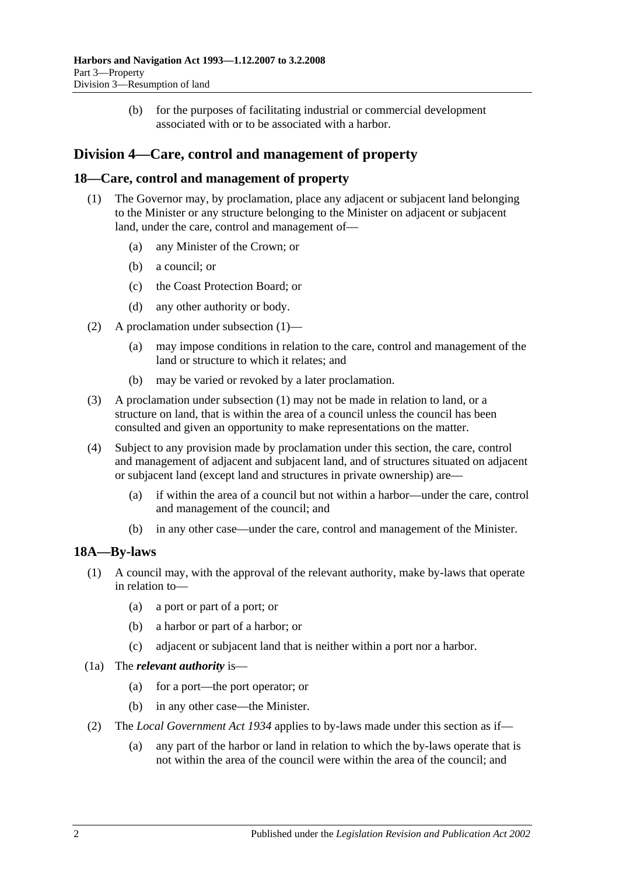(b) for the purposes of facilitating industrial or commercial development associated with or to be associated with a harbor.

# <span id="page-15-0"></span>**Division 4—Care, control and management of property**

### <span id="page-15-3"></span><span id="page-15-1"></span>**18—Care, control and management of property**

- (1) The Governor may, by proclamation, place any adjacent or subjacent land belonging to the Minister or any structure belonging to the Minister on adjacent or subjacent land, under the care, control and management of—
	- (a) any Minister of the Crown; or
	- (b) a council; or
	- (c) the Coast Protection Board; or
	- (d) any other authority or body.
- (2) A proclamation under [subsection](#page-15-3) (1)—
	- (a) may impose conditions in relation to the care, control and management of the land or structure to which it relates; and
	- (b) may be varied or revoked by a later proclamation.
- (3) A proclamation under [subsection](#page-15-3) (1) may not be made in relation to land, or a structure on land, that is within the area of a council unless the council has been consulted and given an opportunity to make representations on the matter.
- (4) Subject to any provision made by proclamation under this section, the care, control and management of adjacent and subjacent land, and of structures situated on adjacent or subjacent land (except land and structures in private ownership) are—
	- (a) if within the area of a council but not within a harbor—under the care, control and management of the council; and
	- (b) in any other case—under the care, control and management of the Minister.

#### <span id="page-15-2"></span>**18A—By-laws**

- (1) A council may, with the approval of the relevant authority, make by-laws that operate in relation to—
	- (a) a port or part of a port; or
	- (b) a harbor or part of a harbor; or
	- (c) adjacent or subjacent land that is neither within a port nor a harbor.
- (1a) The *relevant authority* is—
	- (a) for a port—the port operator; or
	- (b) in any other case—the Minister.
- (2) The *[Local Government Act](http://www.legislation.sa.gov.au/index.aspx?action=legref&type=act&legtitle=Local%20Government%20Act%201934) 1934* applies to by-laws made under this section as if—
	- (a) any part of the harbor or land in relation to which the by-laws operate that is not within the area of the council were within the area of the council; and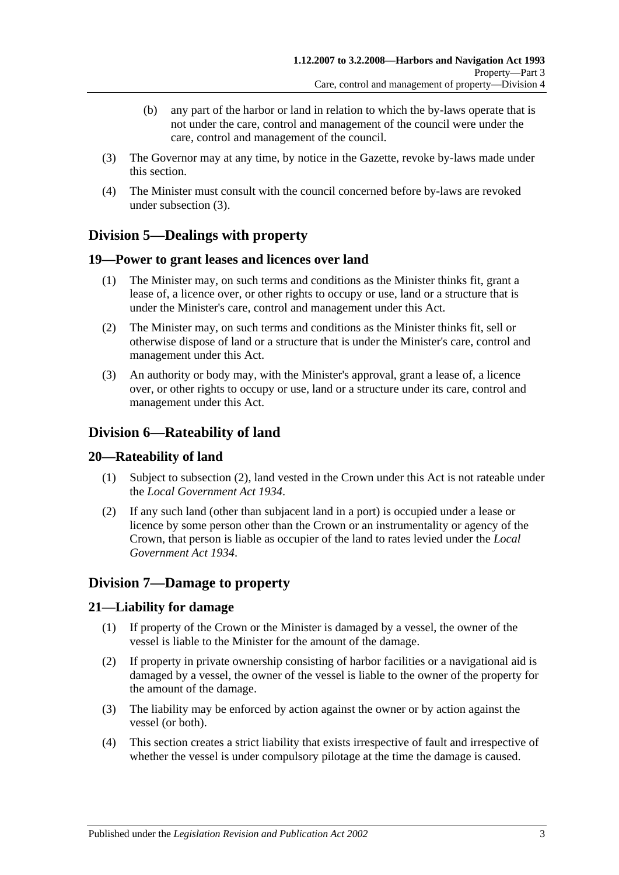- (b) any part of the harbor or land in relation to which the by-laws operate that is not under the care, control and management of the council were under the care, control and management of the council.
- <span id="page-16-6"></span>(3) The Governor may at any time, by notice in the Gazette, revoke by-laws made under this section.
- (4) The Minister must consult with the council concerned before by-laws are revoked under [subsection](#page-16-6) (3).

# <span id="page-16-0"></span>**Division 5—Dealings with property**

# <span id="page-16-1"></span>**19—Power to grant leases and licences over land**

- (1) The Minister may, on such terms and conditions as the Minister thinks fit, grant a lease of, a licence over, or other rights to occupy or use, land or a structure that is under the Minister's care, control and management under this Act.
- (2) The Minister may, on such terms and conditions as the Minister thinks fit, sell or otherwise dispose of land or a structure that is under the Minister's care, control and management under this Act.
- (3) An authority or body may, with the Minister's approval, grant a lease of, a licence over, or other rights to occupy or use, land or a structure under its care, control and management under this Act.

# <span id="page-16-2"></span>**Division 6—Rateability of land**

# <span id="page-16-3"></span>**20—Rateability of land**

- (1) Subject to [subsection](#page-16-7) (2), land vested in the Crown under this Act is not rateable under the *[Local Government Act](http://www.legislation.sa.gov.au/index.aspx?action=legref&type=act&legtitle=Local%20Government%20Act%201934) 1934*.
- <span id="page-16-7"></span>(2) If any such land (other than subjacent land in a port) is occupied under a lease or licence by some person other than the Crown or an instrumentality or agency of the Crown, that person is liable as occupier of the land to rates levied under the *[Local](http://www.legislation.sa.gov.au/index.aspx?action=legref&type=act&legtitle=Local%20Government%20Act%201934)  [Government Act](http://www.legislation.sa.gov.au/index.aspx?action=legref&type=act&legtitle=Local%20Government%20Act%201934) 1934*.

# <span id="page-16-4"></span>**Division 7—Damage to property**

# <span id="page-16-5"></span>**21—Liability for damage**

- (1) If property of the Crown or the Minister is damaged by a vessel, the owner of the vessel is liable to the Minister for the amount of the damage.
- (2) If property in private ownership consisting of harbor facilities or a navigational aid is damaged by a vessel, the owner of the vessel is liable to the owner of the property for the amount of the damage.
- (3) The liability may be enforced by action against the owner or by action against the vessel (or both).
- (4) This section creates a strict liability that exists irrespective of fault and irrespective of whether the vessel is under compulsory pilotage at the time the damage is caused.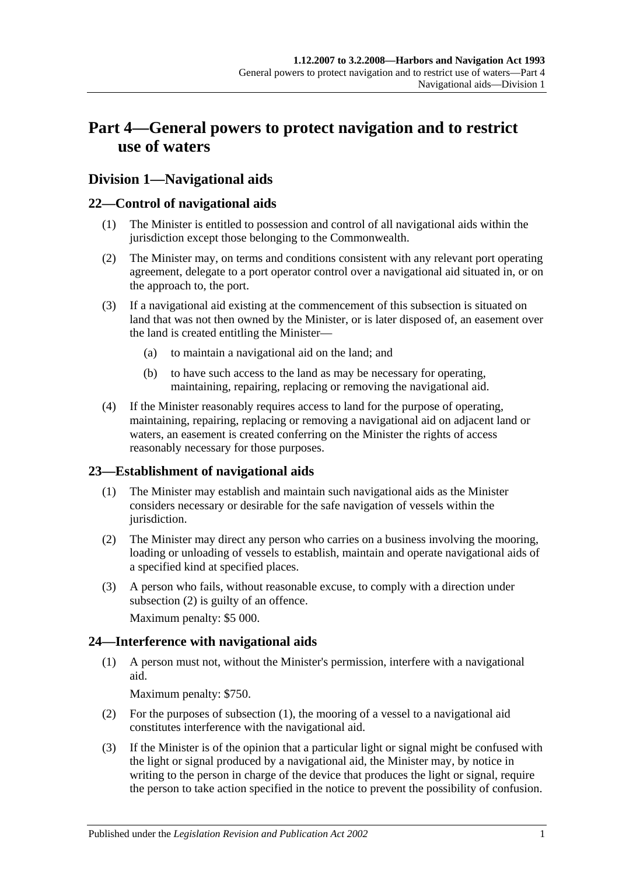# <span id="page-18-0"></span>**Part 4—General powers to protect navigation and to restrict use of waters**

# <span id="page-18-1"></span>**Division 1—Navigational aids**

# <span id="page-18-2"></span>**22—Control of navigational aids**

- (1) The Minister is entitled to possession and control of all navigational aids within the jurisdiction except those belonging to the Commonwealth.
- (2) The Minister may, on terms and conditions consistent with any relevant port operating agreement, delegate to a port operator control over a navigational aid situated in, or on the approach to, the port.
- (3) If a navigational aid existing at the commencement of this subsection is situated on land that was not then owned by the Minister, or is later disposed of, an easement over the land is created entitling the Minister—
	- (a) to maintain a navigational aid on the land; and
	- (b) to have such access to the land as may be necessary for operating, maintaining, repairing, replacing or removing the navigational aid.
- (4) If the Minister reasonably requires access to land for the purpose of operating, maintaining, repairing, replacing or removing a navigational aid on adjacent land or waters, an easement is created conferring on the Minister the rights of access reasonably necessary for those purposes.

# <span id="page-18-3"></span>**23—Establishment of navigational aids**

- (1) The Minister may establish and maintain such navigational aids as the Minister considers necessary or desirable for the safe navigation of vessels within the jurisdiction.
- <span id="page-18-5"></span>(2) The Minister may direct any person who carries on a business involving the mooring, loading or unloading of vessels to establish, maintain and operate navigational aids of a specified kind at specified places.
- (3) A person who fails, without reasonable excuse, to comply with a direction under [subsection](#page-18-5) (2) is guilty of an offence.

Maximum penalty: \$5 000.

# <span id="page-18-6"></span><span id="page-18-4"></span>**24—Interference with navigational aids**

(1) A person must not, without the Minister's permission, interfere with a navigational aid.

Maximum penalty: \$750.

- (2) For the purposes of [subsection](#page-18-6) (1), the mooring of a vessel to a navigational aid constitutes interference with the navigational aid.
- <span id="page-18-7"></span>(3) If the Minister is of the opinion that a particular light or signal might be confused with the light or signal produced by a navigational aid, the Minister may, by notice in writing to the person in charge of the device that produces the light or signal, require the person to take action specified in the notice to prevent the possibility of confusion.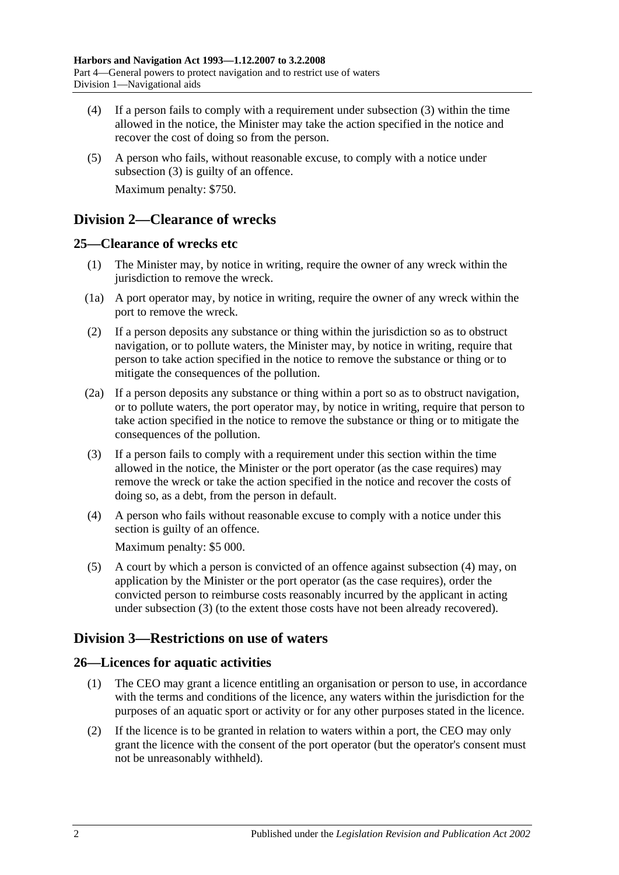- (4) If a person fails to comply with a requirement under [subsection](#page-18-7) (3) within the time allowed in the notice, the Minister may take the action specified in the notice and recover the cost of doing so from the person.
- (5) A person who fails, without reasonable excuse, to comply with a notice under [subsection](#page-18-7) (3) is guilty of an offence. Maximum penalty: \$750.

# <span id="page-19-0"></span>**Division 2—Clearance of wrecks**

# <span id="page-19-1"></span>**25—Clearance of wrecks etc**

- (1) The Minister may, by notice in writing, require the owner of any wreck within the jurisdiction to remove the wreck.
- (1a) A port operator may, by notice in writing, require the owner of any wreck within the port to remove the wreck.
- (2) If a person deposits any substance or thing within the jurisdiction so as to obstruct navigation, or to pollute waters, the Minister may, by notice in writing, require that person to take action specified in the notice to remove the substance or thing or to mitigate the consequences of the pollution.
- (2a) If a person deposits any substance or thing within a port so as to obstruct navigation, or to pollute waters, the port operator may, by notice in writing, require that person to take action specified in the notice to remove the substance or thing or to mitigate the consequences of the pollution.
- <span id="page-19-5"></span>(3) If a person fails to comply with a requirement under this section within the time allowed in the notice, the Minister or the port operator (as the case requires) may remove the wreck or take the action specified in the notice and recover the costs of doing so, as a debt, from the person in default.
- <span id="page-19-4"></span>(4) A person who fails without reasonable excuse to comply with a notice under this section is guilty of an offence.

Maximum penalty: \$5 000.

(5) A court by which a person is convicted of an offence against [subsection](#page-19-4) (4) may, on application by the Minister or the port operator (as the case requires), order the convicted person to reimburse costs reasonably incurred by the applicant in acting under [subsection](#page-19-5) (3) (to the extent those costs have not been already recovered).

# <span id="page-19-2"></span>**Division 3—Restrictions on use of waters**

# <span id="page-19-3"></span>**26—Licences for aquatic activities**

- (1) The CEO may grant a licence entitling an organisation or person to use, in accordance with the terms and conditions of the licence, any waters within the jurisdiction for the purposes of an aquatic sport or activity or for any other purposes stated in the licence.
- (2) If the licence is to be granted in relation to waters within a port, the CEO may only grant the licence with the consent of the port operator (but the operator's consent must not be unreasonably withheld).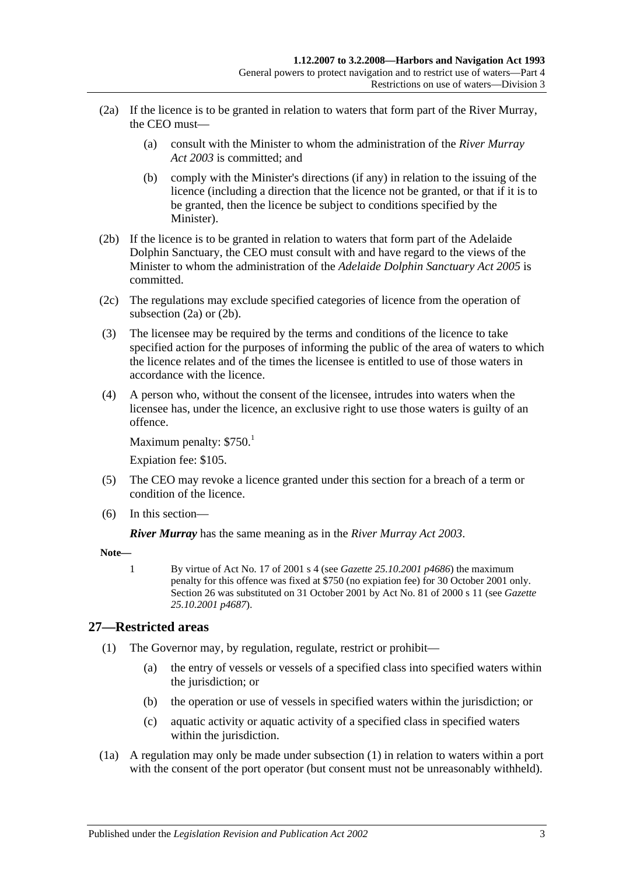- <span id="page-20-1"></span>(2a) If the licence is to be granted in relation to waters that form part of the River Murray, the CEO must—
	- (a) consult with the Minister to whom the administration of the *[River Murray](http://www.legislation.sa.gov.au/index.aspx?action=legref&type=act&legtitle=River%20Murray%20Act%202003)  Act [2003](http://www.legislation.sa.gov.au/index.aspx?action=legref&type=act&legtitle=River%20Murray%20Act%202003)* is committed; and
	- (b) comply with the Minister's directions (if any) in relation to the issuing of the licence (including a direction that the licence not be granted, or that if it is to be granted, then the licence be subject to conditions specified by the Minister).
- <span id="page-20-2"></span>(2b) If the licence is to be granted in relation to waters that form part of the Adelaide Dolphin Sanctuary, the CEO must consult with and have regard to the views of the Minister to whom the administration of the *[Adelaide Dolphin](http://www.legislation.sa.gov.au/index.aspx?action=legref&type=act&legtitle=Adelaide%20Dolphin%20Sanctuary%20Act%202005) Sanctuary Act 2005* is committed.
- (2c) The regulations may exclude specified categories of licence from the operation of [subsection](#page-20-1) (2a) or [\(2b\).](#page-20-2)
- (3) The licensee may be required by the terms and conditions of the licence to take specified action for the purposes of informing the public of the area of waters to which the licence relates and of the times the licensee is entitled to use of those waters in accordance with the licence.
- (4) A person who, without the consent of the licensee, intrudes into waters when the licensee has, under the licence, an exclusive right to use those waters is guilty of an offence.

Maximum penalty:  $$750.<sup>1</sup>$ 

Expiation fee: \$105.

- (5) The CEO may revoke a licence granted under this section for a breach of a term or condition of the licence.
- (6) In this section—

*River Murray* has the same meaning as in the *[River Murray Act](http://www.legislation.sa.gov.au/index.aspx?action=legref&type=act&legtitle=River%20Murray%20Act%202003) 2003*.

**Note—**

1 By virtue of Act No. 17 of 2001 s 4 (see *Gazette 25.10.2001 p4686*) the maximum penalty for this offence was fixed at \$750 (no expiation fee) for 30 October 2001 only. Section 26 was substituted on 31 October 2001 by Act No. 81 of 2000 s 11 (see *Gazette 25.10.2001 p4687*).

# <span id="page-20-3"></span><span id="page-20-0"></span>**27—Restricted areas**

- (1) The Governor may, by regulation, regulate, restrict or prohibit—
	- (a) the entry of vessels or vessels of a specified class into specified waters within the jurisdiction; or
	- (b) the operation or use of vessels in specified waters within the jurisdiction; or
	- (c) aquatic activity or aquatic activity of a specified class in specified waters within the jurisdiction.
- (1a) A regulation may only be made under [subsection](#page-20-3) (1) in relation to waters within a port with the consent of the port operator (but consent must not be unreasonably withheld).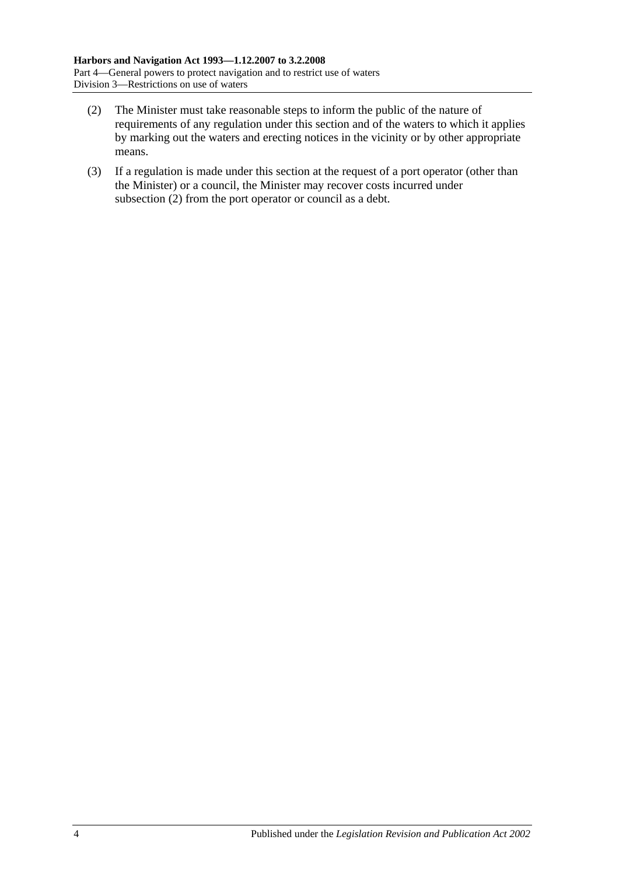- <span id="page-21-0"></span>(2) The Minister must take reasonable steps to inform the public of the nature of requirements of any regulation under this section and of the waters to which it applies by marking out the waters and erecting notices in the vicinity or by other appropriate means.
- (3) If a regulation is made under this section at the request of a port operator (other than the Minister) or a council, the Minister may recover costs incurred under [subsection](#page-21-0) (2) from the port operator or council as a debt.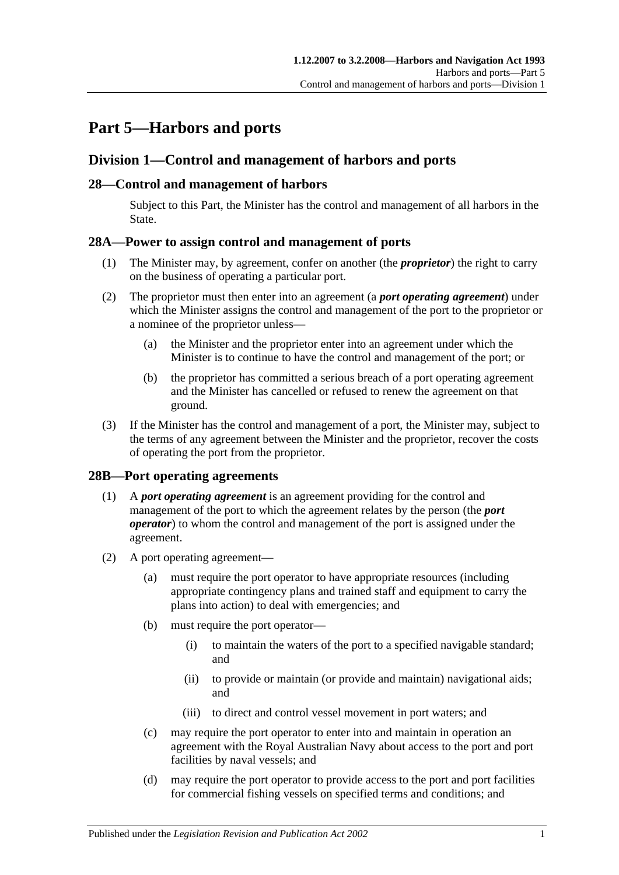# <span id="page-22-0"></span>**Part 5—Harbors and ports**

# <span id="page-22-1"></span>**Division 1—Control and management of harbors and ports**

# <span id="page-22-2"></span>**28—Control and management of harbors**

Subject to this Part, the Minister has the control and management of all harbors in the State.

# <span id="page-22-3"></span>**28A—Power to assign control and management of ports**

- (1) The Minister may, by agreement, confer on another (the *proprietor*) the right to carry on the business of operating a particular port.
- (2) The proprietor must then enter into an agreement (a *port operating agreement*) under which the Minister assigns the control and management of the port to the proprietor or a nominee of the proprietor unless—
	- (a) the Minister and the proprietor enter into an agreement under which the Minister is to continue to have the control and management of the port; or
	- (b) the proprietor has committed a serious breach of a port operating agreement and the Minister has cancelled or refused to renew the agreement on that ground.
- (3) If the Minister has the control and management of a port, the Minister may, subject to the terms of any agreement between the Minister and the proprietor, recover the costs of operating the port from the proprietor.

# <span id="page-22-4"></span>**28B—Port operating agreements**

- (1) A *port operating agreement* is an agreement providing for the control and management of the port to which the agreement relates by the person (the *port operator*) to whom the control and management of the port is assigned under the agreement.
- (2) A port operating agreement—
	- (a) must require the port operator to have appropriate resources (including appropriate contingency plans and trained staff and equipment to carry the plans into action) to deal with emergencies; and
	- (b) must require the port operator—
		- (i) to maintain the waters of the port to a specified navigable standard; and
		- (ii) to provide or maintain (or provide and maintain) navigational aids; and
		- (iii) to direct and control vessel movement in port waters; and
	- (c) may require the port operator to enter into and maintain in operation an agreement with the Royal Australian Navy about access to the port and port facilities by naval vessels; and
	- (d) may require the port operator to provide access to the port and port facilities for commercial fishing vessels on specified terms and conditions; and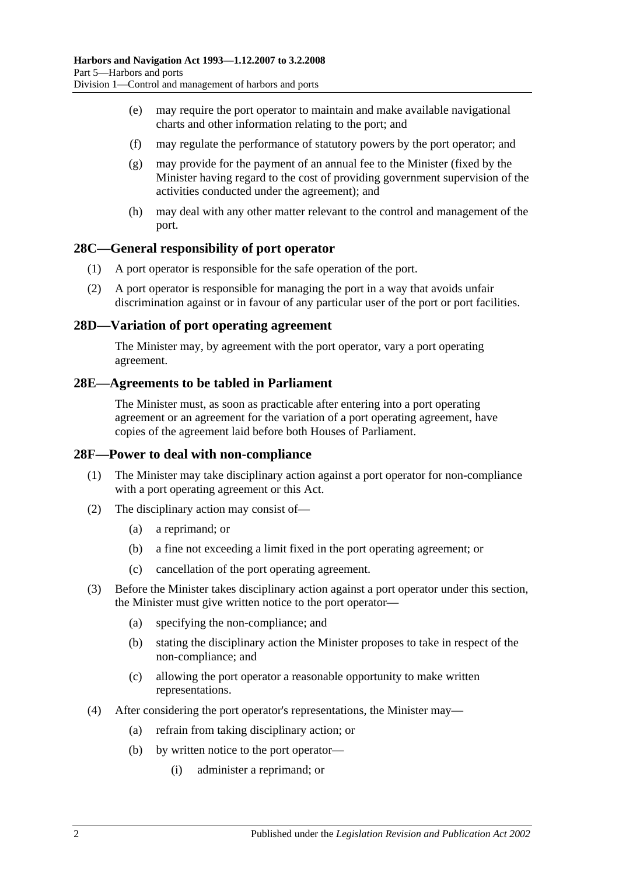- (e) may require the port operator to maintain and make available navigational charts and other information relating to the port; and
- (f) may regulate the performance of statutory powers by the port operator; and
- (g) may provide for the payment of an annual fee to the Minister (fixed by the Minister having regard to the cost of providing government supervision of the activities conducted under the agreement); and
- (h) may deal with any other matter relevant to the control and management of the port.

#### <span id="page-23-0"></span>**28C—General responsibility of port operator**

- (1) A port operator is responsible for the safe operation of the port.
- (2) A port operator is responsible for managing the port in a way that avoids unfair discrimination against or in favour of any particular user of the port or port facilities.

#### <span id="page-23-1"></span>**28D—Variation of port operating agreement**

The Minister may, by agreement with the port operator, vary a port operating agreement.

#### <span id="page-23-2"></span>**28E—Agreements to be tabled in Parliament**

The Minister must, as soon as practicable after entering into a port operating agreement or an agreement for the variation of a port operating agreement, have copies of the agreement laid before both Houses of Parliament.

#### <span id="page-23-3"></span>**28F—Power to deal with non-compliance**

- (1) The Minister may take disciplinary action against a port operator for non-compliance with a port operating agreement or this Act.
- (2) The disciplinary action may consist of—
	- (a) a reprimand; or
	- (b) a fine not exceeding a limit fixed in the port operating agreement; or
	- (c) cancellation of the port operating agreement.
- (3) Before the Minister takes disciplinary action against a port operator under this section, the Minister must give written notice to the port operator—
	- (a) specifying the non-compliance; and
	- (b) stating the disciplinary action the Minister proposes to take in respect of the non-compliance; and
	- (c) allowing the port operator a reasonable opportunity to make written representations.
- (4) After considering the port operator's representations, the Minister may—
	- (a) refrain from taking disciplinary action; or
	- (b) by written notice to the port operator—
		- (i) administer a reprimand; or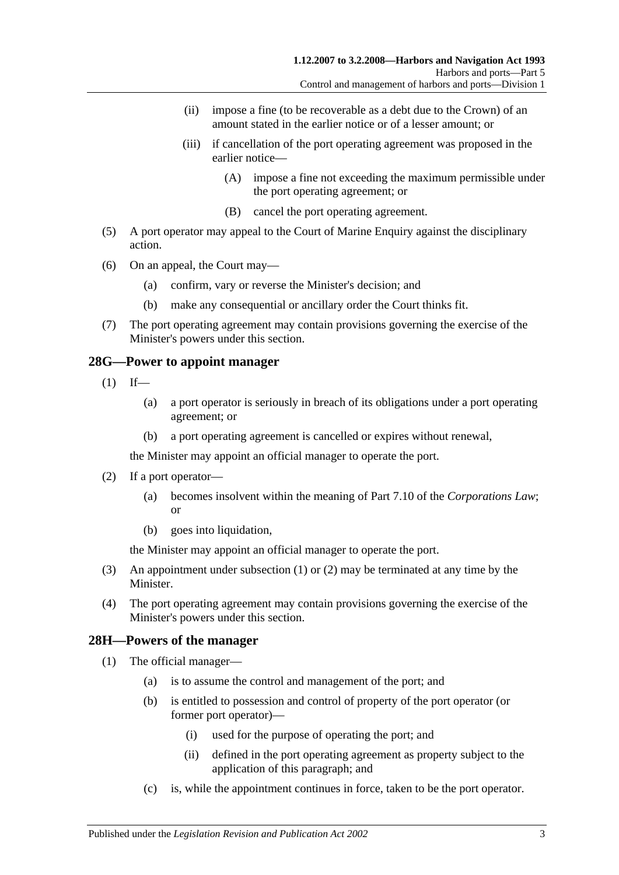- (ii) impose a fine (to be recoverable as a debt due to the Crown) of an amount stated in the earlier notice or of a lesser amount; or
- (iii) if cancellation of the port operating agreement was proposed in the earlier notice—
	- (A) impose a fine not exceeding the maximum permissible under the port operating agreement; or
	- (B) cancel the port operating agreement.
- (5) A port operator may appeal to the Court of Marine Enquiry against the disciplinary action.
- (6) On an appeal, the Court may—
	- (a) confirm, vary or reverse the Minister's decision; and
	- (b) make any consequential or ancillary order the Court thinks fit.
- (7) The port operating agreement may contain provisions governing the exercise of the Minister's powers under this section.

#### <span id="page-24-2"></span><span id="page-24-0"></span>**28G—Power to appoint manager**

- $(1)$  If—
	- (a) a port operator is seriously in breach of its obligations under a port operating agreement; or
	- (b) a port operating agreement is cancelled or expires without renewal,

the Minister may appoint an official manager to operate the port.

- <span id="page-24-3"></span>(2) If a port operator—
	- (a) becomes insolvent within the meaning of Part 7.10 of the *Corporations Law*; or
	- (b) goes into liquidation,

the Minister may appoint an official manager to operate the port.

- (3) An appointment under [subsection](#page-24-2) (1) or [\(2\)](#page-24-3) may be terminated at any time by the Minister.
- (4) The port operating agreement may contain provisions governing the exercise of the Minister's powers under this section.

#### <span id="page-24-4"></span><span id="page-24-1"></span>**28H—Powers of the manager**

- (1) The official manager—
	- (a) is to assume the control and management of the port; and
	- (b) is entitled to possession and control of property of the port operator (or former port operator)—
		- (i) used for the purpose of operating the port; and
		- (ii) defined in the port operating agreement as property subject to the application of this paragraph; and
	- (c) is, while the appointment continues in force, taken to be the port operator.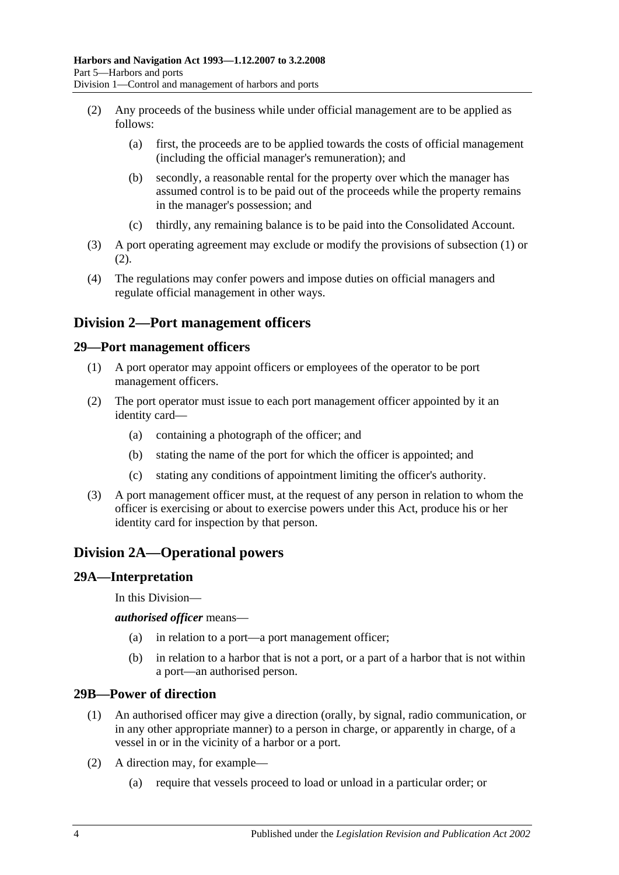- <span id="page-25-5"></span>(2) Any proceeds of the business while under official management are to be applied as follows:
	- (a) first, the proceeds are to be applied towards the costs of official management (including the official manager's remuneration); and
	- (b) secondly, a reasonable rental for the property over which the manager has assumed control is to be paid out of the proceeds while the property remains in the manager's possession; and
	- (c) thirdly, any remaining balance is to be paid into the Consolidated Account.
- (3) A port operating agreement may exclude or modify the provisions of [subsection](#page-24-4) (1) or [\(2\).](#page-25-5)
- (4) The regulations may confer powers and impose duties on official managers and regulate official management in other ways.

# <span id="page-25-0"></span>**Division 2—Port management officers**

#### <span id="page-25-1"></span>**29—Port management officers**

- (1) A port operator may appoint officers or employees of the operator to be port management officers.
- (2) The port operator must issue to each port management officer appointed by it an identity card—
	- (a) containing a photograph of the officer; and
	- (b) stating the name of the port for which the officer is appointed; and
	- (c) stating any conditions of appointment limiting the officer's authority.
- (3) A port management officer must, at the request of any person in relation to whom the officer is exercising or about to exercise powers under this Act, produce his or her identity card for inspection by that person.

# <span id="page-25-2"></span>**Division 2A—Operational powers**

#### <span id="page-25-3"></span>**29A—Interpretation**

In this Division—

*authorised officer* means—

- (a) in relation to a port—a port management officer;
- (b) in relation to a harbor that is not a port, or a part of a harbor that is not within a port—an authorised person.

#### <span id="page-25-4"></span>**29B—Power of direction**

- (1) An authorised officer may give a direction (orally, by signal, radio communication, or in any other appropriate manner) to a person in charge, or apparently in charge, of a vessel in or in the vicinity of a harbor or a port.
- (2) A direction may, for example—
	- (a) require that vessels proceed to load or unload in a particular order; or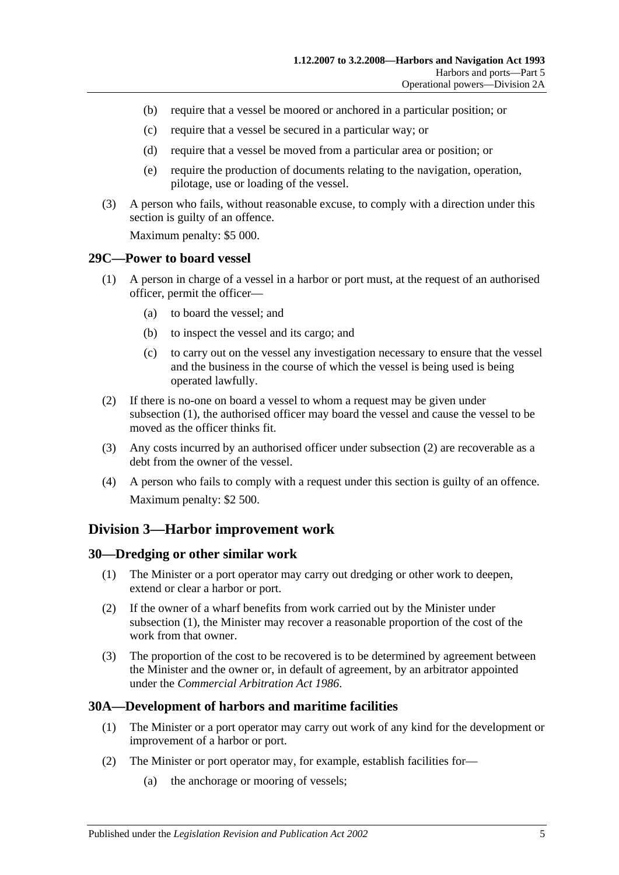- (b) require that a vessel be moored or anchored in a particular position; or
- (c) require that a vessel be secured in a particular way; or
- (d) require that a vessel be moved from a particular area or position; or
- (e) require the production of documents relating to the navigation, operation, pilotage, use or loading of the vessel.
- (3) A person who fails, without reasonable excuse, to comply with a direction under this section is guilty of an offence.

Maximum penalty: \$5 000.

#### <span id="page-26-4"></span><span id="page-26-0"></span>**29C—Power to board vessel**

- (1) A person in charge of a vessel in a harbor or port must, at the request of an authorised officer, permit the officer—
	- (a) to board the vessel; and
	- (b) to inspect the vessel and its cargo; and
	- (c) to carry out on the vessel any investigation necessary to ensure that the vessel and the business in the course of which the vessel is being used is being operated lawfully.
- <span id="page-26-5"></span>(2) If there is no-one on board a vessel to whom a request may be given under [subsection](#page-26-4) (1), the authorised officer may board the vessel and cause the vessel to be moved as the officer thinks fit.
- (3) Any costs incurred by an authorised officer under [subsection](#page-26-5) (2) are recoverable as a debt from the owner of the vessel.
- (4) A person who fails to comply with a request under this section is guilty of an offence. Maximum penalty: \$2 500.

# <span id="page-26-1"></span>**Division 3—Harbor improvement work**

#### <span id="page-26-6"></span><span id="page-26-2"></span>**30—Dredging or other similar work**

- (1) The Minister or a port operator may carry out dredging or other work to deepen, extend or clear a harbor or port.
- (2) If the owner of a wharf benefits from work carried out by the Minister under [subsection](#page-26-6) (1), the Minister may recover a reasonable proportion of the cost of the work from that owner.
- (3) The proportion of the cost to be recovered is to be determined by agreement between the Minister and the owner or, in default of agreement, by an arbitrator appointed under the *[Commercial Arbitration Act](http://www.legislation.sa.gov.au/index.aspx?action=legref&type=act&legtitle=Commercial%20Arbitration%20Act%201986) 1986*.

# <span id="page-26-3"></span>**30A—Development of harbors and maritime facilities**

- (1) The Minister or a port operator may carry out work of any kind for the development or improvement of a harbor or port.
- (2) The Minister or port operator may, for example, establish facilities for—
	- (a) the anchorage or mooring of vessels;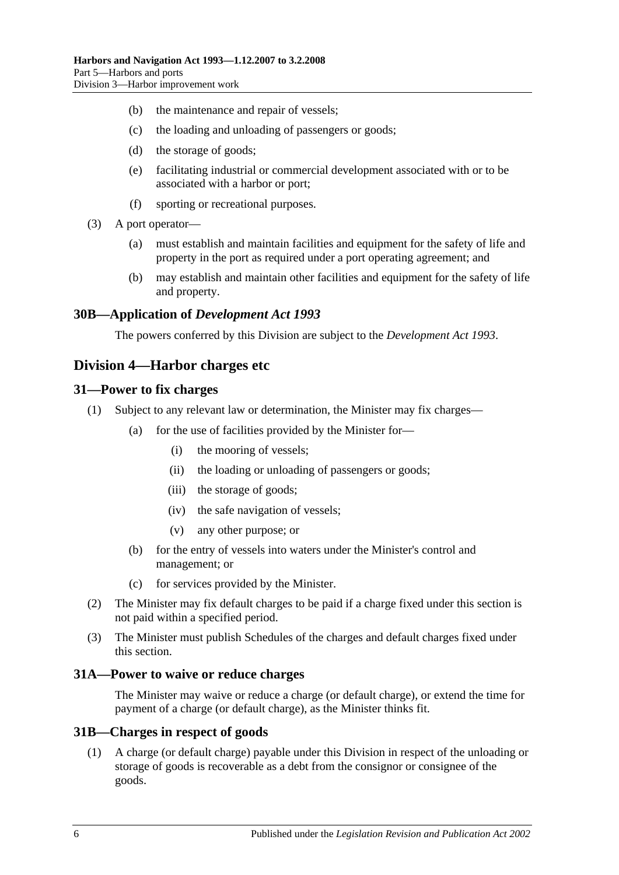- (b) the maintenance and repair of vessels;
- (c) the loading and unloading of passengers or goods;
- (d) the storage of goods;
- (e) facilitating industrial or commercial development associated with or to be associated with a harbor or port;
- (f) sporting or recreational purposes.
- (3) A port operator—
	- (a) must establish and maintain facilities and equipment for the safety of life and property in the port as required under a port operating agreement; and
	- (b) may establish and maintain other facilities and equipment for the safety of life and property.

#### <span id="page-27-0"></span>**30B—Application of** *Development Act 1993*

The powers conferred by this Division are subject to the *[Development Act](http://www.legislation.sa.gov.au/index.aspx?action=legref&type=act&legtitle=Development%20Act%201993) 1993*.

# <span id="page-27-1"></span>**Division 4—Harbor charges etc**

#### <span id="page-27-2"></span>**31—Power to fix charges**

- (1) Subject to any relevant law or determination, the Minister may fix charges—
	- (a) for the use of facilities provided by the Minister for—
		- (i) the mooring of vessels;
		- (ii) the loading or unloading of passengers or goods;
		- (iii) the storage of goods;
		- (iv) the safe navigation of vessels;
		- (v) any other purpose; or
	- (b) for the entry of vessels into waters under the Minister's control and management; or
	- (c) for services provided by the Minister.
- (2) The Minister may fix default charges to be paid if a charge fixed under this section is not paid within a specified period.
- (3) The Minister must publish Schedules of the charges and default charges fixed under this section.

#### <span id="page-27-3"></span>**31A—Power to waive or reduce charges**

The Minister may waive or reduce a charge (or default charge), or extend the time for payment of a charge (or default charge), as the Minister thinks fit.

#### <span id="page-27-4"></span>**31B—Charges in respect of goods**

(1) A charge (or default charge) payable under this Division in respect of the unloading or storage of goods is recoverable as a debt from the consignor or consignee of the goods.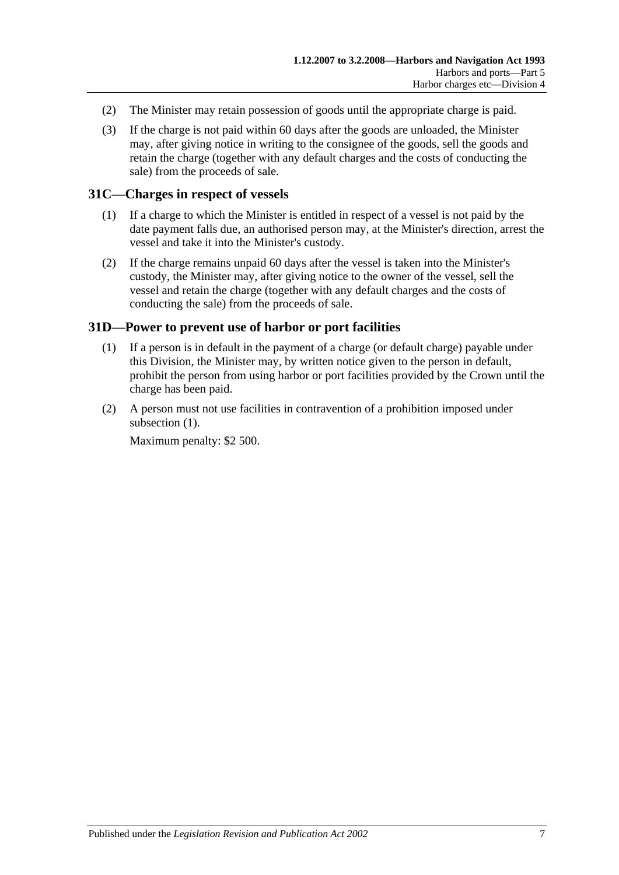- (2) The Minister may retain possession of goods until the appropriate charge is paid.
- (3) If the charge is not paid within 60 days after the goods are unloaded, the Minister may, after giving notice in writing to the consignee of the goods, sell the goods and retain the charge (together with any default charges and the costs of conducting the sale) from the proceeds of sale.

#### <span id="page-28-0"></span>**31C—Charges in respect of vessels**

- (1) If a charge to which the Minister is entitled in respect of a vessel is not paid by the date payment falls due, an authorised person may, at the Minister's direction, arrest the vessel and take it into the Minister's custody.
- (2) If the charge remains unpaid 60 days after the vessel is taken into the Minister's custody, the Minister may, after giving notice to the owner of the vessel, sell the vessel and retain the charge (together with any default charges and the costs of conducting the sale) from the proceeds of sale.

#### <span id="page-28-2"></span><span id="page-28-1"></span>**31D—Power to prevent use of harbor or port facilities**

- (1) If a person is in default in the payment of a charge (or default charge) payable under this Division, the Minister may, by written notice given to the person in default, prohibit the person from using harbor or port facilities provided by the Crown until the charge has been paid.
- (2) A person must not use facilities in contravention of a prohibition imposed under [subsection](#page-28-2)  $(1)$ .

Maximum penalty: \$2 500.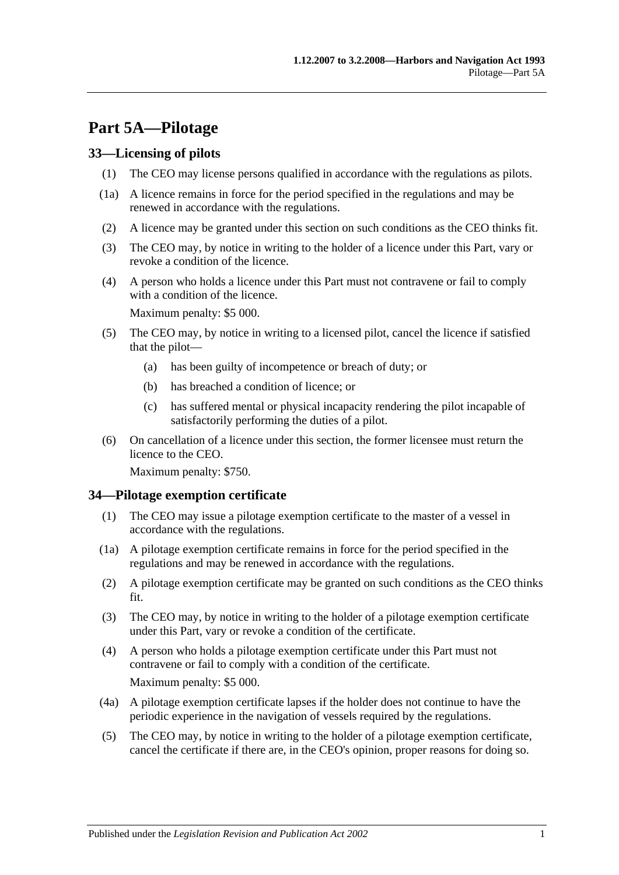# <span id="page-30-0"></span>**Part 5A—Pilotage**

#### <span id="page-30-1"></span>**33—Licensing of pilots**

- (1) The CEO may license persons qualified in accordance with the regulations as pilots.
- (1a) A licence remains in force for the period specified in the regulations and may be renewed in accordance with the regulations.
- (2) A licence may be granted under this section on such conditions as the CEO thinks fit.
- (3) The CEO may, by notice in writing to the holder of a licence under this Part, vary or revoke a condition of the licence.
- (4) A person who holds a licence under this Part must not contravene or fail to comply with a condition of the licence.

Maximum penalty: \$5 000.

- (5) The CEO may, by notice in writing to a licensed pilot, cancel the licence if satisfied that the pilot—
	- (a) has been guilty of incompetence or breach of duty; or
	- (b) has breached a condition of licence; or
	- (c) has suffered mental or physical incapacity rendering the pilot incapable of satisfactorily performing the duties of a pilot.
- (6) On cancellation of a licence under this section, the former licensee must return the licence to the CEO.

Maximum penalty: \$750.

#### <span id="page-30-2"></span>**34—Pilotage exemption certificate**

- (1) The CEO may issue a pilotage exemption certificate to the master of a vessel in accordance with the regulations.
- (1a) A pilotage exemption certificate remains in force for the period specified in the regulations and may be renewed in accordance with the regulations.
- (2) A pilotage exemption certificate may be granted on such conditions as the CEO thinks fit.
- (3) The CEO may, by notice in writing to the holder of a pilotage exemption certificate under this Part, vary or revoke a condition of the certificate.
- (4) A person who holds a pilotage exemption certificate under this Part must not contravene or fail to comply with a condition of the certificate. Maximum penalty: \$5 000.
- (4a) A pilotage exemption certificate lapses if the holder does not continue to have the periodic experience in the navigation of vessels required by the regulations.
- (5) The CEO may, by notice in writing to the holder of a pilotage exemption certificate, cancel the certificate if there are, in the CEO's opinion, proper reasons for doing so.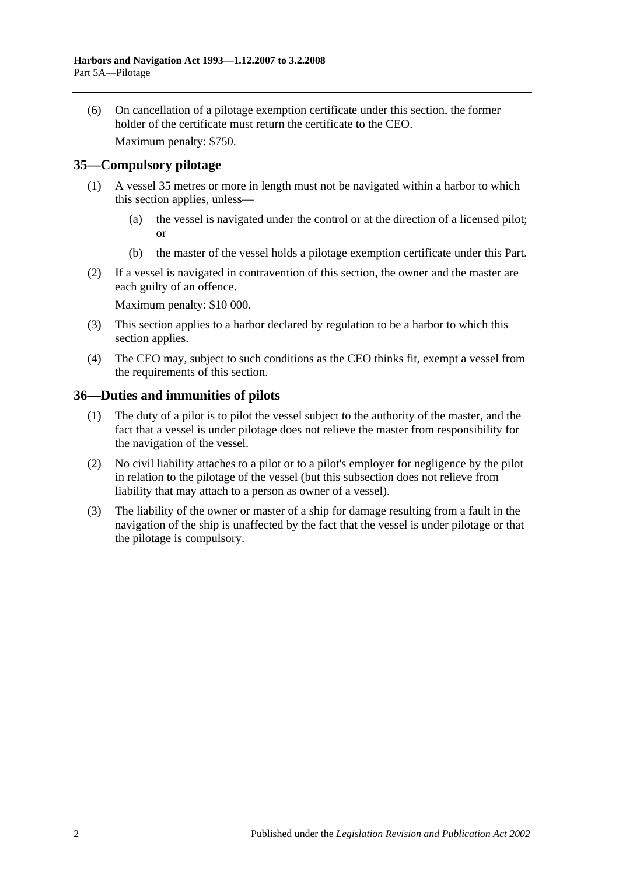(6) On cancellation of a pilotage exemption certificate under this section, the former holder of the certificate must return the certificate to the CEO.

Maximum penalty: \$750.

# <span id="page-31-0"></span>**35—Compulsory pilotage**

- (1) A vessel 35 metres or more in length must not be navigated within a harbor to which this section applies, unless—
	- (a) the vessel is navigated under the control or at the direction of a licensed pilot; or
	- (b) the master of the vessel holds a pilotage exemption certificate under this Part.
- (2) If a vessel is navigated in contravention of this section, the owner and the master are each guilty of an offence.

Maximum penalty: \$10 000.

- (3) This section applies to a harbor declared by regulation to be a harbor to which this section applies.
- (4) The CEO may, subject to such conditions as the CEO thinks fit, exempt a vessel from the requirements of this section.

#### <span id="page-31-1"></span>**36—Duties and immunities of pilots**

- (1) The duty of a pilot is to pilot the vessel subject to the authority of the master, and the fact that a vessel is under pilotage does not relieve the master from responsibility for the navigation of the vessel.
- (2) No civil liability attaches to a pilot or to a pilot's employer for negligence by the pilot in relation to the pilotage of the vessel (but this subsection does not relieve from liability that may attach to a person as owner of a vessel).
- (3) The liability of the owner or master of a ship for damage resulting from a fault in the navigation of the ship is unaffected by the fact that the vessel is under pilotage or that the pilotage is compulsory.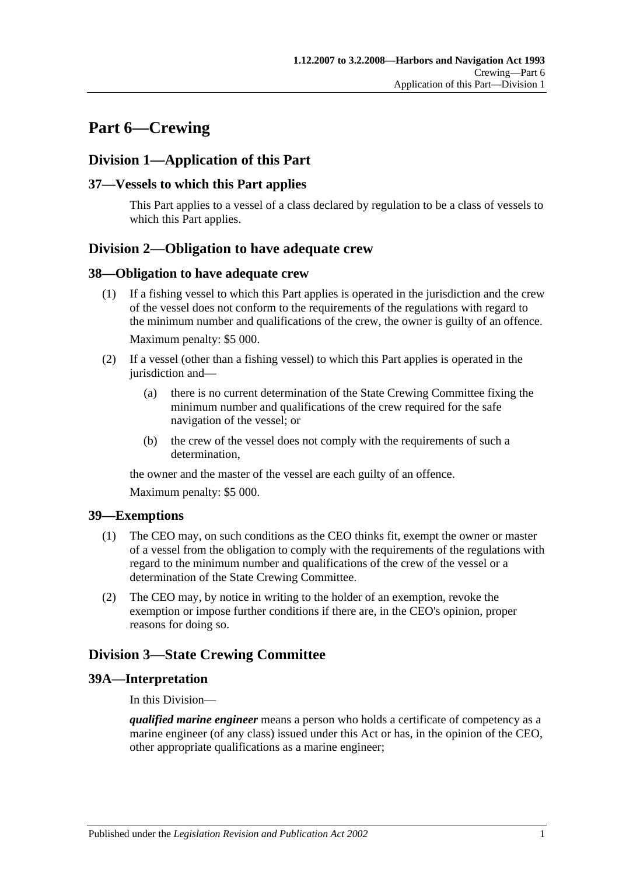# <span id="page-32-0"></span>**Part 6—Crewing**

# <span id="page-32-1"></span>**Division 1—Application of this Part**

# <span id="page-32-2"></span>**37—Vessels to which this Part applies**

This Part applies to a vessel of a class declared by regulation to be a class of vessels to which this Part applies.

# <span id="page-32-3"></span>**Division 2—Obligation to have adequate crew**

#### <span id="page-32-4"></span>**38—Obligation to have adequate crew**

- (1) If a fishing vessel to which this Part applies is operated in the jurisdiction and the crew of the vessel does not conform to the requirements of the regulations with regard to the minimum number and qualifications of the crew, the owner is guilty of an offence. Maximum penalty: \$5 000.
- (2) If a vessel (other than a fishing vessel) to which this Part applies is operated in the jurisdiction and—
	- (a) there is no current determination of the State Crewing Committee fixing the minimum number and qualifications of the crew required for the safe navigation of the vessel; or
	- (b) the crew of the vessel does not comply with the requirements of such a determination,

the owner and the master of the vessel are each guilty of an offence.

Maximum penalty: \$5 000.

# <span id="page-32-5"></span>**39—Exemptions**

- (1) The CEO may, on such conditions as the CEO thinks fit, exempt the owner or master of a vessel from the obligation to comply with the requirements of the regulations with regard to the minimum number and qualifications of the crew of the vessel or a determination of the State Crewing Committee.
- (2) The CEO may, by notice in writing to the holder of an exemption, revoke the exemption or impose further conditions if there are, in the CEO's opinion, proper reasons for doing so.

# <span id="page-32-6"></span>**Division 3—State Crewing Committee**

# <span id="page-32-7"></span>**39A—Interpretation**

In this Division—

*qualified marine engineer* means a person who holds a certificate of competency as a marine engineer (of any class) issued under this Act or has, in the opinion of the CEO, other appropriate qualifications as a marine engineer;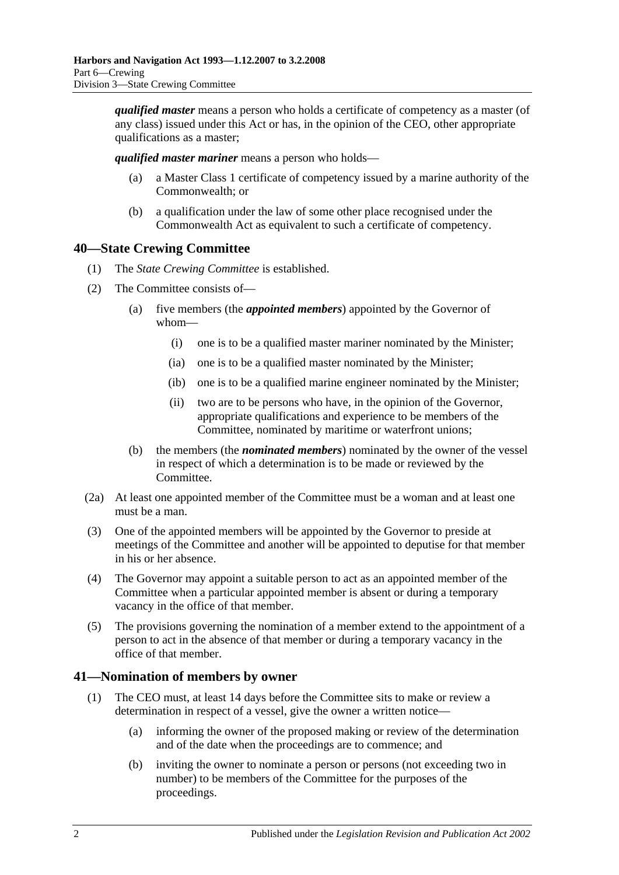*qualified master* means a person who holds a certificate of competency as a master (of any class) issued under this Act or has, in the opinion of the CEO, other appropriate qualifications as a master;

*qualified master mariner* means a person who holds—

- (a) a Master Class 1 certificate of competency issued by a marine authority of the Commonwealth; or
- (b) a qualification under the law of some other place recognised under the Commonwealth Act as equivalent to such a certificate of competency.

# <span id="page-33-0"></span>**40—State Crewing Committee**

- (1) The *State Crewing Committee* is established.
- (2) The Committee consists of—
	- (a) five members (the *appointed members*) appointed by the Governor of whom—
		- (i) one is to be a qualified master mariner nominated by the Minister;
		- (ia) one is to be a qualified master nominated by the Minister;
		- (ib) one is to be a qualified marine engineer nominated by the Minister;
		- (ii) two are to be persons who have, in the opinion of the Governor, appropriate qualifications and experience to be members of the Committee, nominated by maritime or waterfront unions;
	- (b) the members (the *nominated members*) nominated by the owner of the vessel in respect of which a determination is to be made or reviewed by the Committee.
- (2a) At least one appointed member of the Committee must be a woman and at least one must be a man.
- (3) One of the appointed members will be appointed by the Governor to preside at meetings of the Committee and another will be appointed to deputise for that member in his or her absence.
- (4) The Governor may appoint a suitable person to act as an appointed member of the Committee when a particular appointed member is absent or during a temporary vacancy in the office of that member.
- (5) The provisions governing the nomination of a member extend to the appointment of a person to act in the absence of that member or during a temporary vacancy in the office of that member.

# <span id="page-33-1"></span>**41—Nomination of members by owner**

- (1) The CEO must, at least 14 days before the Committee sits to make or review a determination in respect of a vessel, give the owner a written notice—
	- (a) informing the owner of the proposed making or review of the determination and of the date when the proceedings are to commence; and
	- (b) inviting the owner to nominate a person or persons (not exceeding two in number) to be members of the Committee for the purposes of the proceedings.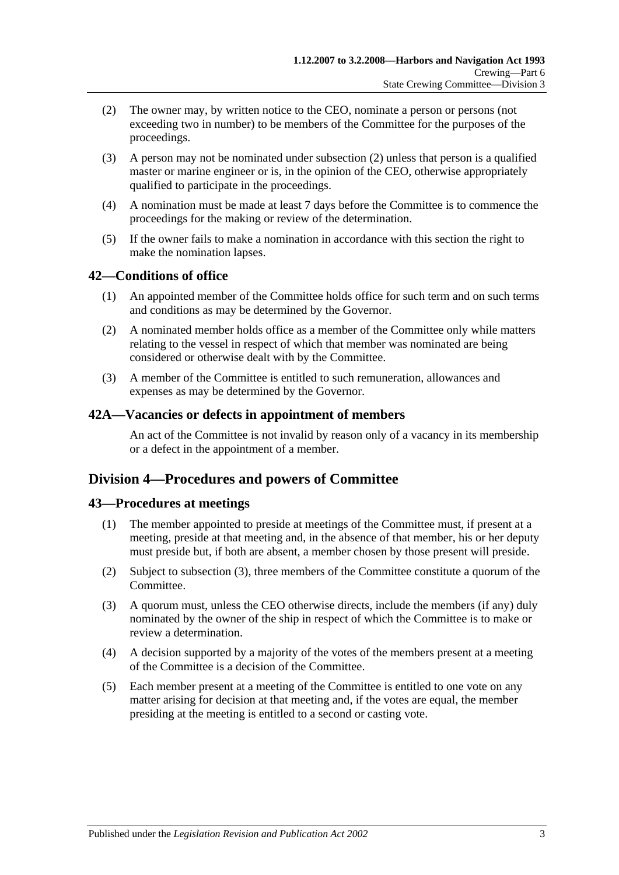- <span id="page-34-4"></span>(2) The owner may, by written notice to the CEO, nominate a person or persons (not exceeding two in number) to be members of the Committee for the purposes of the proceedings.
- (3) A person may not be nominated under [subsection](#page-34-4) (2) unless that person is a qualified master or marine engineer or is, in the opinion of the CEO, otherwise appropriately qualified to participate in the proceedings.
- (4) A nomination must be made at least 7 days before the Committee is to commence the proceedings for the making or review of the determination.
- (5) If the owner fails to make a nomination in accordance with this section the right to make the nomination lapses.

# <span id="page-34-0"></span>**42—Conditions of office**

- (1) An appointed member of the Committee holds office for such term and on such terms and conditions as may be determined by the Governor.
- (2) A nominated member holds office as a member of the Committee only while matters relating to the vessel in respect of which that member was nominated are being considered or otherwise dealt with by the Committee.
- (3) A member of the Committee is entitled to such remuneration, allowances and expenses as may be determined by the Governor.

#### <span id="page-34-1"></span>**42A—Vacancies or defects in appointment of members**

An act of the Committee is not invalid by reason only of a vacancy in its membership or a defect in the appointment of a member.

# <span id="page-34-2"></span>**Division 4—Procedures and powers of Committee**

# <span id="page-34-3"></span>**43—Procedures at meetings**

- (1) The member appointed to preside at meetings of the Committee must, if present at a meeting, preside at that meeting and, in the absence of that member, his or her deputy must preside but, if both are absent, a member chosen by those present will preside.
- (2) Subject to [subsection](#page-34-5) (3), three members of the Committee constitute a quorum of the Committee.
- <span id="page-34-5"></span>(3) A quorum must, unless the CEO otherwise directs, include the members (if any) duly nominated by the owner of the ship in respect of which the Committee is to make or review a determination.
- (4) A decision supported by a majority of the votes of the members present at a meeting of the Committee is a decision of the Committee.
- (5) Each member present at a meeting of the Committee is entitled to one vote on any matter arising for decision at that meeting and, if the votes are equal, the member presiding at the meeting is entitled to a second or casting vote.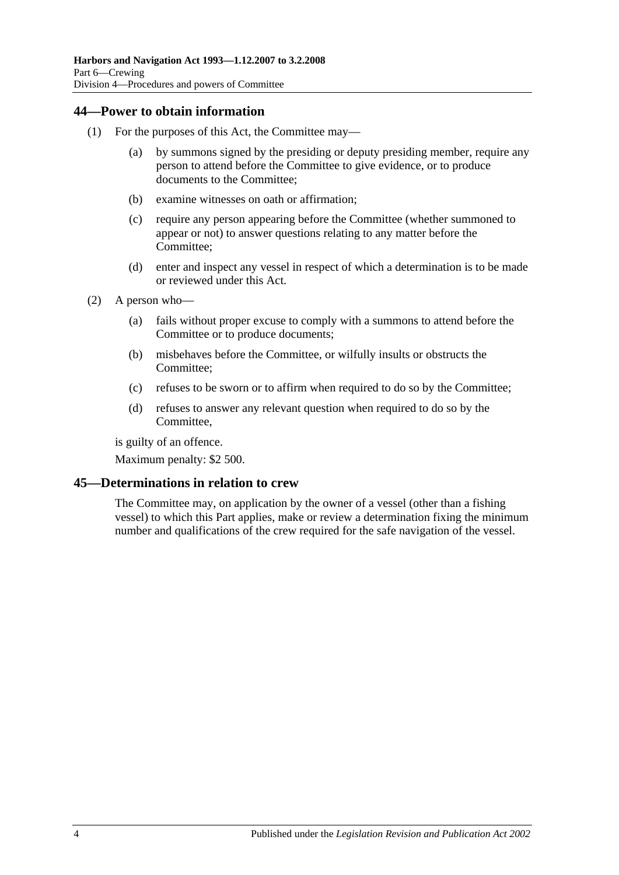# <span id="page-35-0"></span>**44—Power to obtain information**

- (1) For the purposes of this Act, the Committee may—
	- (a) by summons signed by the presiding or deputy presiding member, require any person to attend before the Committee to give evidence, or to produce documents to the Committee;
	- (b) examine witnesses on oath or affirmation;
	- (c) require any person appearing before the Committee (whether summoned to appear or not) to answer questions relating to any matter before the Committee;
	- (d) enter and inspect any vessel in respect of which a determination is to be made or reviewed under this Act.
- (2) A person who—
	- (a) fails without proper excuse to comply with a summons to attend before the Committee or to produce documents;
	- (b) misbehaves before the Committee, or wilfully insults or obstructs the Committee;
	- (c) refuses to be sworn or to affirm when required to do so by the Committee;
	- (d) refuses to answer any relevant question when required to do so by the Committee,

is guilty of an offence.

Maximum penalty: \$2 500.

# <span id="page-35-1"></span>**45—Determinations in relation to crew**

The Committee may, on application by the owner of a vessel (other than a fishing vessel) to which this Part applies, make or review a determination fixing the minimum number and qualifications of the crew required for the safe navigation of the vessel.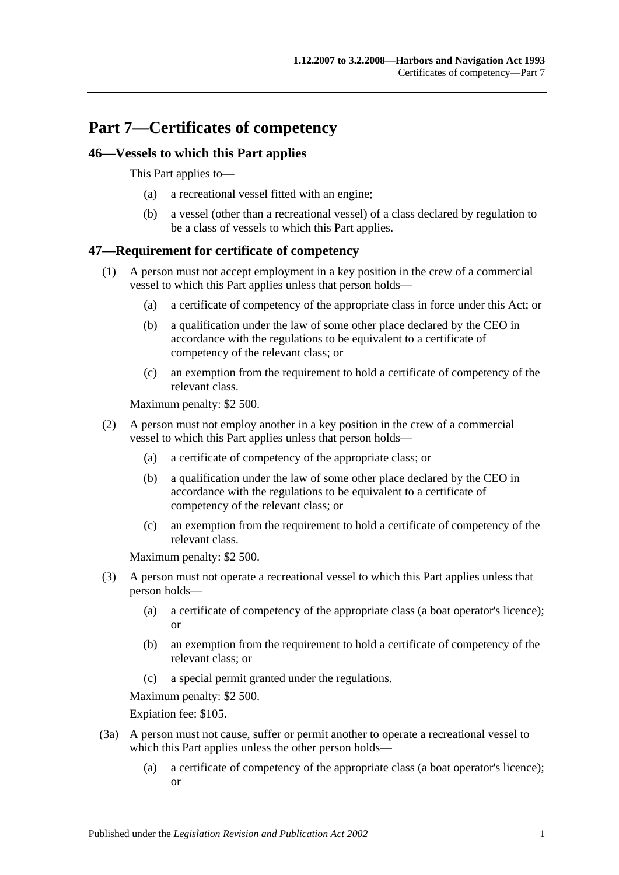# **Part 7—Certificates of competency**

## **46—Vessels to which this Part applies**

This Part applies to—

- (a) a recreational vessel fitted with an engine;
- (b) a vessel (other than a recreational vessel) of a class declared by regulation to be a class of vessels to which this Part applies.

## **47—Requirement for certificate of competency**

- (1) A person must not accept employment in a key position in the crew of a commercial vessel to which this Part applies unless that person holds—
	- (a) a certificate of competency of the appropriate class in force under this Act; or
	- (b) a qualification under the law of some other place declared by the CEO in accordance with the regulations to be equivalent to a certificate of competency of the relevant class; or
	- (c) an exemption from the requirement to hold a certificate of competency of the relevant class.

Maximum penalty: \$2 500.

- (2) A person must not employ another in a key position in the crew of a commercial vessel to which this Part applies unless that person holds—
	- (a) a certificate of competency of the appropriate class; or
	- (b) a qualification under the law of some other place declared by the CEO in accordance with the regulations to be equivalent to a certificate of competency of the relevant class; or
	- (c) an exemption from the requirement to hold a certificate of competency of the relevant class.

Maximum penalty: \$2 500.

- (3) A person must not operate a recreational vessel to which this Part applies unless that person holds—
	- (a) a certificate of competency of the appropriate class (a boat operator's licence); or
	- (b) an exemption from the requirement to hold a certificate of competency of the relevant class; or
	- (c) a special permit granted under the regulations.

Maximum penalty: \$2 500.

Expiation fee: \$105.

- (3a) A person must not cause, suffer or permit another to operate a recreational vessel to which this Part applies unless the other person holds—
	- (a) a certificate of competency of the appropriate class (a boat operator's licence); or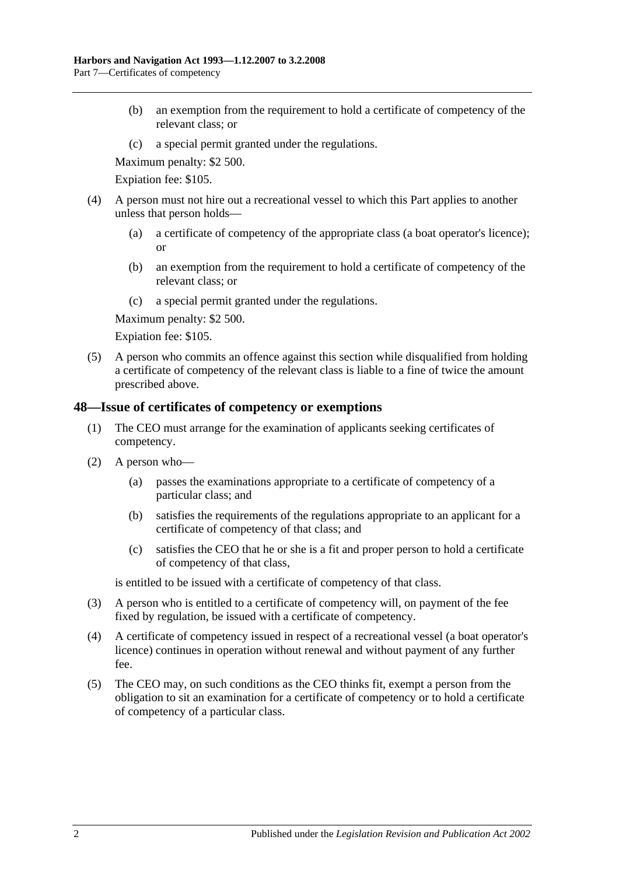- (b) an exemption from the requirement to hold a certificate of competency of the relevant class; or
- (c) a special permit granted under the regulations.

Maximum penalty: \$2 500.

Expiation fee: \$105.

- (4) A person must not hire out a recreational vessel to which this Part applies to another unless that person holds—
	- (a) a certificate of competency of the appropriate class (a boat operator's licence); or
	- (b) an exemption from the requirement to hold a certificate of competency of the relevant class; or
	- (c) a special permit granted under the regulations.

Maximum penalty: \$2 500.

Expiation fee: \$105.

(5) A person who commits an offence against this section while disqualified from holding a certificate of competency of the relevant class is liable to a fine of twice the amount prescribed above.

#### **48—Issue of certificates of competency or exemptions**

- (1) The CEO must arrange for the examination of applicants seeking certificates of competency.
- (2) A person who—
	- (a) passes the examinations appropriate to a certificate of competency of a particular class; and
	- (b) satisfies the requirements of the regulations appropriate to an applicant for a certificate of competency of that class; and
	- (c) satisfies the CEO that he or she is a fit and proper person to hold a certificate of competency of that class,

is entitled to be issued with a certificate of competency of that class.

- (3) A person who is entitled to a certificate of competency will, on payment of the fee fixed by regulation, be issued with a certificate of competency.
- (4) A certificate of competency issued in respect of a recreational vessel (a boat operator's licence) continues in operation without renewal and without payment of any further fee.
- (5) The CEO may, on such conditions as the CEO thinks fit, exempt a person from the obligation to sit an examination for a certificate of competency or to hold a certificate of competency of a particular class.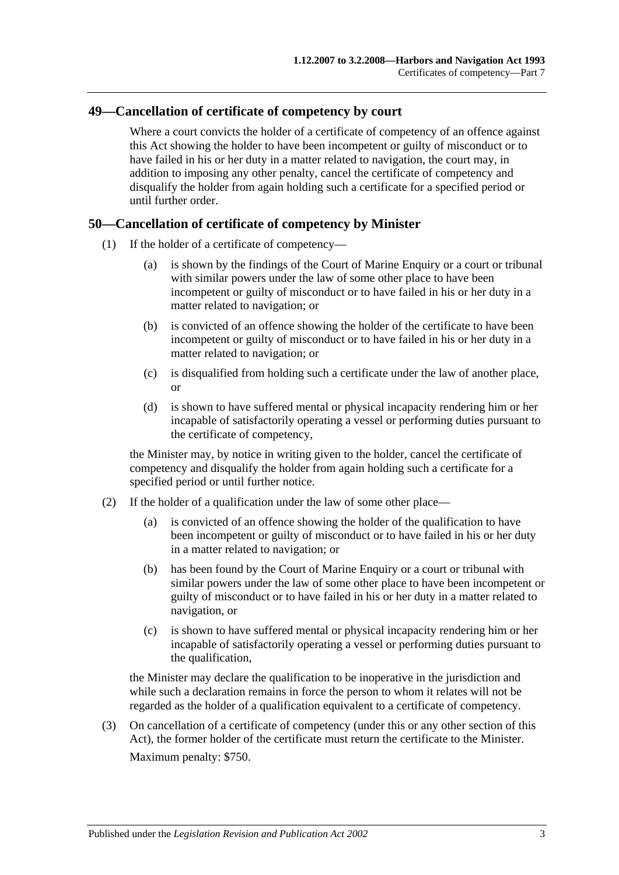#### **49—Cancellation of certificate of competency by court**

Where a court convicts the holder of a certificate of competency of an offence against this Act showing the holder to have been incompetent or guilty of misconduct or to have failed in his or her duty in a matter related to navigation, the court may, in addition to imposing any other penalty, cancel the certificate of competency and disqualify the holder from again holding such a certificate for a specified period or until further order.

#### **50—Cancellation of certificate of competency by Minister**

- (1) If the holder of a certificate of competency—
	- (a) is shown by the findings of the Court of Marine Enquiry or a court or tribunal with similar powers under the law of some other place to have been incompetent or guilty of misconduct or to have failed in his or her duty in a matter related to navigation; or
	- (b) is convicted of an offence showing the holder of the certificate to have been incompetent or guilty of misconduct or to have failed in his or her duty in a matter related to navigation; or
	- (c) is disqualified from holding such a certificate under the law of another place, or
	- (d) is shown to have suffered mental or physical incapacity rendering him or her incapable of satisfactorily operating a vessel or performing duties pursuant to the certificate of competency,

the Minister may, by notice in writing given to the holder, cancel the certificate of competency and disqualify the holder from again holding such a certificate for a specified period or until further notice.

- (2) If the holder of a qualification under the law of some other place—
	- (a) is convicted of an offence showing the holder of the qualification to have been incompetent or guilty of misconduct or to have failed in his or her duty in a matter related to navigation; or
	- (b) has been found by the Court of Marine Enquiry or a court or tribunal with similar powers under the law of some other place to have been incompetent or guilty of misconduct or to have failed in his or her duty in a matter related to navigation, or
	- (c) is shown to have suffered mental or physical incapacity rendering him or her incapable of satisfactorily operating a vessel or performing duties pursuant to the qualification,

the Minister may declare the qualification to be inoperative in the jurisdiction and while such a declaration remains in force the person to whom it relates will not be regarded as the holder of a qualification equivalent to a certificate of competency.

(3) On cancellation of a certificate of competency (under this or any other section of this Act), the former holder of the certificate must return the certificate to the Minister. Maximum penalty: \$750.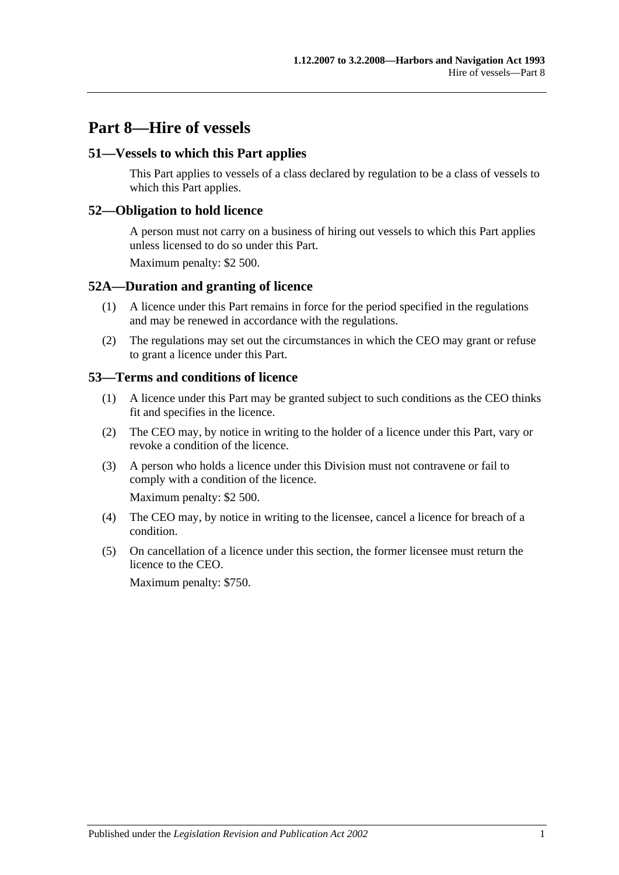# **Part 8—Hire of vessels**

#### **51—Vessels to which this Part applies**

This Part applies to vessels of a class declared by regulation to be a class of vessels to which this Part applies.

#### **52—Obligation to hold licence**

A person must not carry on a business of hiring out vessels to which this Part applies unless licensed to do so under this Part.

Maximum penalty: \$2 500.

#### **52A—Duration and granting of licence**

- (1) A licence under this Part remains in force for the period specified in the regulations and may be renewed in accordance with the regulations.
- (2) The regulations may set out the circumstances in which the CEO may grant or refuse to grant a licence under this Part.

#### **53—Terms and conditions of licence**

- (1) A licence under this Part may be granted subject to such conditions as the CEO thinks fit and specifies in the licence.
- (2) The CEO may, by notice in writing to the holder of a licence under this Part, vary or revoke a condition of the licence.
- (3) A person who holds a licence under this Division must not contravene or fail to comply with a condition of the licence.

Maximum penalty: \$2 500.

- (4) The CEO may, by notice in writing to the licensee, cancel a licence for breach of a condition.
- (5) On cancellation of a licence under this section, the former licensee must return the licence to the CEO.

Maximum penalty: \$750.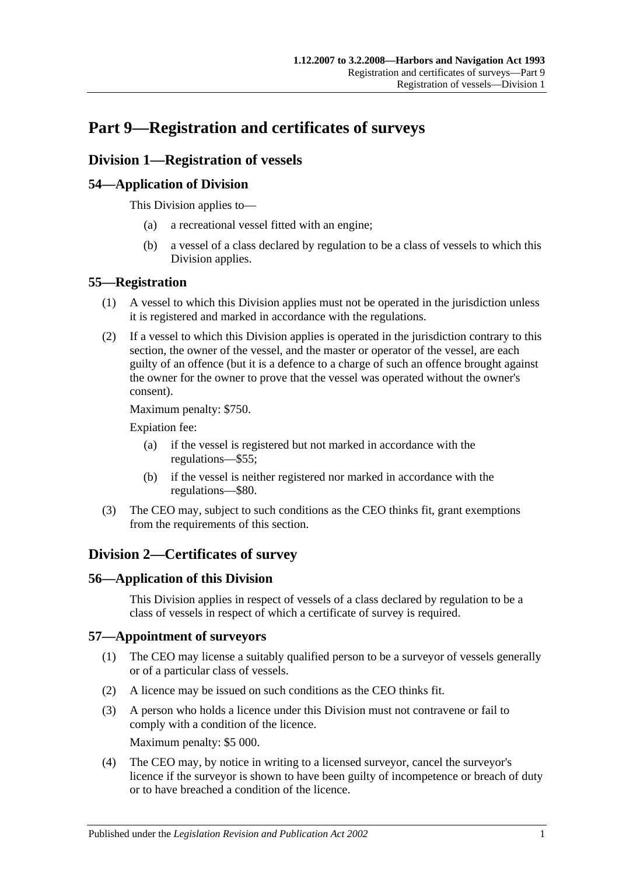# **Part 9—Registration and certificates of surveys**

# **Division 1—Registration of vessels**

## **54—Application of Division**

This Division applies to—

- (a) a recreational vessel fitted with an engine;
- (b) a vessel of a class declared by regulation to be a class of vessels to which this Division applies.

## **55—Registration**

- (1) A vessel to which this Division applies must not be operated in the jurisdiction unless it is registered and marked in accordance with the regulations.
- (2) If a vessel to which this Division applies is operated in the jurisdiction contrary to this section, the owner of the vessel, and the master or operator of the vessel, are each guilty of an offence (but it is a defence to a charge of such an offence brought against the owner for the owner to prove that the vessel was operated without the owner's consent).

Maximum penalty: \$750.

Expiation fee:

- (a) if the vessel is registered but not marked in accordance with the regulations—\$55;
- (b) if the vessel is neither registered nor marked in accordance with the regulations—\$80.
- (3) The CEO may, subject to such conditions as the CEO thinks fit, grant exemptions from the requirements of this section.

# **Division 2—Certificates of survey**

#### **56—Application of this Division**

This Division applies in respect of vessels of a class declared by regulation to be a class of vessels in respect of which a certificate of survey is required.

#### **57—Appointment of surveyors**

- (1) The CEO may license a suitably qualified person to be a surveyor of vessels generally or of a particular class of vessels.
- (2) A licence may be issued on such conditions as the CEO thinks fit.
- (3) A person who holds a licence under this Division must not contravene or fail to comply with a condition of the licence. Maximum penalty: \$5 000.
- (4) The CEO may, by notice in writing to a licensed surveyor, cancel the surveyor's licence if the surveyor is shown to have been guilty of incompetence or breach of duty or to have breached a condition of the licence.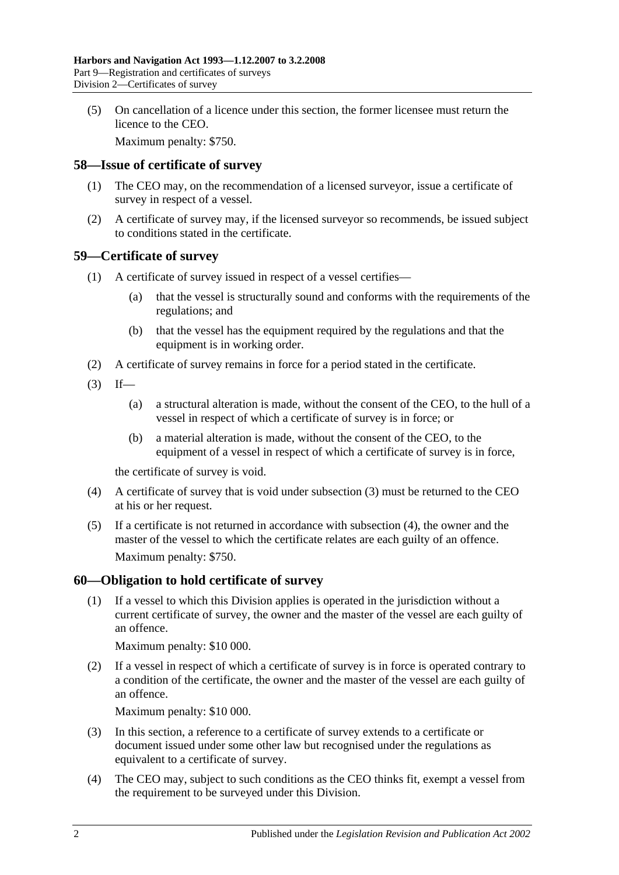(5) On cancellation of a licence under this section, the former licensee must return the licence to the CEO.

Maximum penalty: \$750.

#### **58—Issue of certificate of survey**

- (1) The CEO may, on the recommendation of a licensed surveyor, issue a certificate of survey in respect of a vessel.
- (2) A certificate of survey may, if the licensed surveyor so recommends, be issued subject to conditions stated in the certificate.

#### **59—Certificate of survey**

- (1) A certificate of survey issued in respect of a vessel certifies—
	- (a) that the vessel is structurally sound and conforms with the requirements of the regulations; and
	- (b) that the vessel has the equipment required by the regulations and that the equipment is in working order.
- (2) A certificate of survey remains in force for a period stated in the certificate.
- <span id="page-43-0"></span> $(3)$  If—
	- (a) a structural alteration is made, without the consent of the CEO, to the hull of a vessel in respect of which a certificate of survey is in force; or
	- (b) a material alteration is made, without the consent of the CEO, to the equipment of a vessel in respect of which a certificate of survey is in force,

the certificate of survey is void.

- <span id="page-43-1"></span>(4) A certificate of survey that is void under [subsection](#page-43-0) (3) must be returned to the CEO at his or her request.
- (5) If a certificate is not returned in accordance with [subsection](#page-43-1) (4), the owner and the master of the vessel to which the certificate relates are each guilty of an offence. Maximum penalty: \$750.

#### **60—Obligation to hold certificate of survey**

(1) If a vessel to which this Division applies is operated in the jurisdiction without a current certificate of survey, the owner and the master of the vessel are each guilty of an offence.

Maximum penalty: \$10 000.

(2) If a vessel in respect of which a certificate of survey is in force is operated contrary to a condition of the certificate, the owner and the master of the vessel are each guilty of an offence.

Maximum penalty: \$10 000.

- (3) In this section, a reference to a certificate of survey extends to a certificate or document issued under some other law but recognised under the regulations as equivalent to a certificate of survey.
- (4) The CEO may, subject to such conditions as the CEO thinks fit, exempt a vessel from the requirement to be surveyed under this Division.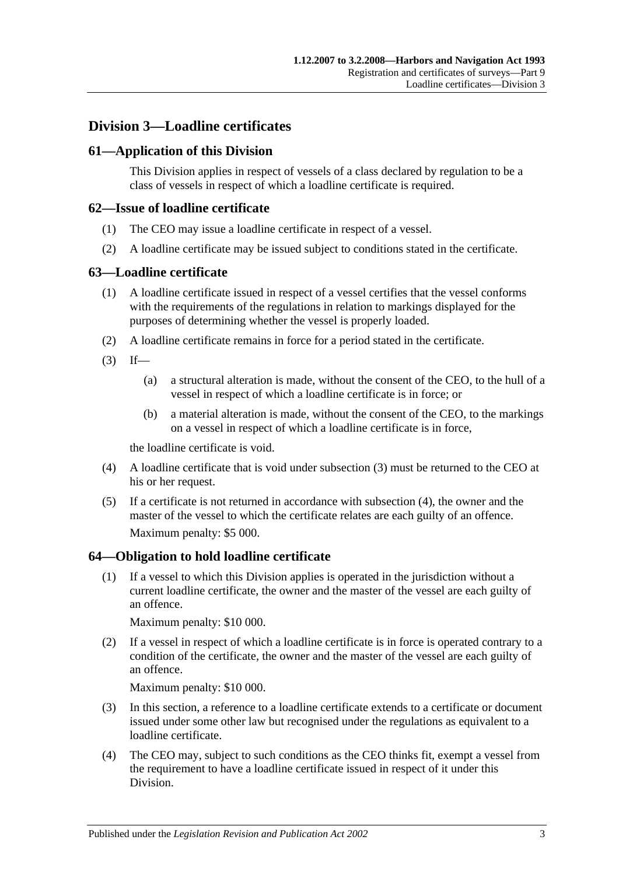## **Division 3—Loadline certificates**

### **61—Application of this Division**

This Division applies in respect of vessels of a class declared by regulation to be a class of vessels in respect of which a loadline certificate is required.

#### **62—Issue of loadline certificate**

- (1) The CEO may issue a loadline certificate in respect of a vessel.
- (2) A loadline certificate may be issued subject to conditions stated in the certificate.

#### **63—Loadline certificate**

- (1) A loadline certificate issued in respect of a vessel certifies that the vessel conforms with the requirements of the regulations in relation to markings displayed for the purposes of determining whether the vessel is properly loaded.
- (2) A loadline certificate remains in force for a period stated in the certificate.
- <span id="page-44-0"></span> $(3)$  If—
	- (a) a structural alteration is made, without the consent of the CEO, to the hull of a vessel in respect of which a loadline certificate is in force; or
	- (b) a material alteration is made, without the consent of the CEO, to the markings on a vessel in respect of which a loadline certificate is in force,

the loadline certificate is void.

- <span id="page-44-1"></span>(4) A loadline certificate that is void under [subsection](#page-44-0) (3) must be returned to the CEO at his or her request.
- (5) If a certificate is not returned in accordance with [subsection](#page-44-1) (4), the owner and the master of the vessel to which the certificate relates are each guilty of an offence. Maximum penalty: \$5 000.

#### **64—Obligation to hold loadline certificate**

(1) If a vessel to which this Division applies is operated in the jurisdiction without a current loadline certificate, the owner and the master of the vessel are each guilty of an offence.

Maximum penalty: \$10 000.

(2) If a vessel in respect of which a loadline certificate is in force is operated contrary to a condition of the certificate, the owner and the master of the vessel are each guilty of an offence.

Maximum penalty: \$10 000.

- (3) In this section, a reference to a loadline certificate extends to a certificate or document issued under some other law but recognised under the regulations as equivalent to a loadline certificate.
- (4) The CEO may, subject to such conditions as the CEO thinks fit, exempt a vessel from the requirement to have a loadline certificate issued in respect of it under this Division.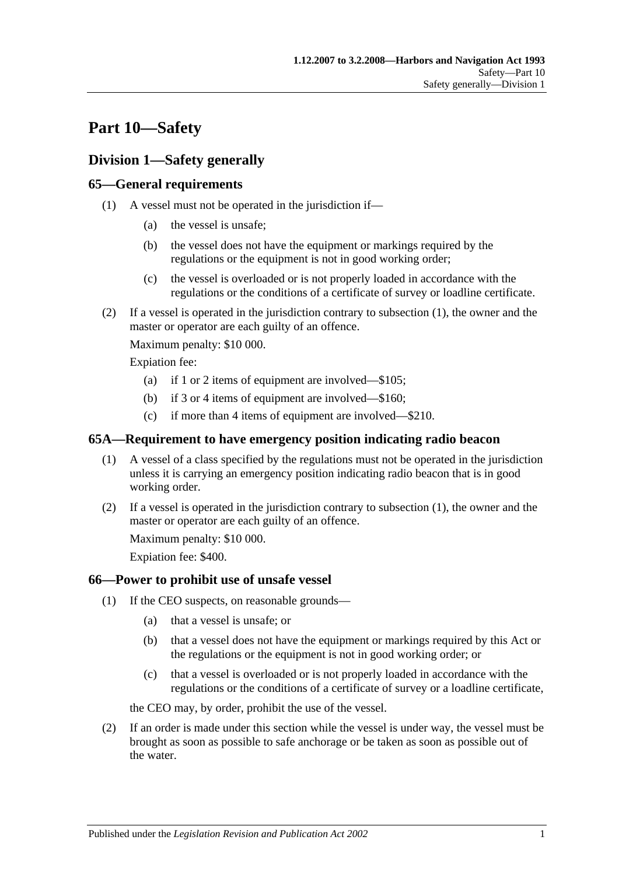# **Part 10—Safety**

# **Division 1—Safety generally**

## <span id="page-46-0"></span>**65—General requirements**

- (1) A vessel must not be operated in the jurisdiction if—
	- (a) the vessel is unsafe;
	- (b) the vessel does not have the equipment or markings required by the regulations or the equipment is not in good working order;
	- (c) the vessel is overloaded or is not properly loaded in accordance with the regulations or the conditions of a certificate of survey or loadline certificate.
- (2) If a vessel is operated in the jurisdiction contrary to [subsection](#page-46-0) (1), the owner and the master or operator are each guilty of an offence.

Maximum penalty: \$10 000.

Expiation fee:

- (a) if 1 or 2 items of equipment are involved—\$105;
- (b) if 3 or 4 items of equipment are involved—\$160;
- (c) if more than 4 items of equipment are involved—\$210.

#### <span id="page-46-1"></span>**65A—Requirement to have emergency position indicating radio beacon**

- (1) A vessel of a class specified by the regulations must not be operated in the jurisdiction unless it is carrying an emergency position indicating radio beacon that is in good working order.
- (2) If a vessel is operated in the jurisdiction contrary to [subsection](#page-46-1) (1), the owner and the master or operator are each guilty of an offence.

Maximum penalty: \$10 000.

Expiation fee: \$400.

#### <span id="page-46-3"></span>**66—Power to prohibit use of unsafe vessel**

- (1) If the CEO suspects, on reasonable grounds—
	- (a) that a vessel is unsafe; or
	- (b) that a vessel does not have the equipment or markings required by this Act or the regulations or the equipment is not in good working order; or
	- (c) that a vessel is overloaded or is not properly loaded in accordance with the regulations or the conditions of a certificate of survey or a loadline certificate,

the CEO may, by order, prohibit the use of the vessel.

<span id="page-46-2"></span>(2) If an order is made under this section while the vessel is under way, the vessel must be brought as soon as possible to safe anchorage or be taken as soon as possible out of the water.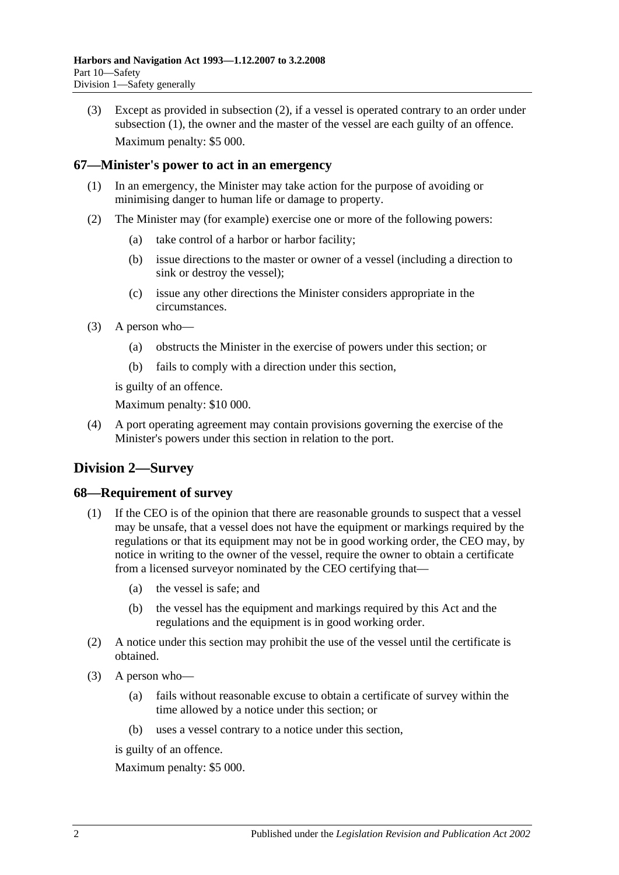(3) Except as provided in [subsection](#page-46-2) (2), if a vessel is operated contrary to an order under [subsection](#page-46-3) (1), the owner and the master of the vessel are each guilty of an offence. Maximum penalty: \$5 000.

#### **67—Minister's power to act in an emergency**

- (1) In an emergency, the Minister may take action for the purpose of avoiding or minimising danger to human life or damage to property.
- (2) The Minister may (for example) exercise one or more of the following powers:
	- (a) take control of a harbor or harbor facility;
	- (b) issue directions to the master or owner of a vessel (including a direction to sink or destroy the vessel);
	- (c) issue any other directions the Minister considers appropriate in the circumstances.
- (3) A person who—
	- (a) obstructs the Minister in the exercise of powers under this section; or
	- (b) fails to comply with a direction under this section,

is guilty of an offence.

Maximum penalty: \$10 000.

(4) A port operating agreement may contain provisions governing the exercise of the Minister's powers under this section in relation to the port.

# **Division 2—Survey**

#### **68—Requirement of survey**

- (1) If the CEO is of the opinion that there are reasonable grounds to suspect that a vessel may be unsafe, that a vessel does not have the equipment or markings required by the regulations or that its equipment may not be in good working order, the CEO may, by notice in writing to the owner of the vessel, require the owner to obtain a certificate from a licensed surveyor nominated by the CEO certifying that—
	- (a) the vessel is safe; and
	- (b) the vessel has the equipment and markings required by this Act and the regulations and the equipment is in good working order.
- (2) A notice under this section may prohibit the use of the vessel until the certificate is obtained.
- (3) A person who—
	- (a) fails without reasonable excuse to obtain a certificate of survey within the time allowed by a notice under this section; or
	- (b) uses a vessel contrary to a notice under this section,

is guilty of an offence.

Maximum penalty: \$5 000.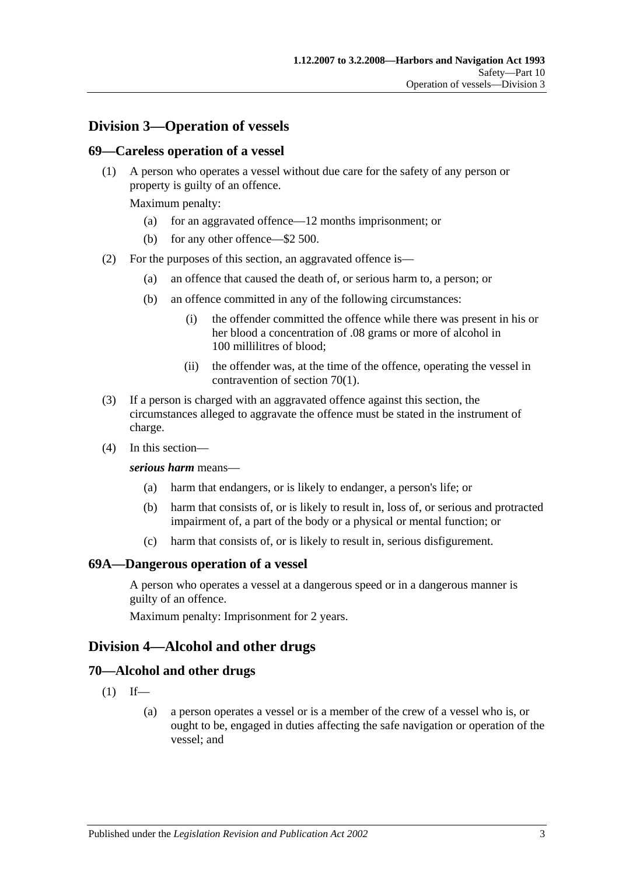# **Division 3—Operation of vessels**

#### **69—Careless operation of a vessel**

(1) A person who operates a vessel without due care for the safety of any person or property is guilty of an offence.

Maximum penalty:

- (a) for an aggravated offence—12 months imprisonment; or
- (b) for any other offence—\$2 500.
- (2) For the purposes of this section, an aggravated offence is—
	- (a) an offence that caused the death of, or serious harm to, a person; or
	- (b) an offence committed in any of the following circumstances:
		- (i) the offender committed the offence while there was present in his or her blood a concentration of .08 grams or more of alcohol in 100 millilitres of blood;
		- (ii) the offender was, at the time of the offence, operating the vessel in contravention of [section](#page-48-0) 70(1).
- (3) If a person is charged with an aggravated offence against this section, the circumstances alleged to aggravate the offence must be stated in the instrument of charge.
- (4) In this section—

#### *serious harm* means—

- (a) harm that endangers, or is likely to endanger, a person's life; or
- (b) harm that consists of, or is likely to result in, loss of, or serious and protracted impairment of, a part of the body or a physical or mental function; or
- (c) harm that consists of, or is likely to result in, serious disfigurement.

#### **69A—Dangerous operation of a vessel**

A person who operates a vessel at a dangerous speed or in a dangerous manner is guilty of an offence.

Maximum penalty: Imprisonment for 2 years.

#### **Division 4—Alcohol and other drugs**

#### <span id="page-48-0"></span>**70—Alcohol and other drugs**

- $(1)$  If—
	- (a) a person operates a vessel or is a member of the crew of a vessel who is, or ought to be, engaged in duties affecting the safe navigation or operation of the vessel; and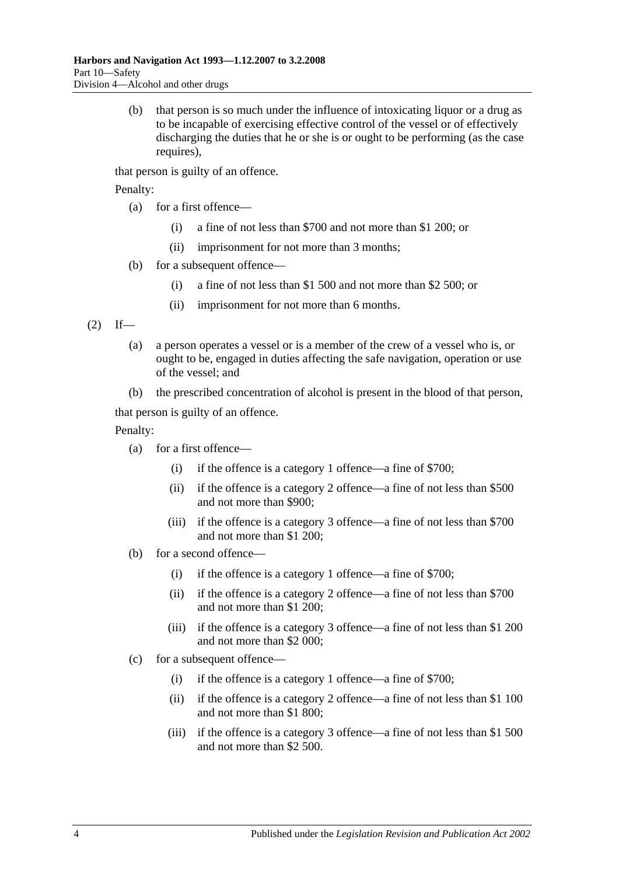(b) that person is so much under the influence of intoxicating liquor or a drug as to be incapable of exercising effective control of the vessel or of effectively discharging the duties that he or she is or ought to be performing (as the case requires).

that person is guilty of an offence.

Penalty:

- (a) for a first offence—
	- (i) a fine of not less than \$700 and not more than \$1 200; or
	- (ii) imprisonment for not more than 3 months;
- (b) for a subsequent offence—
	- (i) a fine of not less than \$1 500 and not more than \$2 500; or
	- (ii) imprisonment for not more than 6 months.

<span id="page-49-0"></span> $(2)$  If—

- (a) a person operates a vessel or is a member of the crew of a vessel who is, or ought to be, engaged in duties affecting the safe navigation, operation or use of the vessel; and
- (b) the prescribed concentration of alcohol is present in the blood of that person,

that person is guilty of an offence.

Penalty:

- (a) for a first offence—
	- (i) if the offence is a category 1 offence—a fine of \$700;
	- (ii) if the offence is a category 2 offence—a fine of not less than \$500 and not more than \$900;
	- (iii) if the offence is a category 3 offence—a fine of not less than \$700 and not more than \$1 200;
- (b) for a second offence—
	- (i) if the offence is a category 1 offence—a fine of \$700;
	- (ii) if the offence is a category 2 offence—a fine of not less than \$700 and not more than \$1 200;
	- (iii) if the offence is a category 3 offence—a fine of not less than \$1 200 and not more than \$2 000;
- (c) for a subsequent offence—
	- (i) if the offence is a category 1 offence—a fine of \$700;
	- (ii) if the offence is a category 2 offence—a fine of not less than \$1 100 and not more than \$1 800;
	- (iii) if the offence is a category 3 offence—a fine of not less than \$1 500 and not more than \$2 500.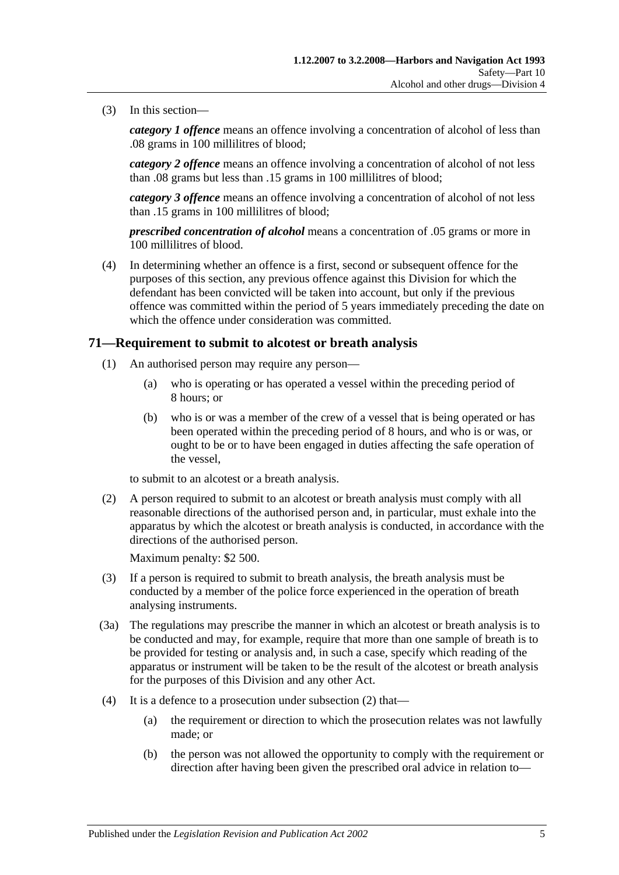(3) In this section—

*category 1 offence* means an offence involving a concentration of alcohol of less than .08 grams in 100 millilitres of blood;

*category 2 offence* means an offence involving a concentration of alcohol of not less than .08 grams but less than .15 grams in 100 millilitres of blood;

*category 3 offence* means an offence involving a concentration of alcohol of not less than .15 grams in 100 millilitres of blood;

*prescribed concentration of alcohol* means a concentration of .05 grams or more in 100 millilitres of blood.

(4) In determining whether an offence is a first, second or subsequent offence for the purposes of this section, any previous offence against this Division for which the defendant has been convicted will be taken into account, but only if the previous offence was committed within the period of 5 years immediately preceding the date on which the offence under consideration was committed.

#### <span id="page-50-1"></span>**71—Requirement to submit to alcotest or breath analysis**

- (1) An authorised person may require any person—
	- (a) who is operating or has operated a vessel within the preceding period of 8 hours; or
	- (b) who is or was a member of the crew of a vessel that is being operated or has been operated within the preceding period of 8 hours, and who is or was, or ought to be or to have been engaged in duties affecting the safe operation of the vessel,

to submit to an alcotest or a breath analysis.

<span id="page-50-0"></span>(2) A person required to submit to an alcotest or breath analysis must comply with all reasonable directions of the authorised person and, in particular, must exhale into the apparatus by which the alcotest or breath analysis is conducted, in accordance with the directions of the authorised person.

Maximum penalty: \$2 500.

- (3) If a person is required to submit to breath analysis, the breath analysis must be conducted by a member of the police force experienced in the operation of breath analysing instruments.
- (3a) The regulations may prescribe the manner in which an alcotest or breath analysis is to be conducted and may, for example, require that more than one sample of breath is to be provided for testing or analysis and, in such a case, specify which reading of the apparatus or instrument will be taken to be the result of the alcotest or breath analysis for the purposes of this Division and any other Act.
- (4) It is a defence to a prosecution under [subsection](#page-50-0) (2) that—
	- (a) the requirement or direction to which the prosecution relates was not lawfully made; or
	- (b) the person was not allowed the opportunity to comply with the requirement or direction after having been given the prescribed oral advice in relation to—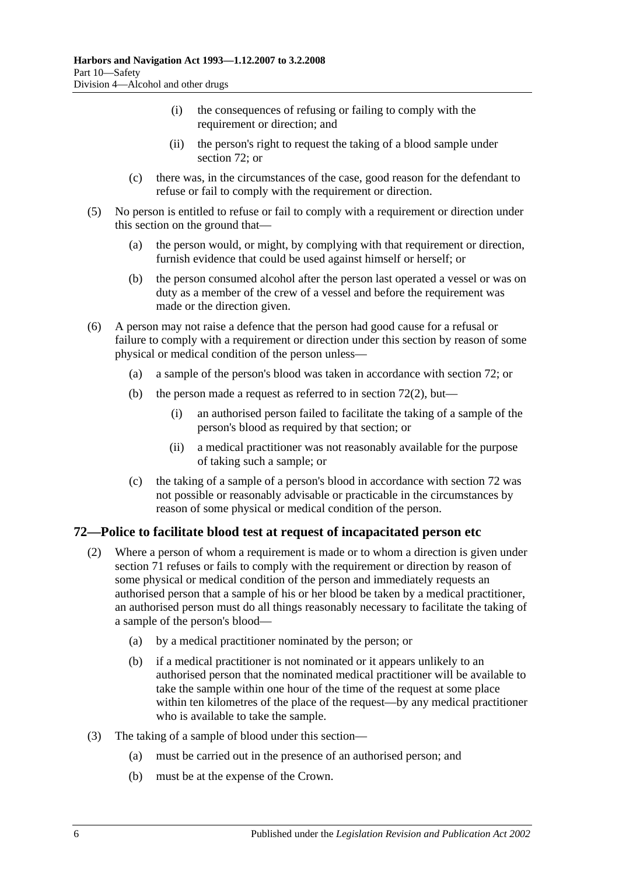- (i) the consequences of refusing or failing to comply with the requirement or direction; and
- (ii) the person's right to request the taking of a blood sample under [section](#page-51-0) 72; or
- (c) there was, in the circumstances of the case, good reason for the defendant to refuse or fail to comply with the requirement or direction.
- (5) No person is entitled to refuse or fail to comply with a requirement or direction under this section on the ground that—
	- (a) the person would, or might, by complying with that requirement or direction, furnish evidence that could be used against himself or herself; or
	- (b) the person consumed alcohol after the person last operated a vessel or was on duty as a member of the crew of a vessel and before the requirement was made or the direction given.
- (6) A person may not raise a defence that the person had good cause for a refusal or failure to comply with a requirement or direction under this section by reason of some physical or medical condition of the person unless—
	- (a) a sample of the person's blood was taken in accordance with [section](#page-51-0) 72; or
	- (b) the person made a request as referred to in [section](#page-51-1)  $72(2)$ , but—
		- (i) an authorised person failed to facilitate the taking of a sample of the person's blood as required by that section; or
		- (ii) a medical practitioner was not reasonably available for the purpose of taking such a sample; or
	- (c) the taking of a sample of a person's blood in accordance with [section](#page-51-0) 72 was not possible or reasonably advisable or practicable in the circumstances by reason of some physical or medical condition of the person.

#### <span id="page-51-1"></span><span id="page-51-0"></span>**72—Police to facilitate blood test at request of incapacitated person etc**

- (2) Where a person of whom a requirement is made or to whom a direction is given under [section](#page-50-1) 71 refuses or fails to comply with the requirement or direction by reason of some physical or medical condition of the person and immediately requests an authorised person that a sample of his or her blood be taken by a medical practitioner, an authorised person must do all things reasonably necessary to facilitate the taking of a sample of the person's blood—
	- (a) by a medical practitioner nominated by the person; or
	- (b) if a medical practitioner is not nominated or it appears unlikely to an authorised person that the nominated medical practitioner will be available to take the sample within one hour of the time of the request at some place within ten kilometres of the place of the request—by any medical practitioner who is available to take the sample.
- (3) The taking of a sample of blood under this section—
	- (a) must be carried out in the presence of an authorised person; and
	- (b) must be at the expense of the Crown.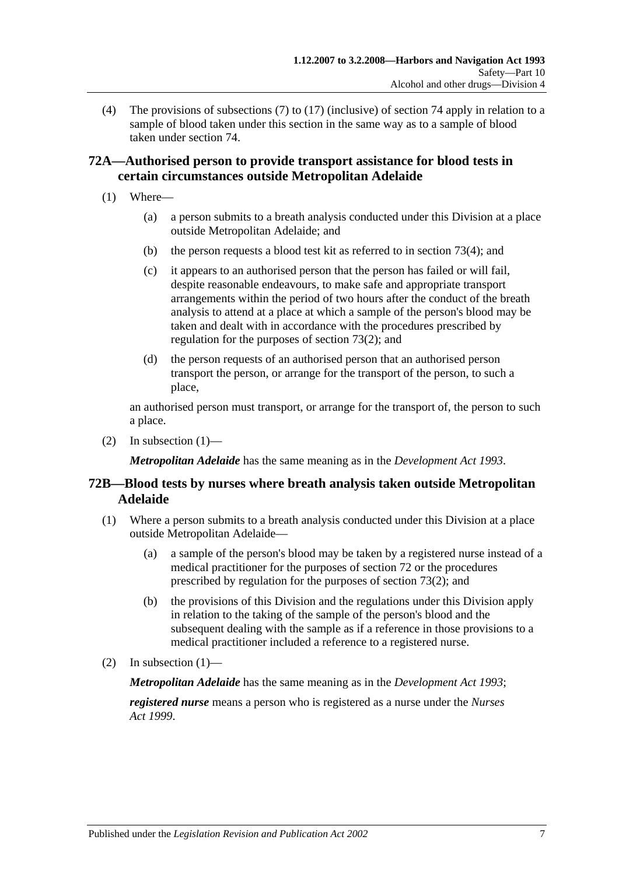(4) The provisions of [subsections](#page-56-0) (7) to [\(17\)](#page-58-0) (inclusive) of [section](#page-56-1) 74 apply in relation to a sample of blood taken under this section in the same way as to a sample of blood taken under [section](#page-56-1) 74.

## **72A—Authorised person to provide transport assistance for blood tests in certain circumstances outside Metropolitan Adelaide**

- <span id="page-52-0"></span>(1) Where—
	- (a) a person submits to a breath analysis conducted under this Division at a place outside Metropolitan Adelaide; and
	- (b) the person requests a blood test kit as referred to in [section](#page-54-0) 73(4); and
	- (c) it appears to an authorised person that the person has failed or will fail, despite reasonable endeavours, to make safe and appropriate transport arrangements within the period of two hours after the conduct of the breath analysis to attend at a place at which a sample of the person's blood may be taken and dealt with in accordance with the procedures prescribed by regulation for the purposes of [section](#page-53-0) 73(2); and
	- (d) the person requests of an authorised person that an authorised person transport the person, or arrange for the transport of the person, to such a place,

an authorised person must transport, or arrange for the transport of, the person to such a place.

(2) In [subsection](#page-52-0)  $(1)$ —

*Metropolitan Adelaide* has the same meaning as in the *[Development Act](http://www.legislation.sa.gov.au/index.aspx?action=legref&type=act&legtitle=Development%20Act%201993) 1993*.

## **72B—Blood tests by nurses where breath analysis taken outside Metropolitan Adelaide**

- <span id="page-52-1"></span>(1) Where a person submits to a breath analysis conducted under this Division at a place outside Metropolitan Adelaide—
	- (a) a sample of the person's blood may be taken by a registered nurse instead of a medical practitioner for the purposes of [section](#page-51-0) 72 or the procedures prescribed by regulation for the purposes of [section](#page-53-0) 73(2); and
	- (b) the provisions of this Division and the regulations under this Division apply in relation to the taking of the sample of the person's blood and the subsequent dealing with the sample as if a reference in those provisions to a medical practitioner included a reference to a registered nurse.
- (2) In [subsection](#page-52-1)  $(1)$ —

*Metropolitan Adelaide* has the same meaning as in the *[Development Act](http://www.legislation.sa.gov.au/index.aspx?action=legref&type=act&legtitle=Development%20Act%201993) 1993*;

*registered nurse* means a person who is registered as a nurse under the *[Nurses](http://www.legislation.sa.gov.au/index.aspx?action=legref&type=act&legtitle=Nurses%20Act%201999)  Act [1999](http://www.legislation.sa.gov.au/index.aspx?action=legref&type=act&legtitle=Nurses%20Act%201999)*.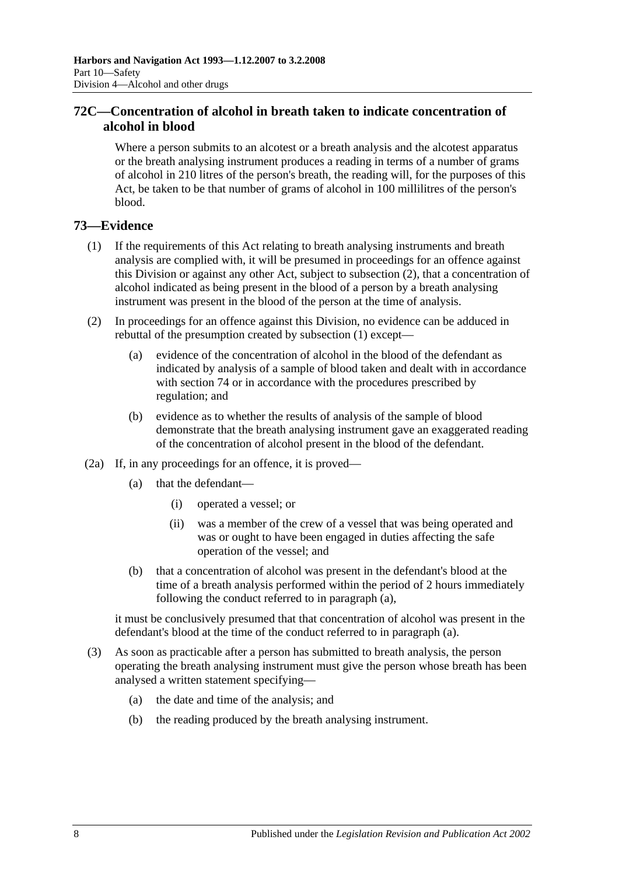## **72C—Concentration of alcohol in breath taken to indicate concentration of alcohol in blood**

Where a person submits to an alcotest or a breath analysis and the alcotest apparatus or the breath analysing instrument produces a reading in terms of a number of grams of alcohol in 210 litres of the person's breath, the reading will, for the purposes of this Act, be taken to be that number of grams of alcohol in 100 millilitres of the person's blood.

## <span id="page-53-1"></span>**73—Evidence**

- (1) If the requirements of this Act relating to breath analysing instruments and breath analysis are complied with, it will be presumed in proceedings for an offence against this Division or against any other Act, subject to [subsection](#page-53-0) (2), that a concentration of alcohol indicated as being present in the blood of a person by a breath analysing instrument was present in the blood of the person at the time of analysis.
- <span id="page-53-0"></span>(2) In proceedings for an offence against this Division, no evidence can be adduced in rebuttal of the presumption created by [subsection](#page-53-1) (1) except—
	- (a) evidence of the concentration of alcohol in the blood of the defendant as indicated by analysis of a sample of blood taken and dealt with in accordance with [section](#page-56-1) 74 or in accordance with the procedures prescribed by regulation; and
	- (b) evidence as to whether the results of analysis of the sample of blood demonstrate that the breath analysing instrument gave an exaggerated reading of the concentration of alcohol present in the blood of the defendant.
- <span id="page-53-2"></span>(2a) If, in any proceedings for an offence, it is proved—
	- (a) that the defendant—
		- (i) operated a vessel; or
		- (ii) was a member of the crew of a vessel that was being operated and was or ought to have been engaged in duties affecting the safe operation of the vessel; and
	- (b) that a concentration of alcohol was present in the defendant's blood at the time of a breath analysis performed within the period of 2 hours immediately following the conduct referred to in [paragraph](#page-53-2) (a),

it must be conclusively presumed that that concentration of alcohol was present in the defendant's blood at the time of the conduct referred to in [paragraph](#page-53-2) (a).

- <span id="page-53-3"></span>(3) As soon as practicable after a person has submitted to breath analysis, the person operating the breath analysing instrument must give the person whose breath has been analysed a written statement specifying—
	- (a) the date and time of the analysis; and
	- (b) the reading produced by the breath analysing instrument.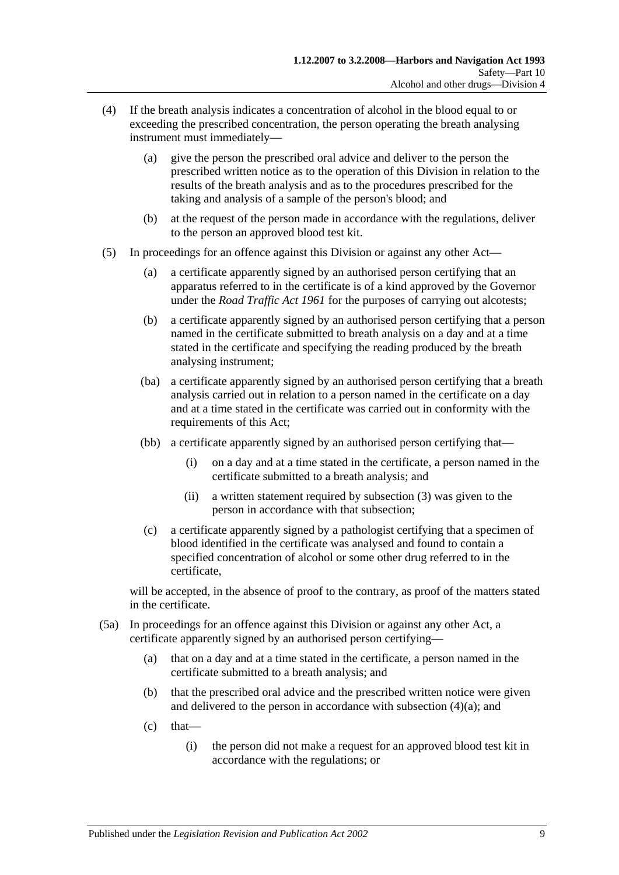- <span id="page-54-1"></span><span id="page-54-0"></span>(4) If the breath analysis indicates a concentration of alcohol in the blood equal to or exceeding the prescribed concentration, the person operating the breath analysing instrument must immediately—
	- (a) give the person the prescribed oral advice and deliver to the person the prescribed written notice as to the operation of this Division in relation to the results of the breath analysis and as to the procedures prescribed for the taking and analysis of a sample of the person's blood; and
	- (b) at the request of the person made in accordance with the regulations, deliver to the person an approved blood test kit.
- <span id="page-54-2"></span>(5) In proceedings for an offence against this Division or against any other Act—
	- (a) a certificate apparently signed by an authorised person certifying that an apparatus referred to in the certificate is of a kind approved by the Governor under the *[Road Traffic Act](http://www.legislation.sa.gov.au/index.aspx?action=legref&type=act&legtitle=Road%20Traffic%20Act%201961) 1961* for the purposes of carrying out alcotests;
	- (b) a certificate apparently signed by an authorised person certifying that a person named in the certificate submitted to breath analysis on a day and at a time stated in the certificate and specifying the reading produced by the breath analysing instrument;
	- (ba) a certificate apparently signed by an authorised person certifying that a breath analysis carried out in relation to a person named in the certificate on a day and at a time stated in the certificate was carried out in conformity with the requirements of this Act;
	- (bb) a certificate apparently signed by an authorised person certifying that—
		- (i) on a day and at a time stated in the certificate, a person named in the certificate submitted to a breath analysis; and
		- (ii) a written statement required by [subsection](#page-53-3) (3) was given to the person in accordance with that subsection;
	- (c) a certificate apparently signed by a pathologist certifying that a specimen of blood identified in the certificate was analysed and found to contain a specified concentration of alcohol or some other drug referred to in the certificate,

will be accepted, in the absence of proof to the contrary, as proof of the matters stated in the certificate.

- (5a) In proceedings for an offence against this Division or against any other Act, a certificate apparently signed by an authorised person certifying—
	- (a) that on a day and at a time stated in the certificate, a person named in the certificate submitted to a breath analysis; and
	- (b) that the prescribed oral advice and the prescribed written notice were given and delivered to the person in accordance with [subsection](#page-54-1) (4)(a); and
	- $(c)$  that—
		- (i) the person did not make a request for an approved blood test kit in accordance with the regulations; or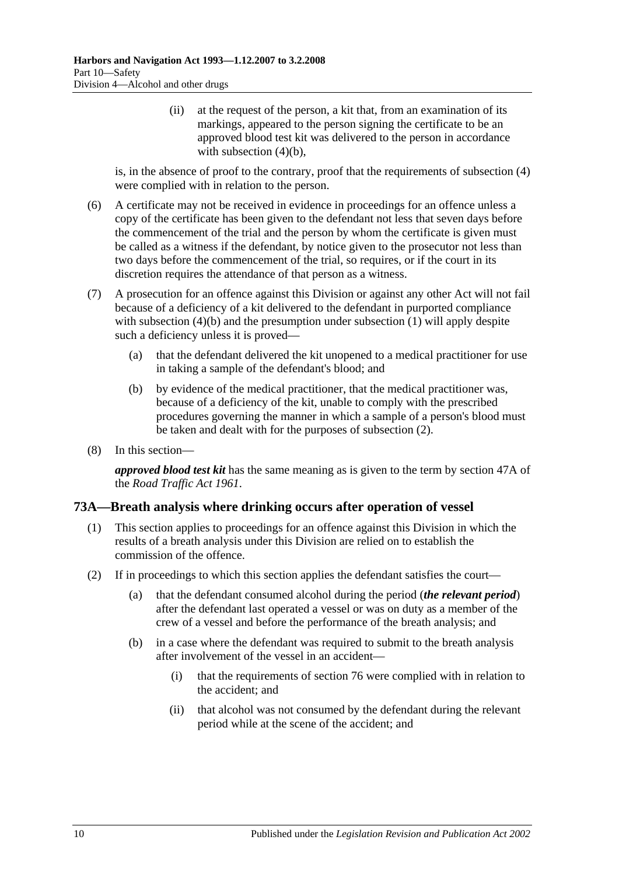(ii) at the request of the person, a kit that, from an examination of its markings, appeared to the person signing the certificate to be an approved blood test kit was delivered to the person in accordance with [subsection](#page-54-2)  $(4)(b)$ ,

is, in the absence of proof to the contrary, proof that the requirements of [subsection](#page-54-0) (4) were complied with in relation to the person.

- (6) A certificate may not be received in evidence in proceedings for an offence unless a copy of the certificate has been given to the defendant not less that seven days before the commencement of the trial and the person by whom the certificate is given must be called as a witness if the defendant, by notice given to the prosecutor not less than two days before the commencement of the trial, so requires, or if the court in its discretion requires the attendance of that person as a witness.
- (7) A prosecution for an offence against this Division or against any other Act will not fail because of a deficiency of a kit delivered to the defendant in purported compliance with [subsection](#page-53-1) (4)(b) and the presumption under subsection (1) will apply despite such a deficiency unless it is proved—
	- (a) that the defendant delivered the kit unopened to a medical practitioner for use in taking a sample of the defendant's blood; and
	- (b) by evidence of the medical practitioner, that the medical practitioner was, because of a deficiency of the kit, unable to comply with the prescribed procedures governing the manner in which a sample of a person's blood must be taken and dealt with for the purposes of [subsection](#page-53-0) (2).
- (8) In this section—

*approved blood test kit* has the same meaning as is given to the term by section 47A of the *[Road Traffic Act](http://www.legislation.sa.gov.au/index.aspx?action=legref&type=act&legtitle=Road%20Traffic%20Act%201961) 1961*.

#### **73A—Breath analysis where drinking occurs after operation of vessel**

- (1) This section applies to proceedings for an offence against this Division in which the results of a breath analysis under this Division are relied on to establish the commission of the offence.
- (2) If in proceedings to which this section applies the defendant satisfies the court—
	- (a) that the defendant consumed alcohol during the period (*the relevant period*) after the defendant last operated a vessel or was on duty as a member of the crew of a vessel and before the performance of the breath analysis; and
	- (b) in a case where the defendant was required to submit to the breath analysis after involvement of the vessel in an accident—
		- (i) that the requirements of [section](#page-60-0) 76 were complied with in relation to the accident; and
		- (ii) that alcohol was not consumed by the defendant during the relevant period while at the scene of the accident; and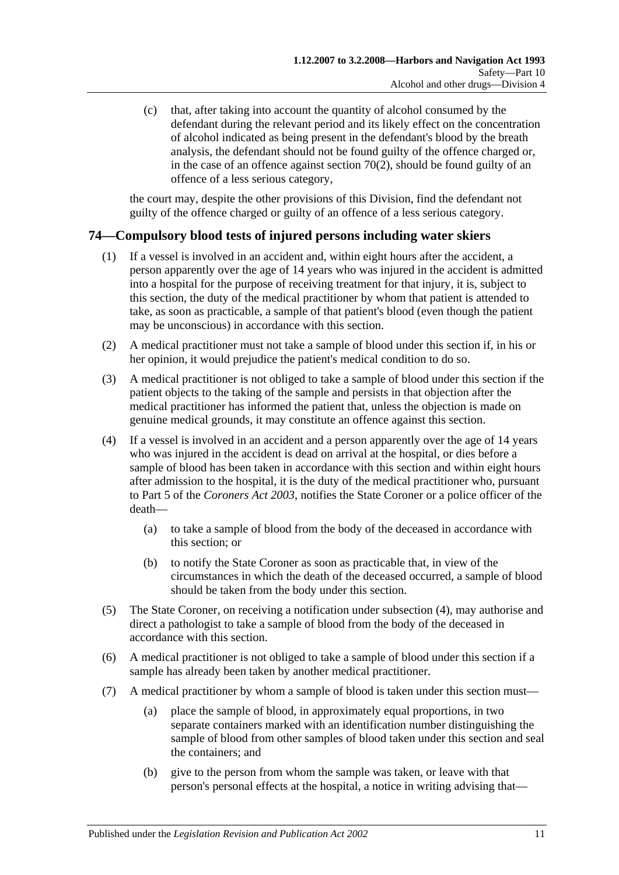(c) that, after taking into account the quantity of alcohol consumed by the defendant during the relevant period and its likely effect on the concentration of alcohol indicated as being present in the defendant's blood by the breath analysis, the defendant should not be found guilty of the offence charged or, in the case of an offence against [section](#page-49-0)  $70(2)$ , should be found guilty of an offence of a less serious category,

the court may, despite the other provisions of this Division, find the defendant not guilty of the offence charged or guilty of an offence of a less serious category.

## <span id="page-56-1"></span>**74—Compulsory blood tests of injured persons including water skiers**

- (1) If a vessel is involved in an accident and, within eight hours after the accident, a person apparently over the age of 14 years who was injured in the accident is admitted into a hospital for the purpose of receiving treatment for that injury, it is, subject to this section, the duty of the medical practitioner by whom that patient is attended to take, as soon as practicable, a sample of that patient's blood (even though the patient may be unconscious) in accordance with this section.
- (2) A medical practitioner must not take a sample of blood under this section if, in his or her opinion, it would prejudice the patient's medical condition to do so.
- (3) A medical practitioner is not obliged to take a sample of blood under this section if the patient objects to the taking of the sample and persists in that objection after the medical practitioner has informed the patient that, unless the objection is made on genuine medical grounds, it may constitute an offence against this section.
- (4) If a vessel is involved in an accident and a person apparently over the age of 14 years who was injured in the accident is dead on arrival at the hospital, or dies before a sample of blood has been taken in accordance with this section and within eight hours after admission to the hospital, it is the duty of the medical practitioner who, pursuant to Part 5 of the *[Coroners Act](http://www.legislation.sa.gov.au/index.aspx?action=legref&type=act&legtitle=Coroners%20Act%202003) 2003*, notifies the State Coroner or a police officer of the death—
	- (a) to take a sample of blood from the body of the deceased in accordance with this section; or
	- (b) to notify the State Coroner as soon as practicable that, in view of the circumstances in which the death of the deceased occurred, a sample of blood should be taken from the body under this section.
- (5) The State Coroner, on receiving a notification under subsection (4), may authorise and direct a pathologist to take a sample of blood from the body of the deceased in accordance with this section.
- (6) A medical practitioner is not obliged to take a sample of blood under this section if a sample has already been taken by another medical practitioner.
- <span id="page-56-0"></span>(7) A medical practitioner by whom a sample of blood is taken under this section must—
	- (a) place the sample of blood, in approximately equal proportions, in two separate containers marked with an identification number distinguishing the sample of blood from other samples of blood taken under this section and seal the containers; and
	- (b) give to the person from whom the sample was taken, or leave with that person's personal effects at the hospital, a notice in writing advising that—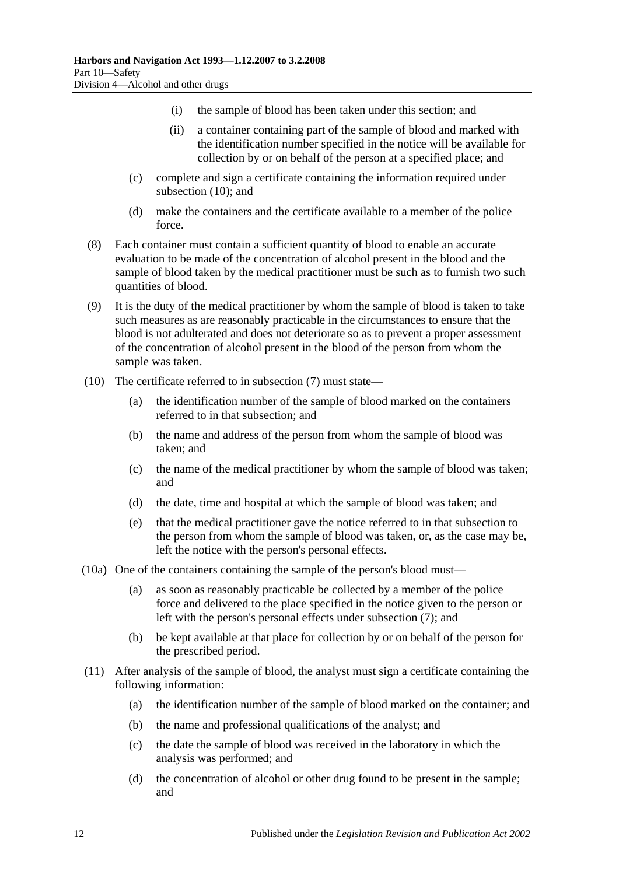- (i) the sample of blood has been taken under this section; and
- (ii) a container containing part of the sample of blood and marked with the identification number specified in the notice will be available for collection by or on behalf of the person at a specified place; and
- (c) complete and sign a certificate containing the information required under [subsection](#page-57-0) (10); and
- (d) make the containers and the certificate available to a member of the police force.
- (8) Each container must contain a sufficient quantity of blood to enable an accurate evaluation to be made of the concentration of alcohol present in the blood and the sample of blood taken by the medical practitioner must be such as to furnish two such quantities of blood.
- (9) It is the duty of the medical practitioner by whom the sample of blood is taken to take such measures as are reasonably practicable in the circumstances to ensure that the blood is not adulterated and does not deteriorate so as to prevent a proper assessment of the concentration of alcohol present in the blood of the person from whom the sample was taken.
- <span id="page-57-0"></span>(10) The certificate referred to in [subsection](#page-56-0) (7) must state—
	- (a) the identification number of the sample of blood marked on the containers referred to in that subsection; and
	- (b) the name and address of the person from whom the sample of blood was taken; and
	- (c) the name of the medical practitioner by whom the sample of blood was taken; and
	- (d) the date, time and hospital at which the sample of blood was taken; and
	- (e) that the medical practitioner gave the notice referred to in that subsection to the person from whom the sample of blood was taken, or, as the case may be, left the notice with the person's personal effects.
- (10a) One of the containers containing the sample of the person's blood must—
	- (a) as soon as reasonably practicable be collected by a member of the police force and delivered to the place specified in the notice given to the person or left with the person's personal effects under [subsection](#page-56-0) (7); and
	- (b) be kept available at that place for collection by or on behalf of the person for the prescribed period.
- (11) After analysis of the sample of blood, the analyst must sign a certificate containing the following information:
	- (a) the identification number of the sample of blood marked on the container; and
	- (b) the name and professional qualifications of the analyst; and
	- (c) the date the sample of blood was received in the laboratory in which the analysis was performed; and
	- (d) the concentration of alcohol or other drug found to be present in the sample; and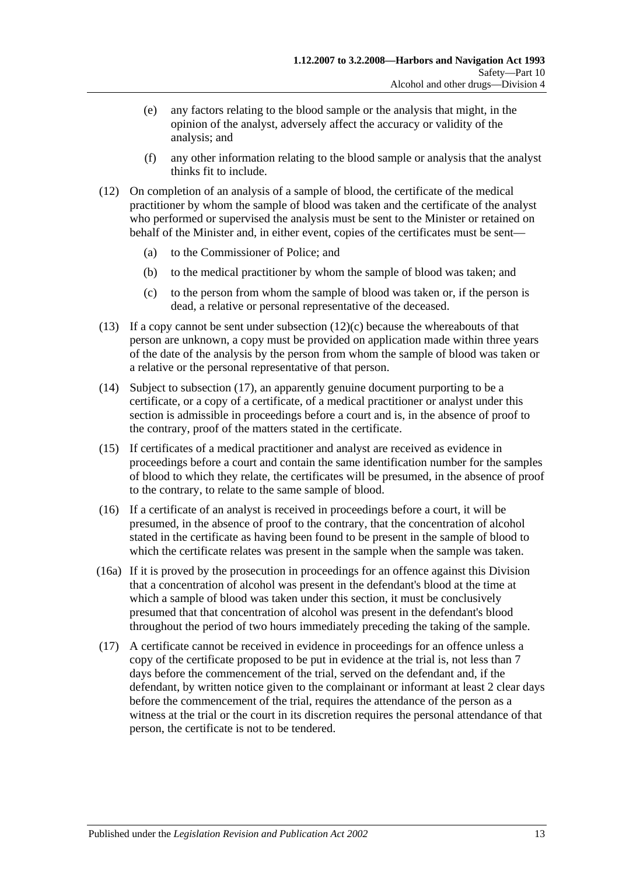- (e) any factors relating to the blood sample or the analysis that might, in the opinion of the analyst, adversely affect the accuracy or validity of the analysis; and
- (f) any other information relating to the blood sample or analysis that the analyst thinks fit to include.
- (12) On completion of an analysis of a sample of blood, the certificate of the medical practitioner by whom the sample of blood was taken and the certificate of the analyst who performed or supervised the analysis must be sent to the Minister or retained on behalf of the Minister and, in either event, copies of the certificates must be sent—
	- (a) to the Commissioner of Police; and
	- (b) to the medical practitioner by whom the sample of blood was taken; and
	- (c) to the person from whom the sample of blood was taken or, if the person is dead, a relative or personal representative of the deceased.
- <span id="page-58-1"></span>(13) If a copy cannot be sent under [subsection](#page-58-1)  $(12)(c)$  because the whereabouts of that person are unknown, a copy must be provided on application made within three years of the date of the analysis by the person from whom the sample of blood was taken or a relative or the personal representative of that person.
- (14) Subject to [subsection](#page-58-0) (17), an apparently genuine document purporting to be a certificate, or a copy of a certificate, of a medical practitioner or analyst under this section is admissible in proceedings before a court and is, in the absence of proof to the contrary, proof of the matters stated in the certificate.
- (15) If certificates of a medical practitioner and analyst are received as evidence in proceedings before a court and contain the same identification number for the samples of blood to which they relate, the certificates will be presumed, in the absence of proof to the contrary, to relate to the same sample of blood.
- (16) If a certificate of an analyst is received in proceedings before a court, it will be presumed, in the absence of proof to the contrary, that the concentration of alcohol stated in the certificate as having been found to be present in the sample of blood to which the certificate relates was present in the sample when the sample was taken.
- (16a) If it is proved by the prosecution in proceedings for an offence against this Division that a concentration of alcohol was present in the defendant's blood at the time at which a sample of blood was taken under this section, it must be conclusively presumed that that concentration of alcohol was present in the defendant's blood throughout the period of two hours immediately preceding the taking of the sample.
- <span id="page-58-0"></span>(17) A certificate cannot be received in evidence in proceedings for an offence unless a copy of the certificate proposed to be put in evidence at the trial is, not less than 7 days before the commencement of the trial, served on the defendant and, if the defendant, by written notice given to the complainant or informant at least 2 clear days before the commencement of the trial, requires the attendance of the person as a witness at the trial or the court in its discretion requires the personal attendance of that person, the certificate is not to be tendered.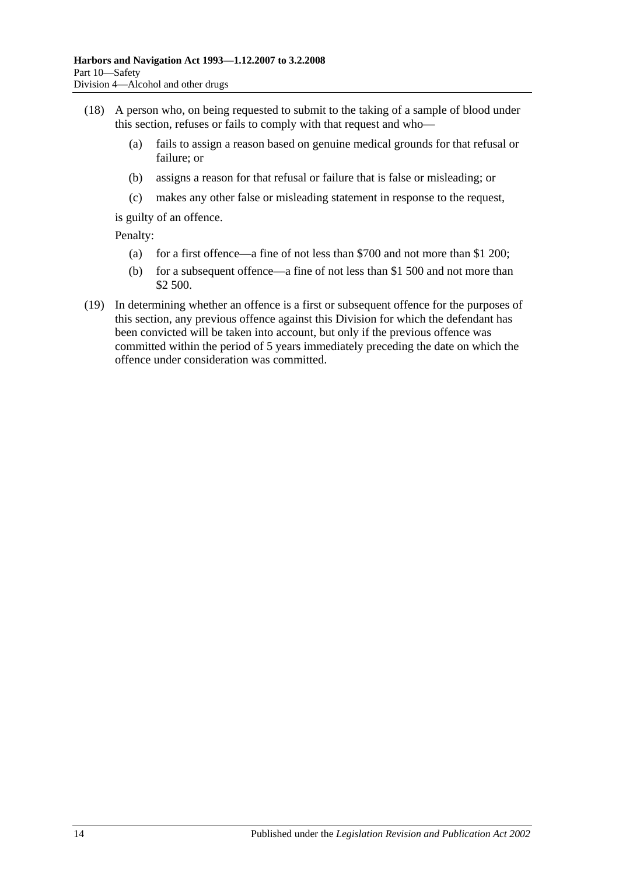- (18) A person who, on being requested to submit to the taking of a sample of blood under this section, refuses or fails to comply with that request and who—
	- (a) fails to assign a reason based on genuine medical grounds for that refusal or failure; or
	- (b) assigns a reason for that refusal or failure that is false or misleading; or
	- (c) makes any other false or misleading statement in response to the request,

is guilty of an offence.

Penalty:

- (a) for a first offence—a fine of not less than \$700 and not more than \$1 200;
- (b) for a subsequent offence—a fine of not less than \$1 500 and not more than \$2 500.
- (19) In determining whether an offence is a first or subsequent offence for the purposes of this section, any previous offence against this Division for which the defendant has been convicted will be taken into account, but only if the previous offence was committed within the period of 5 years immediately preceding the date on which the offence under consideration was committed.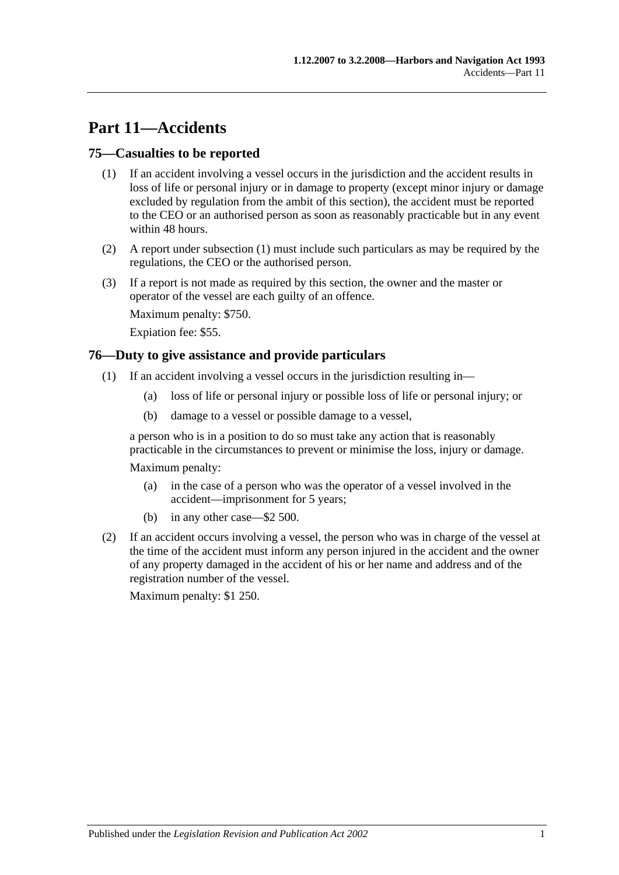# **Part 11—Accidents**

#### <span id="page-60-1"></span>**75—Casualties to be reported**

- (1) If an accident involving a vessel occurs in the jurisdiction and the accident results in loss of life or personal injury or in damage to property (except minor injury or damage excluded by regulation from the ambit of this section), the accident must be reported to the CEO or an authorised person as soon as reasonably practicable but in any event within 48 hours.
- (2) A report under [subsection](#page-60-1) (1) must include such particulars as may be required by the regulations, the CEO or the authorised person.
- (3) If a report is not made as required by this section, the owner and the master or operator of the vessel are each guilty of an offence.

Maximum penalty: \$750.

Expiation fee: \$55.

#### <span id="page-60-0"></span>**76—Duty to give assistance and provide particulars**

- (1) If an accident involving a vessel occurs in the jurisdiction resulting in—
	- (a) loss of life or personal injury or possible loss of life or personal injury; or
	- (b) damage to a vessel or possible damage to a vessel,

a person who is in a position to do so must take any action that is reasonably practicable in the circumstances to prevent or minimise the loss, injury or damage.

Maximum penalty:

- (a) in the case of a person who was the operator of a vessel involved in the accident—imprisonment for 5 years;
- (b) in any other case—\$2 500.
- (2) If an accident occurs involving a vessel, the person who was in charge of the vessel at the time of the accident must inform any person injured in the accident and the owner of any property damaged in the accident of his or her name and address and of the registration number of the vessel.

Maximum penalty: \$1 250.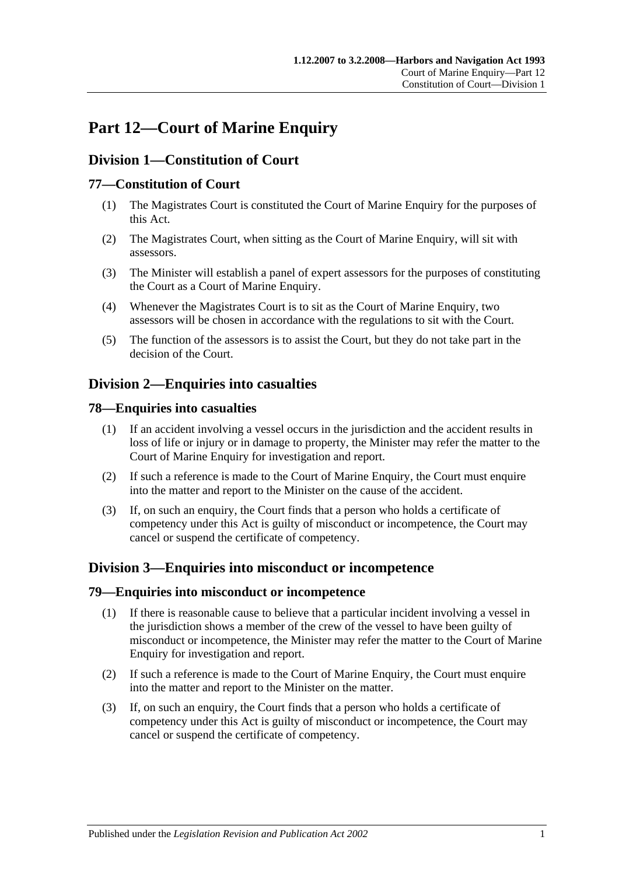# **Part 12—Court of Marine Enquiry**

# **Division 1—Constitution of Court**

## **77—Constitution of Court**

- (1) The Magistrates Court is constituted the Court of Marine Enquiry for the purposes of this Act.
- (2) The Magistrates Court, when sitting as the Court of Marine Enquiry, will sit with assessors.
- (3) The Minister will establish a panel of expert assessors for the purposes of constituting the Court as a Court of Marine Enquiry.
- (4) Whenever the Magistrates Court is to sit as the Court of Marine Enquiry, two assessors will be chosen in accordance with the regulations to sit with the Court.
- (5) The function of the assessors is to assist the Court, but they do not take part in the decision of the Court.

# **Division 2—Enquiries into casualties**

#### **78—Enquiries into casualties**

- (1) If an accident involving a vessel occurs in the jurisdiction and the accident results in loss of life or injury or in damage to property, the Minister may refer the matter to the Court of Marine Enquiry for investigation and report.
- (2) If such a reference is made to the Court of Marine Enquiry, the Court must enquire into the matter and report to the Minister on the cause of the accident.
- (3) If, on such an enquiry, the Court finds that a person who holds a certificate of competency under this Act is guilty of misconduct or incompetence, the Court may cancel or suspend the certificate of competency.

## **Division 3—Enquiries into misconduct or incompetence**

#### **79—Enquiries into misconduct or incompetence**

- (1) If there is reasonable cause to believe that a particular incident involving a vessel in the jurisdiction shows a member of the crew of the vessel to have been guilty of misconduct or incompetence, the Minister may refer the matter to the Court of Marine Enquiry for investigation and report.
- (2) If such a reference is made to the Court of Marine Enquiry, the Court must enquire into the matter and report to the Minister on the matter.
- (3) If, on such an enquiry, the Court finds that a person who holds a certificate of competency under this Act is guilty of misconduct or incompetence, the Court may cancel or suspend the certificate of competency.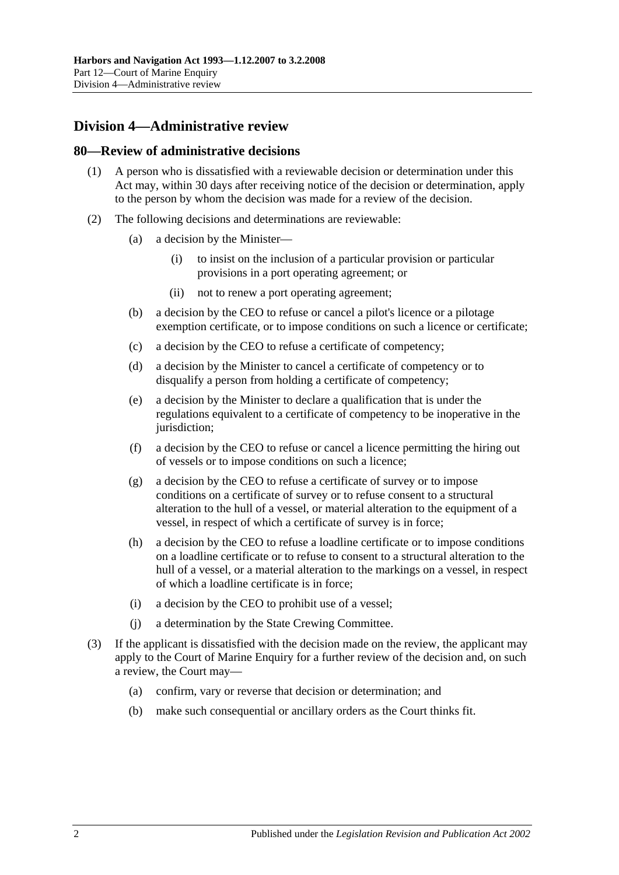# **Division 4—Administrative review**

#### **80—Review of administrative decisions**

- (1) A person who is dissatisfied with a reviewable decision or determination under this Act may, within 30 days after receiving notice of the decision or determination, apply to the person by whom the decision was made for a review of the decision.
- (2) The following decisions and determinations are reviewable:
	- (a) a decision by the Minister—
		- (i) to insist on the inclusion of a particular provision or particular provisions in a port operating agreement; or
		- (ii) not to renew a port operating agreement;
	- (b) a decision by the CEO to refuse or cancel a pilot's licence or a pilotage exemption certificate, or to impose conditions on such a licence or certificate;
	- (c) a decision by the CEO to refuse a certificate of competency;
	- (d) a decision by the Minister to cancel a certificate of competency or to disqualify a person from holding a certificate of competency;
	- (e) a decision by the Minister to declare a qualification that is under the regulations equivalent to a certificate of competency to be inoperative in the jurisdiction:
	- (f) a decision by the CEO to refuse or cancel a licence permitting the hiring out of vessels or to impose conditions on such a licence;
	- (g) a decision by the CEO to refuse a certificate of survey or to impose conditions on a certificate of survey or to refuse consent to a structural alteration to the hull of a vessel, or material alteration to the equipment of a vessel, in respect of which a certificate of survey is in force;
	- (h) a decision by the CEO to refuse a loadline certificate or to impose conditions on a loadline certificate or to refuse to consent to a structural alteration to the hull of a vessel, or a material alteration to the markings on a vessel, in respect of which a loadline certificate is in force;
	- (i) a decision by the CEO to prohibit use of a vessel;
	- (j) a determination by the State Crewing Committee.
- (3) If the applicant is dissatisfied with the decision made on the review, the applicant may apply to the Court of Marine Enquiry for a further review of the decision and, on such a review, the Court may—
	- (a) confirm, vary or reverse that decision or determination; and
	- (b) make such consequential or ancillary orders as the Court thinks fit.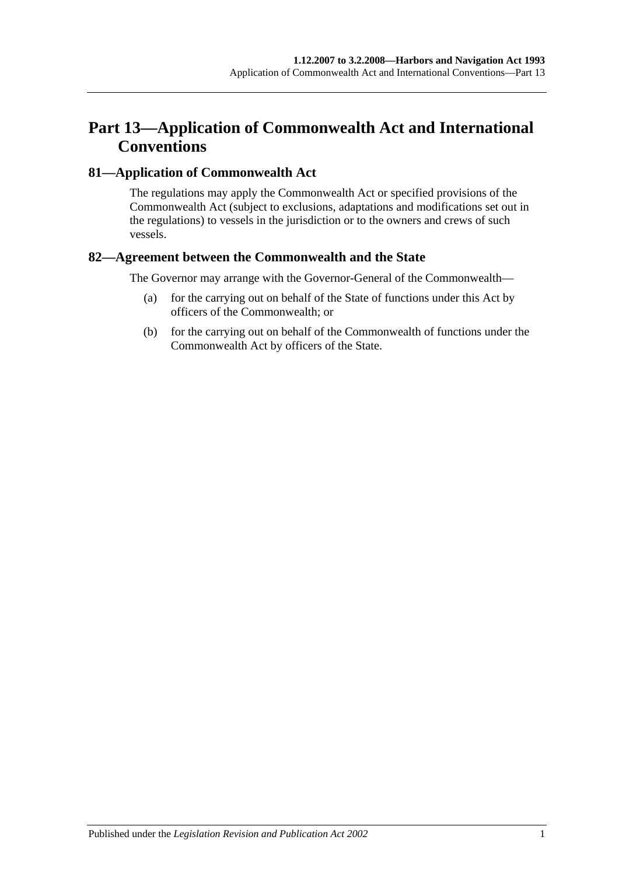# **Part 13—Application of Commonwealth Act and International Conventions**

### **81—Application of Commonwealth Act**

The regulations may apply the Commonwealth Act or specified provisions of the Commonwealth Act (subject to exclusions, adaptations and modifications set out in the regulations) to vessels in the jurisdiction or to the owners and crews of such vessels.

#### **82—Agreement between the Commonwealth and the State**

The Governor may arrange with the Governor-General of the Commonwealth—

- (a) for the carrying out on behalf of the State of functions under this Act by officers of the Commonwealth; or
- (b) for the carrying out on behalf of the Commonwealth of functions under the Commonwealth Act by officers of the State.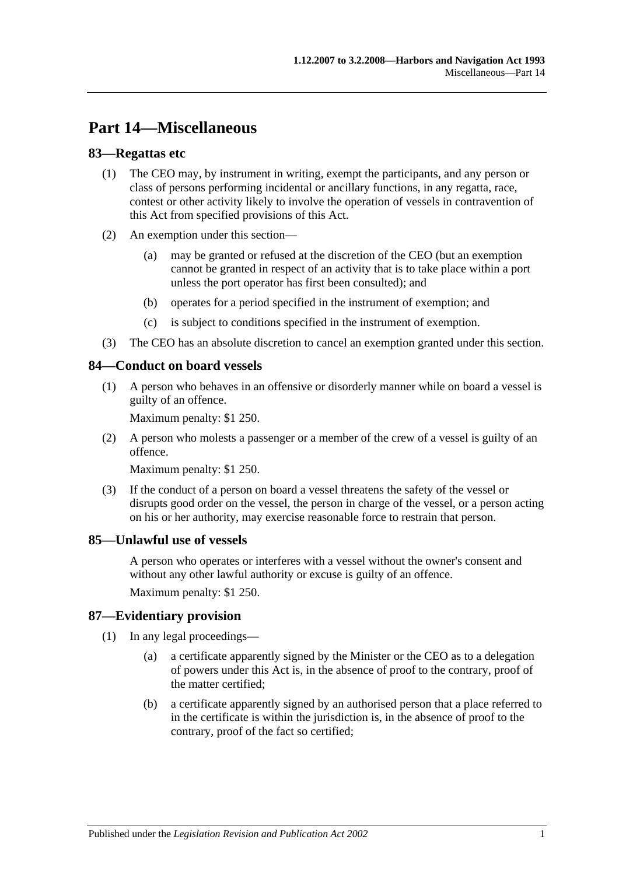# **Part 14—Miscellaneous**

#### **83—Regattas etc**

- (1) The CEO may, by instrument in writing, exempt the participants, and any person or class of persons performing incidental or ancillary functions, in any regatta, race, contest or other activity likely to involve the operation of vessels in contravention of this Act from specified provisions of this Act.
- (2) An exemption under this section—
	- (a) may be granted or refused at the discretion of the CEO (but an exemption cannot be granted in respect of an activity that is to take place within a port unless the port operator has first been consulted); and
	- (b) operates for a period specified in the instrument of exemption; and
	- (c) is subject to conditions specified in the instrument of exemption.
- (3) The CEO has an absolute discretion to cancel an exemption granted under this section.

#### **84—Conduct on board vessels**

(1) A person who behaves in an offensive or disorderly manner while on board a vessel is guilty of an offence.

Maximum penalty: \$1 250.

(2) A person who molests a passenger or a member of the crew of a vessel is guilty of an offence.

Maximum penalty: \$1 250.

(3) If the conduct of a person on board a vessel threatens the safety of the vessel or disrupts good order on the vessel, the person in charge of the vessel, or a person acting on his or her authority, may exercise reasonable force to restrain that person.

#### **85—Unlawful use of vessels**

A person who operates or interferes with a vessel without the owner's consent and without any other lawful authority or excuse is guilty of an offence.

Maximum penalty: \$1 250.

#### **87—Evidentiary provision**

- (1) In any legal proceedings—
	- (a) a certificate apparently signed by the Minister or the CEO as to a delegation of powers under this Act is, in the absence of proof to the contrary, proof of the matter certified;
	- (b) a certificate apparently signed by an authorised person that a place referred to in the certificate is within the jurisdiction is, in the absence of proof to the contrary, proof of the fact so certified;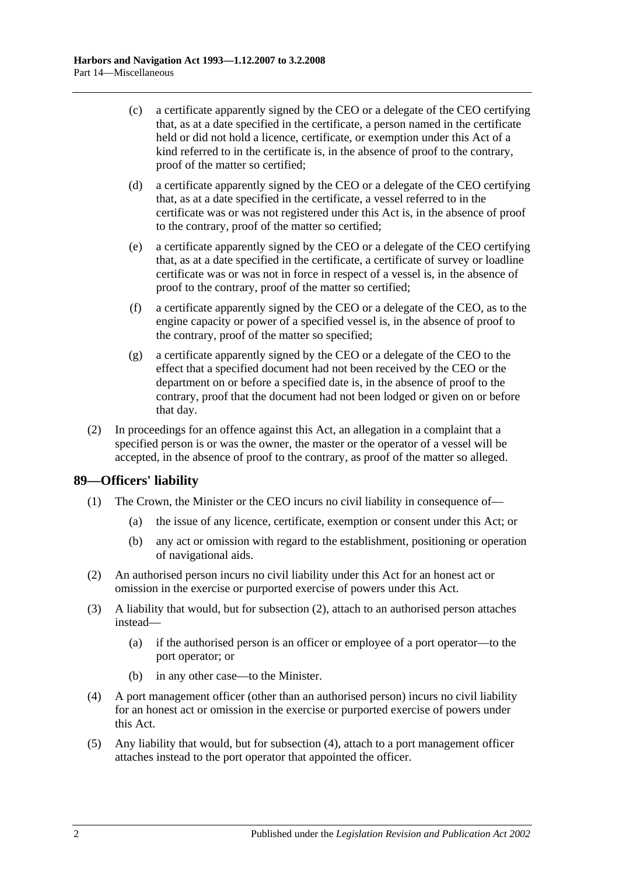- (c) a certificate apparently signed by the CEO or a delegate of the CEO certifying that, as at a date specified in the certificate, a person named in the certificate held or did not hold a licence, certificate, or exemption under this Act of a kind referred to in the certificate is, in the absence of proof to the contrary, proof of the matter so certified;
- (d) a certificate apparently signed by the CEO or a delegate of the CEO certifying that, as at a date specified in the certificate, a vessel referred to in the certificate was or was not registered under this Act is, in the absence of proof to the contrary, proof of the matter so certified;
- (e) a certificate apparently signed by the CEO or a delegate of the CEO certifying that, as at a date specified in the certificate, a certificate of survey or loadline certificate was or was not in force in respect of a vessel is, in the absence of proof to the contrary, proof of the matter so certified;
- (f) a certificate apparently signed by the CEO or a delegate of the CEO, as to the engine capacity or power of a specified vessel is, in the absence of proof to the contrary, proof of the matter so specified;
- (g) a certificate apparently signed by the CEO or a delegate of the CEO to the effect that a specified document had not been received by the CEO or the department on or before a specified date is, in the absence of proof to the contrary, proof that the document had not been lodged or given on or before that day.
- (2) In proceedings for an offence against this Act, an allegation in a complaint that a specified person is or was the owner, the master or the operator of a vessel will be accepted, in the absence of proof to the contrary, as proof of the matter so alleged.

#### **89—Officers' liability**

- (1) The Crown, the Minister or the CEO incurs no civil liability in consequence of—
	- (a) the issue of any licence, certificate, exemption or consent under this Act; or
	- (b) any act or omission with regard to the establishment, positioning or operation of navigational aids.
- <span id="page-67-0"></span>(2) An authorised person incurs no civil liability under this Act for an honest act or omission in the exercise or purported exercise of powers under this Act.
- (3) A liability that would, but for [subsection](#page-67-0) (2), attach to an authorised person attaches instead—
	- (a) if the authorised person is an officer or employee of a port operator—to the port operator; or
	- (b) in any other case—to the Minister.
- <span id="page-67-1"></span>(4) A port management officer (other than an authorised person) incurs no civil liability for an honest act or omission in the exercise or purported exercise of powers under this Act.
- (5) Any liability that would, but for [subsection](#page-67-1) (4), attach to a port management officer attaches instead to the port operator that appointed the officer.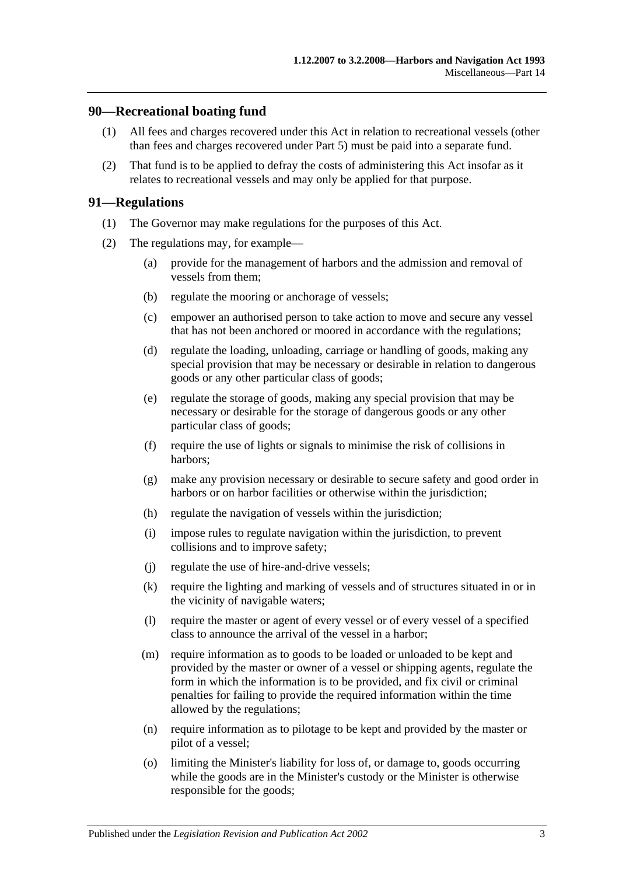#### **90—Recreational boating fund**

- (1) All fees and charges recovered under this Act in relation to recreational vessels (other than fees and charges recovered under [Part 5\)](#page-22-0) must be paid into a separate fund.
- (2) That fund is to be applied to defray the costs of administering this Act insofar as it relates to recreational vessels and may only be applied for that purpose.

#### **91—Regulations**

- (1) The Governor may make regulations for the purposes of this Act.
- (2) The regulations may, for example—
	- (a) provide for the management of harbors and the admission and removal of vessels from them;
	- (b) regulate the mooring or anchorage of vessels;
	- (c) empower an authorised person to take action to move and secure any vessel that has not been anchored or moored in accordance with the regulations;
	- (d) regulate the loading, unloading, carriage or handling of goods, making any special provision that may be necessary or desirable in relation to dangerous goods or any other particular class of goods;
	- (e) regulate the storage of goods, making any special provision that may be necessary or desirable for the storage of dangerous goods or any other particular class of goods;
	- (f) require the use of lights or signals to minimise the risk of collisions in harbors;
	- (g) make any provision necessary or desirable to secure safety and good order in harbors or on harbor facilities or otherwise within the jurisdiction;
	- (h) regulate the navigation of vessels within the jurisdiction;
	- (i) impose rules to regulate navigation within the jurisdiction, to prevent collisions and to improve safety;
	- (j) regulate the use of hire-and-drive vessels;
	- (k) require the lighting and marking of vessels and of structures situated in or in the vicinity of navigable waters;
	- (l) require the master or agent of every vessel or of every vessel of a specified class to announce the arrival of the vessel in a harbor;
	- (m) require information as to goods to be loaded or unloaded to be kept and provided by the master or owner of a vessel or shipping agents, regulate the form in which the information is to be provided, and fix civil or criminal penalties for failing to provide the required information within the time allowed by the regulations;
	- (n) require information as to pilotage to be kept and provided by the master or pilot of a vessel;
	- (o) limiting the Minister's liability for loss of, or damage to, goods occurring while the goods are in the Minister's custody or the Minister is otherwise responsible for the goods;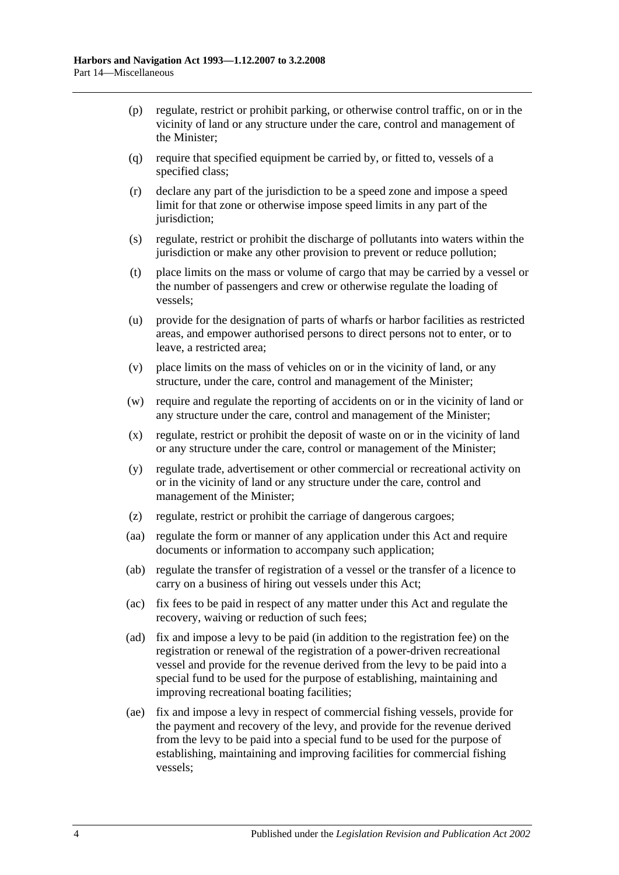- (p) regulate, restrict or prohibit parking, or otherwise control traffic, on or in the vicinity of land or any structure under the care, control and management of the Minister;
- (q) require that specified equipment be carried by, or fitted to, vessels of a specified class;
- (r) declare any part of the jurisdiction to be a speed zone and impose a speed limit for that zone or otherwise impose speed limits in any part of the jurisdiction;
- (s) regulate, restrict or prohibit the discharge of pollutants into waters within the jurisdiction or make any other provision to prevent or reduce pollution;
- (t) place limits on the mass or volume of cargo that may be carried by a vessel or the number of passengers and crew or otherwise regulate the loading of vessels;
- (u) provide for the designation of parts of wharfs or harbor facilities as restricted areas, and empower authorised persons to direct persons not to enter, or to leave, a restricted area;
- (v) place limits on the mass of vehicles on or in the vicinity of land, or any structure, under the care, control and management of the Minister;
- (w) require and regulate the reporting of accidents on or in the vicinity of land or any structure under the care, control and management of the Minister;
- (x) regulate, restrict or prohibit the deposit of waste on or in the vicinity of land or any structure under the care, control or management of the Minister;
- (y) regulate trade, advertisement or other commercial or recreational activity on or in the vicinity of land or any structure under the care, control and management of the Minister;
- (z) regulate, restrict or prohibit the carriage of dangerous cargoes;
- (aa) regulate the form or manner of any application under this Act and require documents or information to accompany such application;
- (ab) regulate the transfer of registration of a vessel or the transfer of a licence to carry on a business of hiring out vessels under this Act;
- (ac) fix fees to be paid in respect of any matter under this Act and regulate the recovery, waiving or reduction of such fees;
- <span id="page-69-0"></span>(ad) fix and impose a levy to be paid (in addition to the registration fee) on the registration or renewal of the registration of a power-driven recreational vessel and provide for the revenue derived from the levy to be paid into a special fund to be used for the purpose of establishing, maintaining and improving recreational boating facilities;
- <span id="page-69-1"></span>(ae) fix and impose a levy in respect of commercial fishing vessels, provide for the payment and recovery of the levy, and provide for the revenue derived from the levy to be paid into a special fund to be used for the purpose of establishing, maintaining and improving facilities for commercial fishing vessels;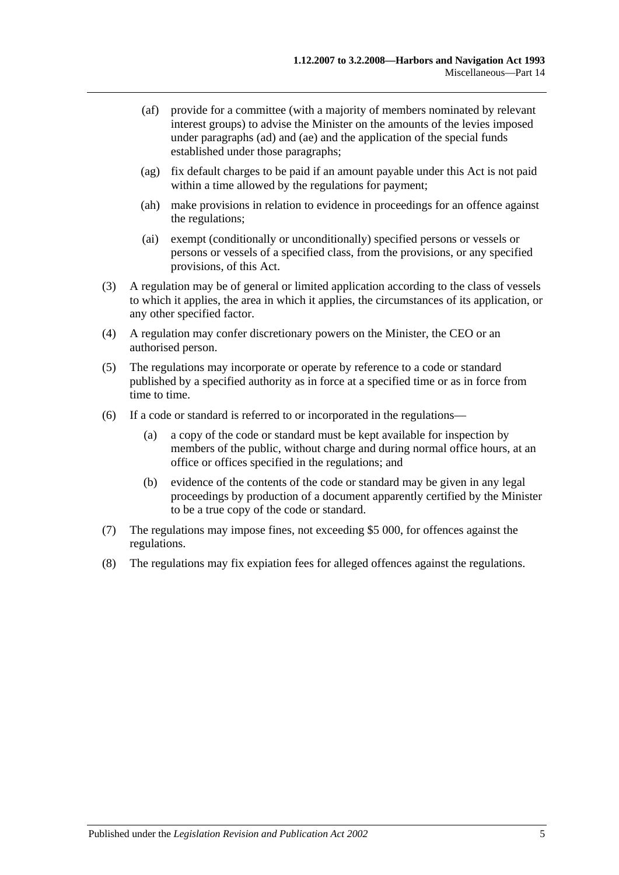- (af) provide for a committee (with a majority of members nominated by relevant interest groups) to advise the Minister on the amounts of the levies imposed under [paragraphs](#page-69-0) (ad) and [\(ae\)](#page-69-1) and the application of the special funds established under those paragraphs;
- (ag) fix default charges to be paid if an amount payable under this Act is not paid within a time allowed by the regulations for payment;
- (ah) make provisions in relation to evidence in proceedings for an offence against the regulations;
- (ai) exempt (conditionally or unconditionally) specified persons or vessels or persons or vessels of a specified class, from the provisions, or any specified provisions, of this Act.
- (3) A regulation may be of general or limited application according to the class of vessels to which it applies, the area in which it applies, the circumstances of its application, or any other specified factor.
- (4) A regulation may confer discretionary powers on the Minister, the CEO or an authorised person.
- (5) The regulations may incorporate or operate by reference to a code or standard published by a specified authority as in force at a specified time or as in force from time to time.
- (6) If a code or standard is referred to or incorporated in the regulations—
	- (a) a copy of the code or standard must be kept available for inspection by members of the public, without charge and during normal office hours, at an office or offices specified in the regulations; and
	- (b) evidence of the contents of the code or standard may be given in any legal proceedings by production of a document apparently certified by the Minister to be a true copy of the code or standard.
- (7) The regulations may impose fines, not exceeding \$5 000, for offences against the regulations.
- (8) The regulations may fix expiation fees for alleged offences against the regulations.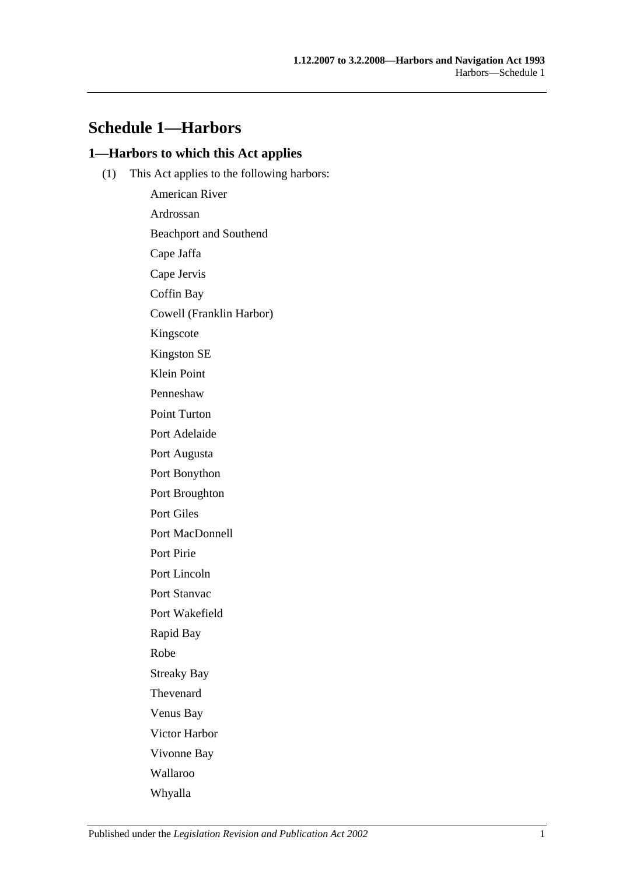# **Schedule 1—Harbors**

## **1—Harbors to which this Act applies**

(1) This Act applies to the following harbors:

American River Ardrossan Beachport and Southend Cape Jaffa Cape Jervis Coffin Bay Cowell (Franklin Harbor) Kingscote Kingston SE Klein Point Penneshaw Point Turton Port Adelaide Port Augusta Port Bonython Port Broughton Port Giles Port MacDonnell Port Pirie Port Lincoln Port Stanvac Port Wakefield Rapid Bay Robe Streaky Bay Thevenard Venus Bay Victor Harbor Vivonne Bay Wallaroo Whyalla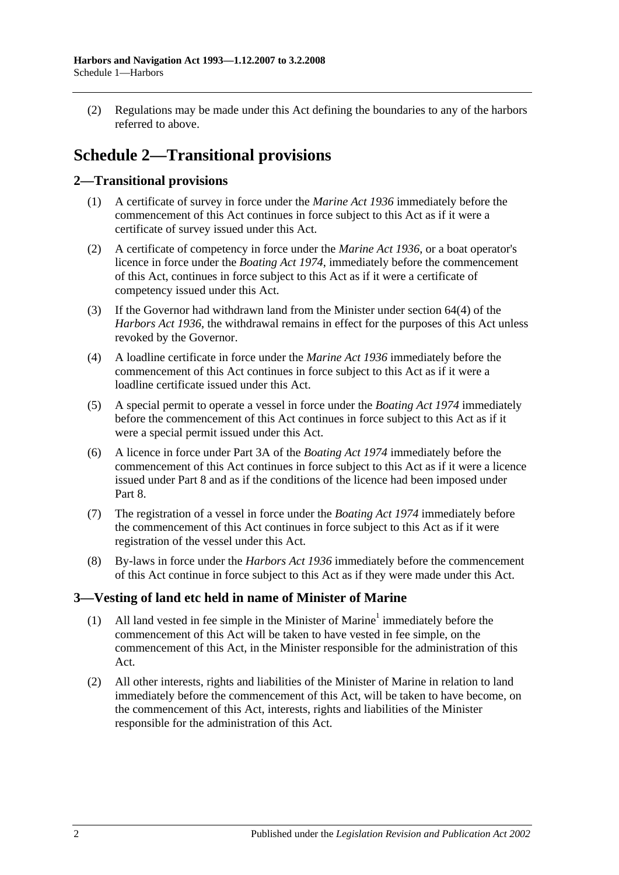(2) Regulations may be made under this Act defining the boundaries to any of the harbors referred to above.

# **Schedule 2—Transitional provisions**

## **2—Transitional provisions**

- (1) A certificate of survey in force under the *[Marine Act](http://www.legislation.sa.gov.au/index.aspx?action=legref&type=act&legtitle=Marine%20Act%201936) 1936* immediately before the commencement of this Act continues in force subject to this Act as if it were a certificate of survey issued under this Act.
- (2) A certificate of competency in force under the *[Marine Act](http://www.legislation.sa.gov.au/index.aspx?action=legref&type=act&legtitle=Marine%20Act%201936) 1936*, or a boat operator's licence in force under the *[Boating Act](http://www.legislation.sa.gov.au/index.aspx?action=legref&type=act&legtitle=Boating%20Act%201974) 1974*, immediately before the commencement of this Act, continues in force subject to this Act as if it were a certificate of competency issued under this Act.
- (3) If the Governor had withdrawn land from the Minister under section 64(4) of the *[Harbors Act](http://www.legislation.sa.gov.au/index.aspx?action=legref&type=act&legtitle=Harbors%20Act%201936) 1936*, the withdrawal remains in effect for the purposes of this Act unless revoked by the Governor.
- (4) A loadline certificate in force under the *[Marine Act](http://www.legislation.sa.gov.au/index.aspx?action=legref&type=act&legtitle=Marine%20Act%201936) 1936* immediately before the commencement of this Act continues in force subject to this Act as if it were a loadline certificate issued under this Act.
- (5) A special permit to operate a vessel in force under the *[Boating Act](http://www.legislation.sa.gov.au/index.aspx?action=legref&type=act&legtitle=Boating%20Act%201974) 1974* immediately before the commencement of this Act continues in force subject to this Act as if it were a special permit issued under this Act.
- (6) A licence in force under Part 3A of the *[Boating Act](http://www.legislation.sa.gov.au/index.aspx?action=legref&type=act&legtitle=Boating%20Act%201974) 1974* immediately before the commencement of this Act continues in force subject to this Act as if it were a licence issued under [Part 8](#page-40-0) and as if the conditions of the licence had been imposed under [Part](#page-40-0) 8.
- (7) The registration of a vessel in force under the *[Boating Act](http://www.legislation.sa.gov.au/index.aspx?action=legref&type=act&legtitle=Boating%20Act%201974) 1974* immediately before the commencement of this Act continues in force subject to this Act as if it were registration of the vessel under this Act.
- (8) By-laws in force under the *[Harbors Act](http://www.legislation.sa.gov.au/index.aspx?action=legref&type=act&legtitle=Harbors%20Act%201936) 1936* immediately before the commencement of this Act continue in force subject to this Act as if they were made under this Act.

## **3—Vesting of land etc held in name of Minister of Marine**

- (1) All land vested in fee simple in the Minister of Marine<sup>1</sup> immediately before the commencement of this Act will be taken to have vested in fee simple, on the commencement of this Act, in the Minister responsible for the administration of this Act.
- (2) All other interests, rights and liabilities of the Minister of Marine in relation to land immediately before the commencement of this Act, will be taken to have become, on the commencement of this Act, interests, rights and liabilities of the Minister responsible for the administration of this Act.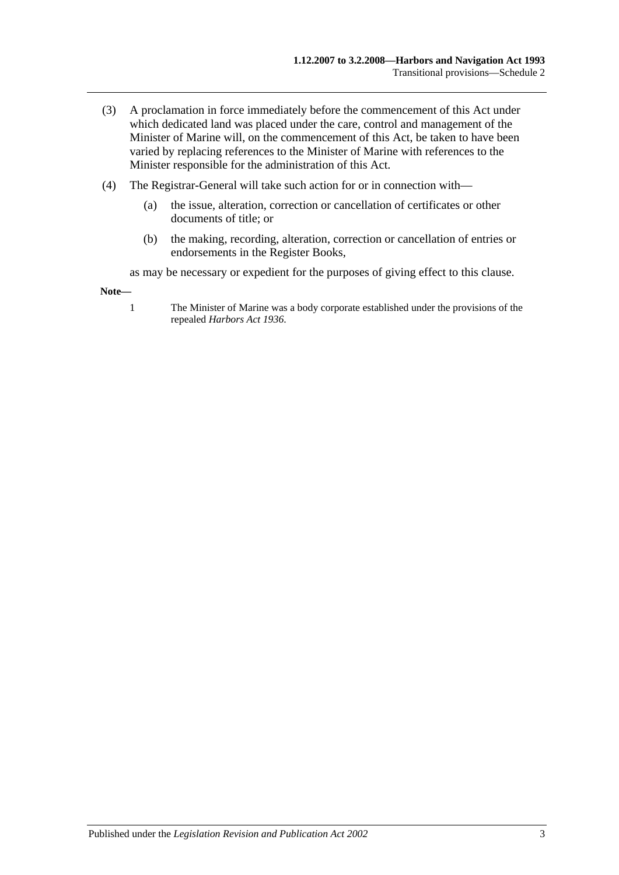- (3) A proclamation in force immediately before the commencement of this Act under which dedicated land was placed under the care, control and management of the Minister of Marine will, on the commencement of this Act, be taken to have been varied by replacing references to the Minister of Marine with references to the Minister responsible for the administration of this Act.
- (4) The Registrar-General will take such action for or in connection with—
	- (a) the issue, alteration, correction or cancellation of certificates or other documents of title; or
	- (b) the making, recording, alteration, correction or cancellation of entries or endorsements in the Register Books,

as may be necessary or expedient for the purposes of giving effect to this clause.

**Note—**

1 The Minister of Marine was a body corporate established under the provisions of the repealed *[Harbors Act](http://www.legislation.sa.gov.au/index.aspx?action=legref&type=act&legtitle=Harbors%20Act%201936) 1936*.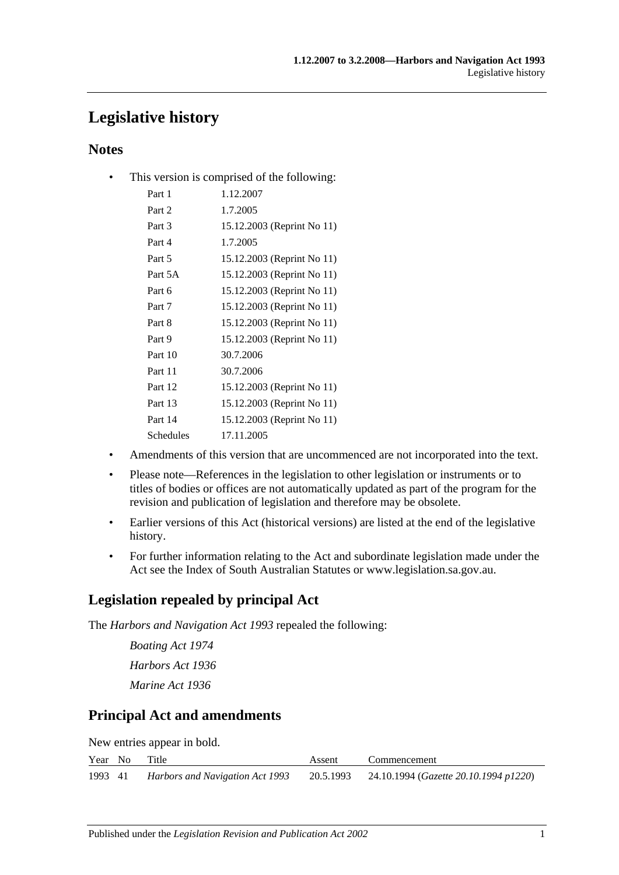# **Legislative history**

## **Notes**

• This version is comprised of the following:

| Part 1    | 1.12.2007                  |
|-----------|----------------------------|
| Part 2    | 1.7.2005                   |
| Part 3    | 15.12.2003 (Reprint No 11) |
| Part 4    | 1.7.2005                   |
| Part 5    | 15.12.2003 (Reprint No 11) |
| Part 5A   | 15.12.2003 (Reprint No 11) |
| Part 6    | 15.12.2003 (Reprint No 11) |
| Part 7    | 15.12.2003 (Reprint No 11) |
| Part 8    | 15.12.2003 (Reprint No 11) |
| Part 9    | 15.12.2003 (Reprint No 11) |
| Part 10   | 30.7.2006                  |
| Part 11   | 30.7.2006                  |
| Part 12   | 15.12.2003 (Reprint No 11) |
| Part 13   | 15.12.2003 (Reprint No 11) |
| Part 14   | 15.12.2003 (Reprint No 11) |
| Schedules | 17.11.2005                 |
|           |                            |

- Amendments of this version that are uncommenced are not incorporated into the text.
- Please note—References in the legislation to other legislation or instruments or to titles of bodies or offices are not automatically updated as part of the program for the revision and publication of legislation and therefore may be obsolete.
- Earlier versions of this Act (historical versions) are listed at the end of the legislative history.
- For further information relating to the Act and subordinate legislation made under the Act see the Index of South Australian Statutes or www.legislation.sa.gov.au.

# **Legislation repealed by principal Act**

The *Harbors and Navigation Act 1993* repealed the following:

*Boating Act 1974 Harbors Act 1936 Marine Act 1936*

# **Principal Act and amendments**

New entries appear in bold.

|         | Year No | Title                           | Assent | Commencement                                    |
|---------|---------|---------------------------------|--------|-------------------------------------------------|
| 1993 41 |         | Harbors and Navigation Act 1993 |        | 20.5.1993 24.10.1994 (Gazette 20.10.1994 p1220) |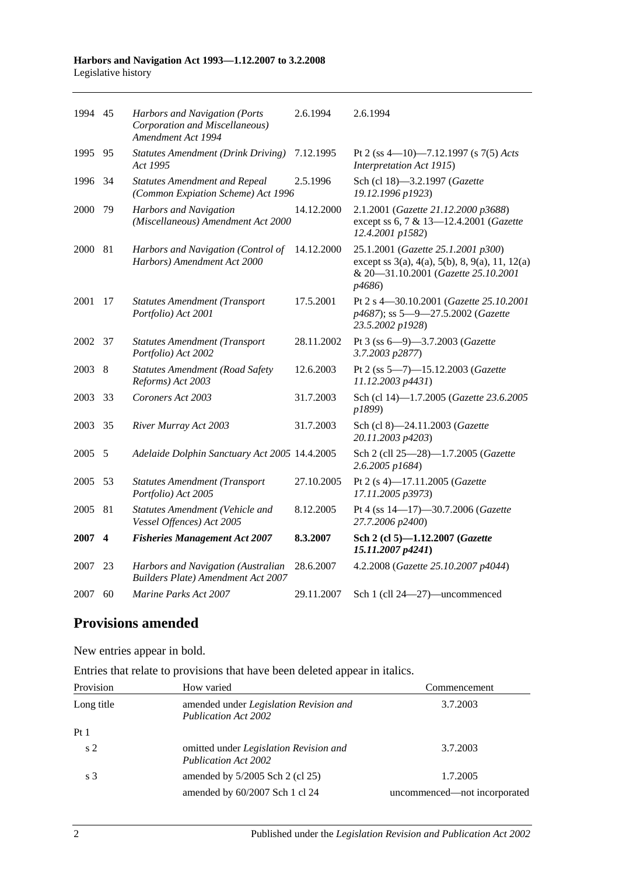| 1994 45 |                  | Harbors and Navigation (Ports<br>Corporation and Miscellaneous)<br>Amendment Act 1994 | 2.6.1994   | 2.6.1994                                                                                                                                                  |
|---------|------------------|---------------------------------------------------------------------------------------|------------|-----------------------------------------------------------------------------------------------------------------------------------------------------------|
| 1995    | 95               | <b>Statutes Amendment (Drink Driving)</b><br>Act 1995                                 | 7.12.1995  | Pt 2 (ss 4—10)—7.12.1997 (s 7(5) Acts<br>Interpretation Act 1915)                                                                                         |
| 1996    | 34               | <b>Statutes Amendment and Repeal</b><br>(Common Expiation Scheme) Act 1996            | 2.5.1996   | Sch (cl 18)-3.2.1997 (Gazette<br>19.12.1996 p1923)                                                                                                        |
| 2000    | 79               | Harbors and Navigation<br>(Miscellaneous) Amendment Act 2000                          | 14.12.2000 | 2.1.2001 (Gazette 21.12.2000 p3688)<br>except ss 6, 7 & 13-12.4.2001 (Gazette<br>12.4.2001 p1582)                                                         |
| 2000    | 81               | Harbors and Navigation (Control of<br>Harbors) Amendment Act 2000                     | 14.12.2000 | 25.1.2001 (Gazette 25.1.2001 p300)<br>except ss $3(a)$ , $4(a)$ , $5(b)$ , $8$ , $9(a)$ , $11$ , $12(a)$<br>& 20-31.10.2001 (Gazette 25.10.2001<br>p4686) |
| 2001    | 17               | <b>Statutes Amendment (Transport</b><br>Portfolio) Act 2001                           | 17.5.2001  | Pt 2 s 4-30.10.2001 (Gazette 25.10.2001<br>p4687); ss 5-9-27.5.2002 (Gazette<br>23.5.2002 p1928)                                                          |
| 2002    | 37               | <b>Statutes Amendment (Transport</b><br>Portfolio) Act 2002                           | 28.11.2002 | Pt 3 (ss 6-9)-3.7.2003 (Gazette<br>3.7.2003 p2877)                                                                                                        |
| 2003    | 8                | <b>Statutes Amendment (Road Safety</b><br>Reforms) Act 2003                           | 12.6.2003  | Pt 2 (ss 5-7)-15.12.2003 (Gazette<br>11.12.2003 p4431)                                                                                                    |
| 2003    | 33               | Coroners Act 2003                                                                     | 31.7.2003  | Sch (cl 14)-1.7.2005 (Gazette 23.6.2005<br>p1899)                                                                                                         |
| 2003    | 35               | River Murray Act 2003                                                                 | 31.7.2003  | Sch (cl 8)-24.11.2003 (Gazette<br>20.11.2003 p4203)                                                                                                       |
| 2005    | 5                | Adelaide Dolphin Sanctuary Act 2005 14.4.2005                                         |            | Sch 2 (cll 25-28)-1.7.2005 (Gazette<br>2.6.2005 p1684)                                                                                                    |
| 2005    | 53               | <b>Statutes Amendment (Transport</b><br>Portfolio) Act 2005                           | 27.10.2005 | Pt 2 (s 4)-17.11.2005 (Gazette<br>17.11.2005 p3973)                                                                                                       |
| 2005    | 81               | Statutes Amendment (Vehicle and<br>Vessel Offences) Act 2005                          | 8.12.2005  | Pt 4 (ss 14-17)-30.7.2006 (Gazette<br>27.7.2006 p2400)                                                                                                    |
| 2007    | $\boldsymbol{4}$ | <b>Fisheries Management Act 2007</b>                                                  | 8.3.2007   | Sch 2 (cl 5)-1.12.2007 (Gazette<br>15.11.2007 p4241)                                                                                                      |
| 2007    | 23               | Harbors and Navigation (Australian<br><b>Builders Plate) Amendment Act 2007</b>       | 28.6.2007  | 4.2.2008 (Gazette 25.10.2007 p4044)                                                                                                                       |
| 2007    | 60               | <i>Marine Parks Act 2007</i>                                                          | 29.11.2007 | Sch 1 (cll 24-27)-uncommenced                                                                                                                             |

# **Provisions amended**

New entries appear in bold.

Entries that relate to provisions that have been deleted appear in italics.

| Provision       | How varied                                                                   | Commencement                 |
|-----------------|------------------------------------------------------------------------------|------------------------------|
| Long title      | amended under Legislation Revision and<br><b>Publication Act 2002</b>        | 3.7.2003                     |
| Pt <sub>1</sub> |                                                                              |                              |
| s <sub>2</sub>  | omitted under <i>Legislation Revision and</i><br><b>Publication Act 2002</b> | 3.7.2003                     |
| s <sub>3</sub>  | amended by 5/2005 Sch 2 (cl 25)                                              | 1.7.2005                     |
|                 | amended by 60/2007 Sch 1 cl 24                                               | uncommenced—not incorporated |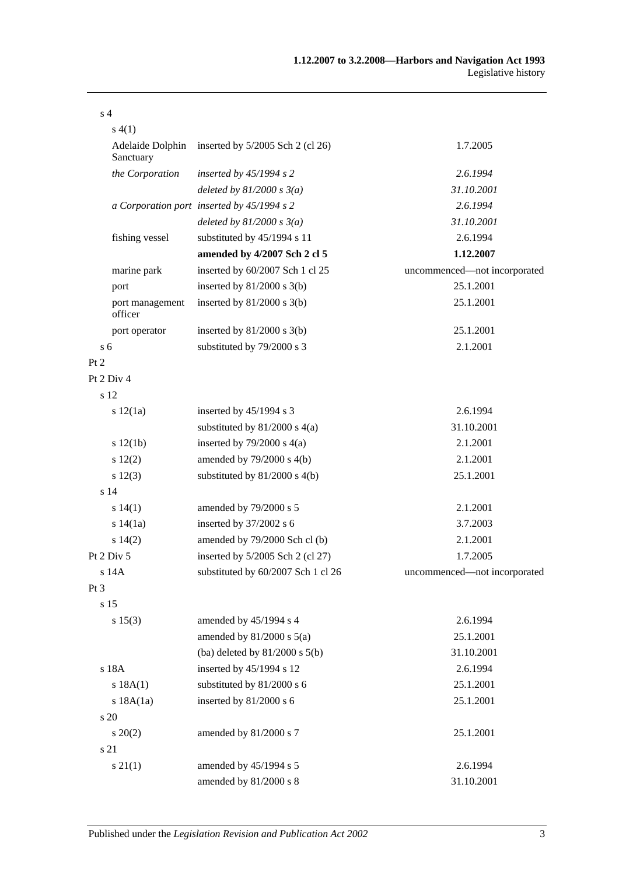| s <sub>4</sub>                |                                            |                              |
|-------------------------------|--------------------------------------------|------------------------------|
| s(4(1))                       |                                            |                              |
| Adelaide Dolphin<br>Sanctuary | inserted by $5/2005$ Sch 2 (cl 26)         | 1.7.2005                     |
| the Corporation               | inserted by $45/1994 s 2$                  | 2.6.1994                     |
|                               | deleted by $81/2000 s 3(a)$                | 31.10.2001                   |
|                               | a Corporation port inserted by 45/1994 s 2 | 2.6.1994                     |
|                               | deleted by $81/2000 s 3(a)$                | 31.10.2001                   |
| fishing vessel                | substituted by 45/1994 s 11                | 2.6.1994                     |
|                               | amended by 4/2007 Sch 2 cl 5               | 1.12.2007                    |
| marine park                   | inserted by 60/2007 Sch 1 cl 25            | uncommenced-not incorporated |
| port                          | inserted by $81/2000$ s $3(b)$             | 25.1.2001                    |
| port management<br>officer    | inserted by $81/2000$ s $3(b)$             | 25.1.2001                    |
| port operator                 | inserted by $81/2000$ s $3(b)$             | 25.1.2001                    |
| s <sub>6</sub>                | substituted by 79/2000 s 3                 | 2.1.2001                     |
| Pt 2                          |                                            |                              |
| Pt 2 Div 4                    |                                            |                              |
| s 12                          |                                            |                              |
| s 12(1a)                      | inserted by 45/1994 s 3                    | 2.6.1994                     |
|                               | substituted by $81/2000$ s $4(a)$          | 31.10.2001                   |
| s 12(1b)                      | inserted by $79/2000$ s $4(a)$             | 2.1.2001                     |
| s 12(2)                       | amended by $79/2000$ s $4(b)$              | 2.1.2001                     |
| s 12(3)                       | substituted by $81/2000$ s $4(b)$          | 25.1.2001                    |
| s <sub>14</sub>               |                                            |                              |
| s 14(1)                       | amended by 79/2000 s 5                     | 2.1.2001                     |
| s 14(1a)                      | inserted by 37/2002 s 6                    | 3.7.2003                     |
| s 14(2)                       | amended by 79/2000 Sch cl (b)              | 2.1.2001                     |
| Pt 2 Div 5                    | inserted by 5/2005 Sch 2 (cl 27)           | 1.7.2005                     |
| s 14A                         | substituted by 60/2007 Sch 1 cl 26         | uncommenced-not incorporated |
| Pt <sub>3</sub>               |                                            |                              |
| s <sub>15</sub>               |                                            |                              |
| s 15(3)                       | amended by 45/1994 s 4                     | 2.6.1994                     |
|                               | amended by $81/2000$ s $5(a)$              | 25.1.2001                    |
|                               | (ba) deleted by $81/2000$ s $5(b)$         | 31.10.2001                   |
| s 18A                         | inserted by 45/1994 s 12                   | 2.6.1994                     |
| s 18A(1)                      | substituted by 81/2000 s 6                 | 25.1.2001                    |
| s 18A(1a)                     | inserted by 81/2000 s 6                    | 25.1.2001                    |
| s 20                          |                                            |                              |
| $s \ 20(2)$                   | amended by 81/2000 s 7                     | 25.1.2001                    |
| s 21                          |                                            |                              |
| $s \, 21(1)$                  | amended by 45/1994 s 5                     | 2.6.1994                     |
|                               | amended by 81/2000 s 8                     | 31.10.2001                   |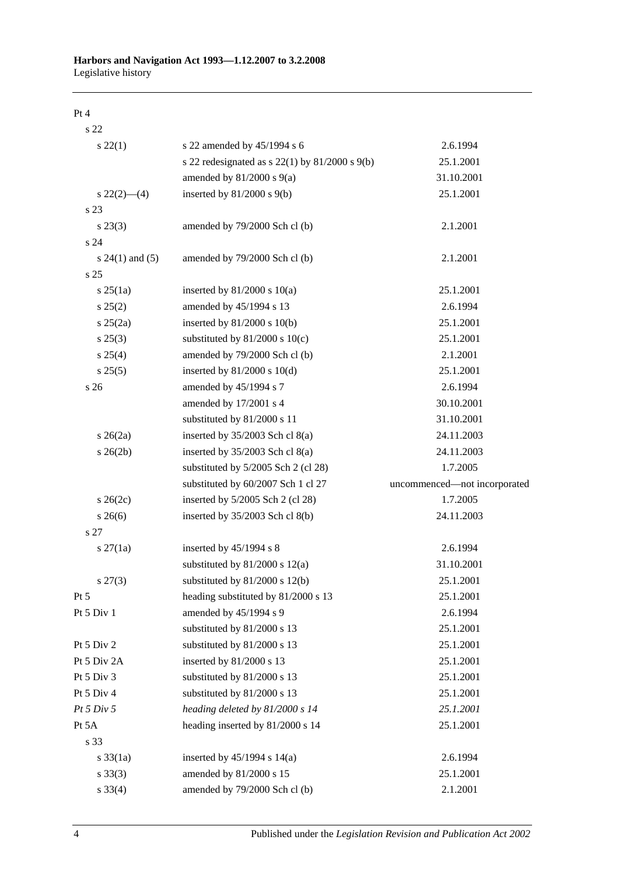#### Pt 4

s 22 s 22(1) s 22 amended by 45/1994 s 6 2.6.1994 s 22 redesignated as s 22(1) by 81/2000 s 9(b) 25.1.2001 amended by 81/2000 s 9(a) 31.10.2001 s 22(2)—(4) inserted by 81/2000 s 9(b) 25.1.2001 s 23 s 23(3) amended by 79/2000 Sch cl (b) 2.1.2001 s 24 s 24(1) and (5) amended by 79/2000 Sch cl (b) 2.1.2001 s 25 s 25(1a) inserted by 81/2000 s 10(a) 25.1.2001 s 25(2) amended by 45/1994 s 13 2.6.1994 s 25(2a) inserted by 81/2000 s 10(b) 25.1.2001 s 25(3) substituted by 81/2000 s 10(c) 25.1.2001 s 25(4) amended by 79/2000 Sch cl (b) 2.1.2001 s 25(5) inserted by 81/2000 s 10(d) 25.1.2001 s 26 **amended by 45/1994 s 7** 2.6.1994 amended by 17/2001 s 4 30.10.2001 substituted by 81/2000 s 11 31.10.2001 s 26(2a) inserted by 35/2003 Sch cl 8(a) 24.11.2003 s 26(2b) inserted by 35/2003 Sch cl 8(a) 24.11.2003 substituted by 5/2005 Sch 2 (cl 28) 1.7.2005 substituted by 60/2007 Sch 1 cl 27 uncommenced—not incorporated s 26(2c) inserted by 5/2005 Sch 2 (cl 28) 1.7.2005 s 26(6) inserted by 35/2003 Sch cl 8(b) 24.11.2003 s 27 s 27(1a) inserted by 45/1994 s 8 2.6.1994 substituted by 81/2000 s 12(a) 31.10.2001 s 27(3) substituted by 81/2000 s 12(b) 25.1.2001 Pt 5 heading substituted by 81/2000 s 13 25.1.2001 Pt 5 Div 1 amended by 45/1994 s 9 2.6.1994 substituted by 81/2000 s 13 25.1.2001 Pt 5 Div 2 substituted by 81/2000 s 13 25.1.2001 Pt 5 Div 2A inserted by 81/2000 s 13 25.1.2001 Pt 5 Div 3 substituted by 81/2000 s 13 25.1.2001 Pt 5 Div 4 substituted by 81/2000 s 13 25.1.2001 *Pt 5 Div 5 heading deleted by 81/2000 s 14 25.1.2001* Pt 5A heading inserted by 81/2000 s 14 25.1.2001 s 33 s 33(1a) inserted by 45/1994 s 14(a) 2.6.1994 s 33(3) amended by 81/2000 s 15 25.1.2001 s 33(4) amended by 79/2000 Sch cl (b) 2.1.2001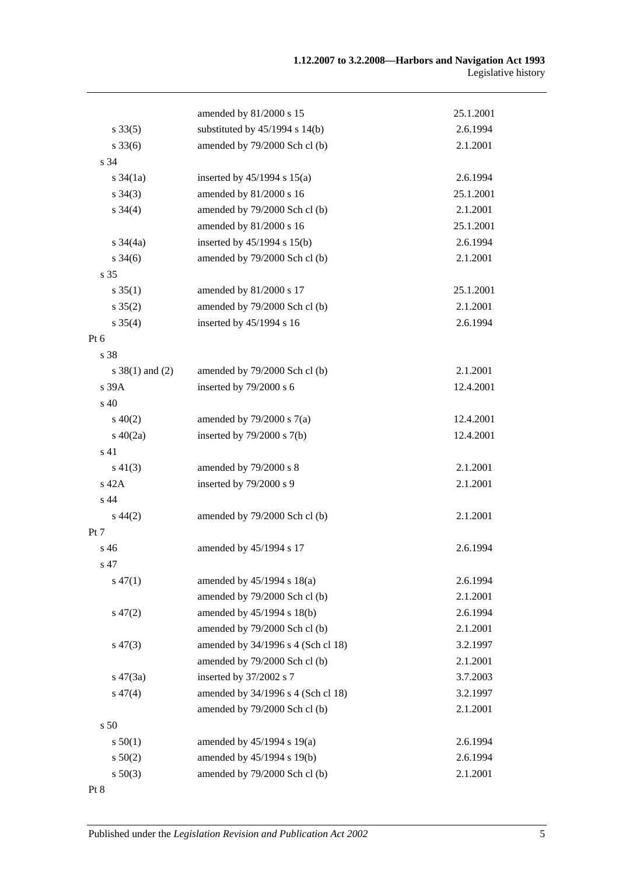|                     | amended by 81/2000 s 15            | 25.1.2001 |
|---------------------|------------------------------------|-----------|
| $s \, 33(5)$        | substituted by $45/1994$ s $14(b)$ | 2.6.1994  |
| $s \, 33(6)$        | amended by 79/2000 Sch cl (b)      | 2.1.2001  |
| s 34                |                                    |           |
| $s \frac{34}{1a}$   | inserted by $45/1994$ s $15(a)$    | 2.6.1994  |
| $s \; 34(3)$        | amended by 81/2000 s 16            | 25.1.2001 |
| $s \; 34(4)$        | amended by 79/2000 Sch cl (b)      | 2.1.2001  |
|                     | amended by 81/2000 s 16            | 25.1.2001 |
| $s \frac{34}{4a}$   | inserted by $45/1994$ s $15(b)$    | 2.6.1994  |
| $s \frac{34(6)}{2}$ | amended by 79/2000 Sch cl (b)      | 2.1.2001  |
| s 35                |                                    |           |
| $s \, 35(1)$        | amended by 81/2000 s 17            | 25.1.2001 |
| $s \, 35(2)$        | amended by 79/2000 Sch cl (b)      | 2.1.2001  |
| $s \, 35(4)$        | inserted by 45/1994 s 16           | 2.6.1994  |
| $Pt\ 6$             |                                    |           |
| s 38                |                                    |           |
| $s \ 38(1)$ and (2) | amended by 79/2000 Sch cl (b)      | 2.1.2001  |
| s 39A               | inserted by 79/2000 s 6            | 12.4.2001 |
| s 40                |                                    |           |
| $s\ 40(2)$          | amended by $79/2000$ s $7(a)$      | 12.4.2001 |
| s $40(2a)$          | inserted by $79/2000$ s $7(b)$     | 12.4.2001 |
| s 41                |                                    |           |
| $s\ 41(3)$          | amended by 79/2000 s 8             | 2.1.2001  |
| s 42A               | inserted by 79/2000 s 9            | 2.1.2001  |
| s 44                |                                    |           |
| $s\,44(2)$          | amended by 79/2000 Sch cl (b)      | 2.1.2001  |
| Pt 7                |                                    |           |
| s 46                | amended by 45/1994 s 17            | 2.6.1994  |
| s 47                |                                    |           |
| $s\,47(1)$          | amended by $45/1994$ s $18(a)$     | 2.6.1994  |
|                     | amended by 79/2000 Sch cl (b)      | 2.1.2001  |
| $s\,47(2)$          | amended by 45/1994 s 18(b)         | 2.6.1994  |
|                     | amended by 79/2000 Sch cl (b)      | 2.1.2001  |
| $s\,47(3)$          | amended by 34/1996 s 4 (Sch cl 18) | 3.2.1997  |
|                     | amended by 79/2000 Sch cl (b)      | 2.1.2001  |
| $s\,47(3a)$         | inserted by 37/2002 s 7            | 3.7.2003  |
| $s\,47(4)$          | amended by 34/1996 s 4 (Sch cl 18) | 3.2.1997  |
|                     | amended by 79/2000 Sch cl (b)      | 2.1.2001  |
| s 50                |                                    |           |
| s 50(1)             | amended by $45/1994$ s 19(a)       | 2.6.1994  |
| $s\ 50(2)$          | amended by 45/1994 s 19(b)         | 2.6.1994  |
| $s\ 50(3)$          | amended by 79/2000 Sch cl (b)      | 2.1.2001  |
|                     |                                    |           |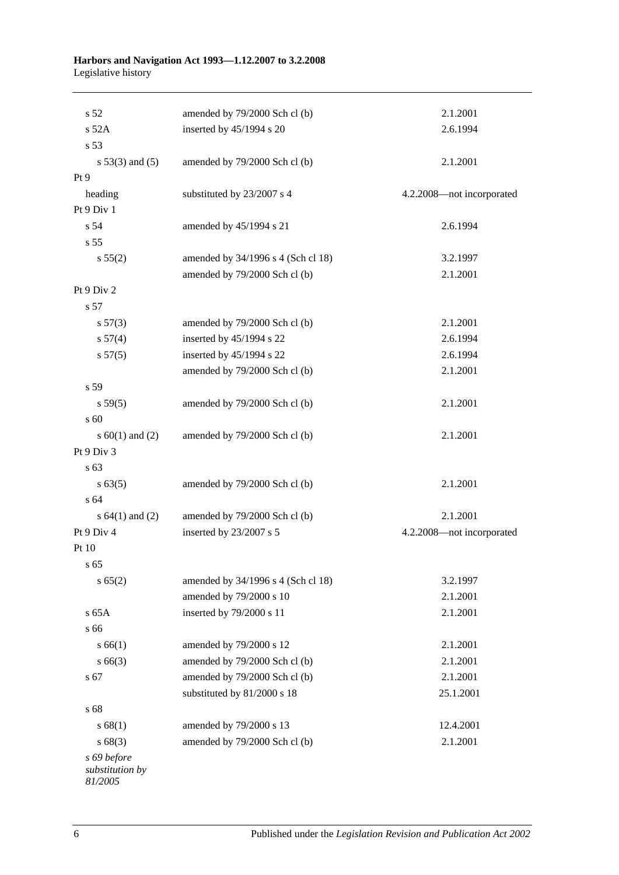| s 52                                      | amended by 79/2000 Sch cl (b)      | 2.1.2001                  |
|-------------------------------------------|------------------------------------|---------------------------|
| $s$ 52A                                   | inserted by 45/1994 s 20           | 2.6.1994                  |
| s 53                                      |                                    |                           |
| $s 53(3)$ and $(5)$                       | amended by 79/2000 Sch cl (b)      | 2.1.2001                  |
| Pt 9                                      |                                    |                           |
| heading                                   | substituted by 23/2007 s 4         | 4.2.2008-not incorporated |
| Pt 9 Div 1                                |                                    |                           |
| s 54                                      | amended by 45/1994 s 21            | 2.6.1994                  |
| s <sub>55</sub>                           |                                    |                           |
| s 55(2)                                   | amended by 34/1996 s 4 (Sch cl 18) | 3.2.1997                  |
|                                           | amended by 79/2000 Sch cl (b)      | 2.1.2001                  |
| Pt 9 Div 2                                |                                    |                           |
| s 57                                      |                                    |                           |
| s 57(3)                                   | amended by 79/2000 Sch cl (b)      | 2.1.2001                  |
| s 57(4)                                   | inserted by 45/1994 s 22           | 2.6.1994                  |
| s 57(5)                                   | inserted by 45/1994 s 22           | 2.6.1994                  |
|                                           | amended by 79/2000 Sch cl (b)      | 2.1.2001                  |
| s 59                                      |                                    |                           |
| s 59(5)                                   | amended by 79/2000 Sch cl (b)      | 2.1.2001                  |
| s 60                                      |                                    |                           |
| s $60(1)$ and $(2)$                       | amended by 79/2000 Sch cl (b)      | 2.1.2001                  |
| Pt 9 Div 3                                |                                    |                           |
| s 63                                      |                                    |                           |
| $s \, 63(5)$                              | amended by 79/2000 Sch cl (b)      | 2.1.2001                  |
| s 64                                      |                                    |                           |
| s $64(1)$ and $(2)$                       | amended by 79/2000 Sch cl (b)      | 2.1.2001                  |
| Pt 9 Div 4                                | inserted by 23/2007 s 5            | 4.2.2008-not incorporated |
| Pt 10                                     |                                    |                           |
| s 65                                      |                                    |                           |
| s 65(2)                                   | amended by 34/1996 s 4 (Sch cl 18) | 3.2.1997                  |
|                                           | amended by 79/2000 s 10            | 2.1.2001                  |
| s 65A                                     | inserted by 79/2000 s 11           | 2.1.2001                  |
| s 66                                      |                                    |                           |
| s 66(1)                                   | amended by 79/2000 s 12            | 2.1.2001                  |
| $s\,66(3)$                                | amended by 79/2000 Sch cl (b)      | 2.1.2001                  |
| s 67                                      | amended by 79/2000 Sch cl (b)      | 2.1.2001                  |
|                                           | substituted by 81/2000 s 18        | 25.1.2001                 |
| s 68                                      |                                    |                           |
| s 68(1)                                   | amended by 79/2000 s 13            | 12.4.2001                 |
| s68(3)                                    | amended by 79/2000 Sch cl (b)      | 2.1.2001                  |
| s 69 before<br>substitution by<br>81/2005 |                                    |                           |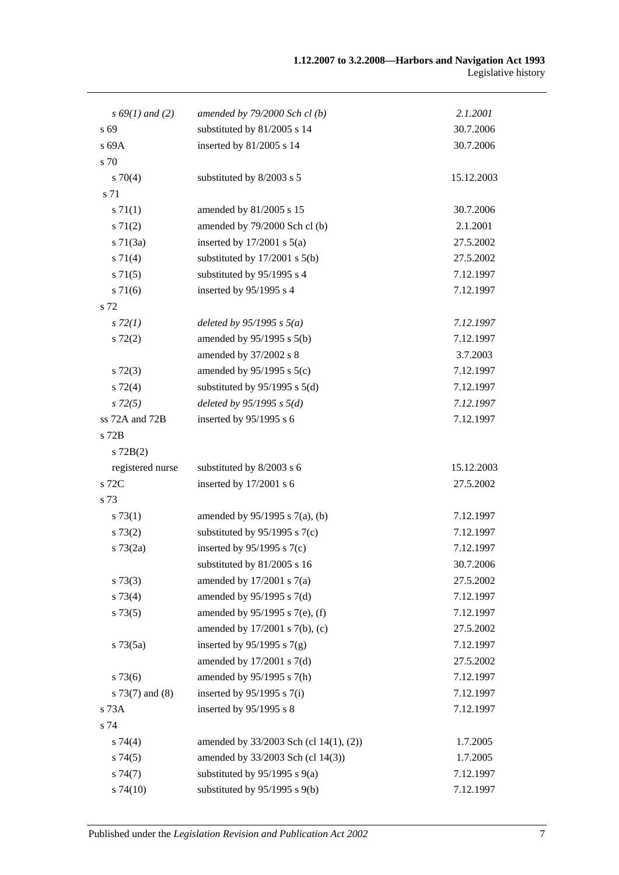| $s\,69(1)$ and (2) | amended by $79/2000$ Sch cl(b)         | 2.1.2001   |
|--------------------|----------------------------------------|------------|
| s 69               | substituted by 81/2005 s 14            | 30.7.2006  |
| s 69A              | inserted by 81/2005 s 14               | 30.7.2006  |
| s 70               |                                        |            |
| $s \, 70(4)$       | substituted by 8/2003 s 5              | 15.12.2003 |
| s 71               |                                        |            |
| s 71(1)            | amended by 81/2005 s 15                | 30.7.2006  |
| $s \, 71(2)$       | amended by 79/2000 Sch cl (b)          | 2.1.2001   |
| $s \, 71(3a)$      | inserted by $17/2001$ s $5(a)$         | 27.5.2002  |
| $s \, 71(4)$       | substituted by $17/2001$ s $5(b)$      | 27.5.2002  |
| $s \, 71(5)$       | substituted by 95/1995 s 4             | 7.12.1997  |
| $s \, 71(6)$       | inserted by 95/1995 s 4                | 7.12.1997  |
| s 72               |                                        |            |
| $s\,72(1)$         | deleted by $95/1995 s 5(a)$            | 7.12.1997  |
| $s\ 72(2)$         | amended by $95/1995$ s $5(b)$          | 7.12.1997  |
|                    | amended by 37/2002 s 8                 | 3.7.2003   |
| $s\ 72(3)$         | amended by $95/1995$ s $5(c)$          | 7.12.1997  |
| $s \, 72(4)$       | substituted by $95/1995$ s $5(d)$      | 7.12.1997  |
| $s\,72(5)$         | deleted by $95/1995 s 5(d)$            | 7.12.1997  |
| ss 72A and 72B     | inserted by 95/1995 s 6                | 7.12.1997  |
| s 72B              |                                        |            |
| $s$ 72B(2)         |                                        |            |
| registered nurse   | substituted by 8/2003 s 6              | 15.12.2003 |
| s 72C              | inserted by 17/2001 s 6                | 27.5.2002  |
| s 73               |                                        |            |
| s 73(1)            | amended by $95/1995$ s $7(a)$ , (b)    | 7.12.1997  |
| s 73(2)            | substituted by $95/1995$ s $7(c)$      | 7.12.1997  |
| $s \, 73(2a)$      | inserted by $95/1995$ s 7(c)           | 7.12.1997  |
|                    | substituted by $81/2005$ s 16          | 30.7.2006  |
| $s\,73(3)$         | amended by $17/2001$ s $7(a)$          | 27.5.2002  |
| s 73(4)            | amended by 95/1995 s 7(d)              | 7.12.1997  |
| s 73(5)            | amended by 95/1995 s 7(e), (f)         | 7.12.1997  |
|                    | amended by $17/2001$ s $7(b)$ , (c)    | 27.5.2002  |
| $s \, 73(5a)$      | inserted by $95/1995$ s $7(g)$         | 7.12.1997  |
|                    | amended by $17/2001$ s $7(d)$          | 27.5.2002  |
| $s\,73(6)$         | amended by 95/1995 s 7(h)              | 7.12.1997  |
| $s$ 73(7) and (8)  | inserted by $95/1995$ s $7(i)$         | 7.12.1997  |
| s 73A              | inserted by 95/1995 s 8                | 7.12.1997  |
| s 74               |                                        |            |
| $s \, 74(4)$       | amended by 33/2003 Sch (cl 14(1), (2)) | 1.7.2005   |
| s74(5)             | amended by 33/2003 Sch (cl 14(3))      | 1.7.2005   |
| s74(7)             | substituted by $95/1995$ s $9(a)$      | 7.12.1997  |
| s74(10)            | substituted by 95/1995 s 9(b)          | 7.12.1997  |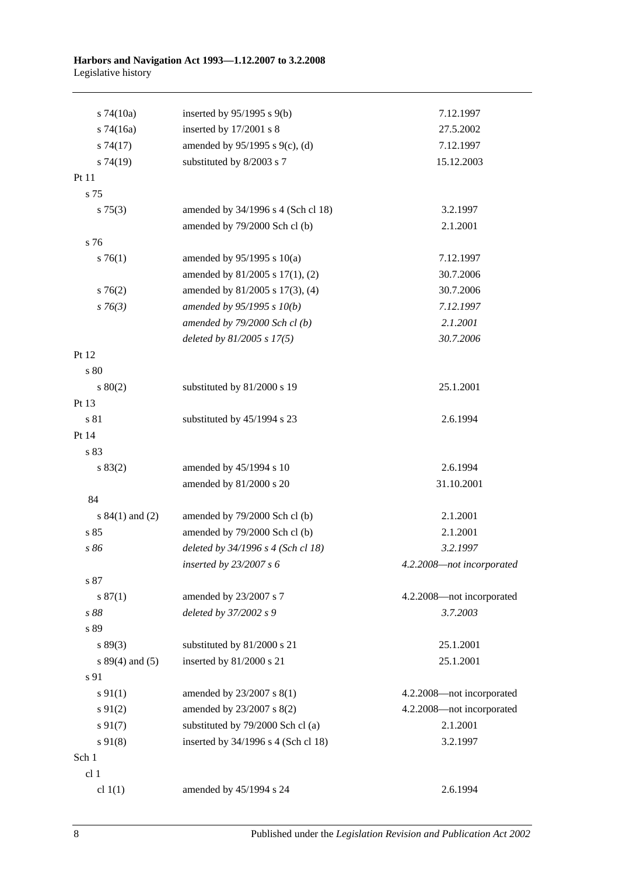| $s$ 74(10a)         | inserted by $95/1995$ s $9(b)$      | 7.12.1997                 |
|---------------------|-------------------------------------|---------------------------|
| $s$ 74(16a)         | inserted by 17/2001 s 8             | 27.5.2002                 |
| s74(17)             | amended by $95/1995$ s $9(c)$ , (d) | 7.12.1997                 |
| s74(19)             | substituted by 8/2003 s 7           | 15.12.2003                |
| Pt 11               |                                     |                           |
| s 75                |                                     |                           |
| $s \, 75(3)$        | amended by 34/1996 s 4 (Sch cl 18)  | 3.2.1997                  |
|                     | amended by 79/2000 Sch cl (b)       | 2.1.2001                  |
| s 76                |                                     |                           |
| $s \, 76(1)$        | amended by $95/1995$ s $10(a)$      | 7.12.1997                 |
|                     | amended by 81/2005 s 17(1), (2)     | 30.7.2006                 |
| $s \, 76(2)$        | amended by 81/2005 s 17(3), (4)     | 30.7.2006                 |
| $s \, 76(3)$        | amended by 95/1995 s 10(b)          | 7.12.1997                 |
|                     | amended by $79/2000$ Sch cl(b)      | 2.1.2001                  |
|                     | deleted by $81/2005$ s $17(5)$      | 30.7.2006                 |
| Pt 12               |                                     |                           |
| s 80                |                                     |                           |
| $s\ 80(2)$          | substituted by 81/2000 s 19         | 25.1.2001                 |
| Pt 13               |                                     |                           |
| s 81                | substituted by 45/1994 s 23         | 2.6.1994                  |
| Pt 14               |                                     |                           |
| s 83                |                                     |                           |
| s 83(2)             | amended by 45/1994 s 10             | 2.6.1994                  |
|                     | amended by 81/2000 s 20             | 31.10.2001                |
| 84                  |                                     |                           |
| s $84(1)$ and $(2)$ | amended by 79/2000 Sch cl (b)       | 2.1.2001                  |
| s 85                | amended by 79/2000 Sch cl (b)       | 2.1.2001                  |
| s 86                | deleted by 34/1996 s 4 (Sch cl 18)  | 3.2.1997                  |
|                     | inserted by $23/2007 s 6$           | 4.2.2008-not incorporated |
| s 87                |                                     |                           |
| s 87(1)             | amended by 23/2007 s 7              | 4.2.2008-not incorporated |
| s 88                | deleted by 37/2002 s 9              | 3.7.2003                  |
| s 89                |                                     |                           |
| s 89(3)             | substituted by 81/2000 s 21         | 25.1.2001                 |
| s $89(4)$ and $(5)$ | inserted by 81/2000 s 21            | 25.1.2001                 |
| s 91                |                                     |                           |
| $s \, 91(1)$        | amended by 23/2007 s 8(1)           | 4.2.2008-not incorporated |
| $s \, 91(2)$        | amended by 23/2007 s 8(2)           | 4.2.2008-not incorporated |
| $s\,91(7)$          | substituted by 79/2000 Sch cl (a)   | 2.1.2001                  |
| $s\,91(8)$          | inserted by 34/1996 s 4 (Sch cl 18) | 3.2.1997                  |
| Sch 1               |                                     |                           |
| cl 1                |                                     |                           |
| cl $1(1)$           | amended by 45/1994 s 24             | 2.6.1994                  |